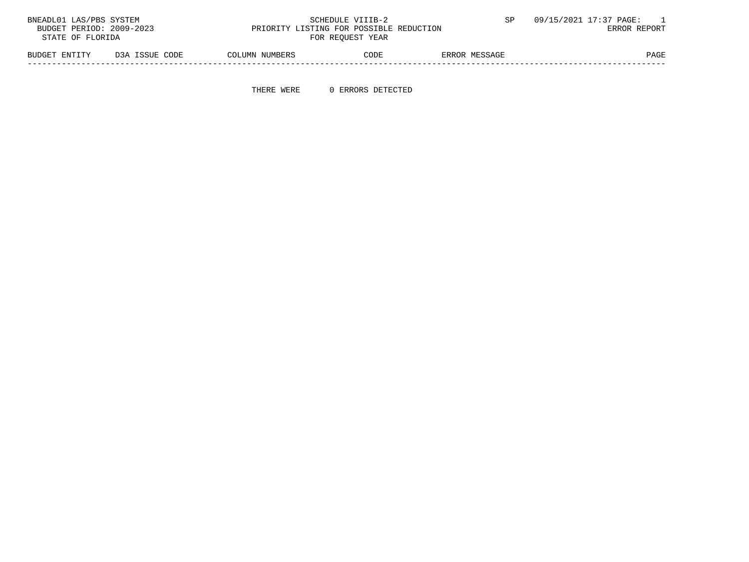| BNEADL01 LAS/PBS SYSTEM  |                |                                         | SCHEDULE VIIIB-2 |               | 09/15/2021 17:37 PAGE: |
|--------------------------|----------------|-----------------------------------------|------------------|---------------|------------------------|
| BUDGET PERIOD: 2009-2023 |                | PRIORITY LISTING FOR POSSIBLE REDUCTION |                  |               | ERROR REPORT           |
| STATE OF FLORIDA         |                |                                         | FOR REOUEST YEAR |               |                        |
| BUDGET ENTITY            | D3A ISSUE CODE | COLUMN NUMBERS                          | CODE             | ERROR MESSAGE | PAGE                   |

-----------------------------------------------------------------------------------------------------------------------------------

THERE WERE 0 ERRORS DETECTED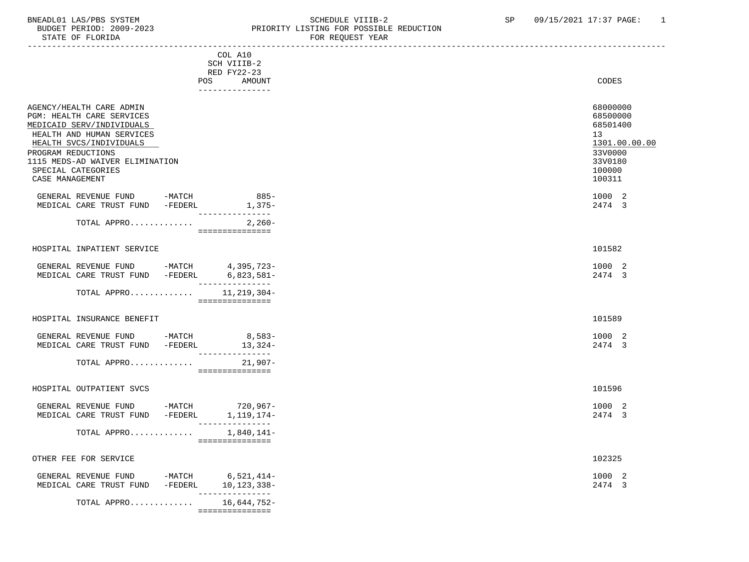#### BNEADL01 LAS/PBS SYSTEM SALLE STRING THE SCHEDULE VIIIB-2 SP 09/15/2021 17:37 PAGE: 1<br>BUDGET PERIOD: 2009-2023 PRIORITY LISTING FOR POSSIBLE REDUCTION BUDGET PERIOD: 2009-2023 PRIORITY LISTING FOR POSSIBLE REDUCTION FOR REOUEST YEAR

| COL A10<br>SCH VIIIB-2<br>RED FY22-23                                                                                                                                                                                                        |                                                                                                   |
|----------------------------------------------------------------------------------------------------------------------------------------------------------------------------------------------------------------------------------------------|---------------------------------------------------------------------------------------------------|
| POS<br>AMOUNT<br>---------------                                                                                                                                                                                                             | CODES                                                                                             |
| AGENCY/HEALTH CARE ADMIN<br>PGM: HEALTH CARE SERVICES<br>MEDICAID SERV/INDIVIDUALS<br>HEALTH AND HUMAN SERVICES<br>HEALTH SVCS/INDIVIDUALS<br>PROGRAM REDUCTIONS<br>1115 MEDS-AD WAIVER ELIMINATION<br>SPECIAL CATEGORIES<br>CASE MANAGEMENT | 68000000<br>68500000<br>68501400<br>13<br>1301.00.00.00<br>33V0000<br>33V0180<br>100000<br>100311 |
| $885-$<br>GENERAL REVENUE FUND -MATCH<br>$1,375-$<br>MEDICAL CARE TRUST FUND -FEDERL                                                                                                                                                         | 1000 2<br>2474 3                                                                                  |
| ---------------                                                                                                                                                                                                                              |                                                                                                   |
| $2,260-$<br>TOTAL APPRO<br>===============                                                                                                                                                                                                   |                                                                                                   |
| HOSPITAL INPATIENT SERVICE                                                                                                                                                                                                                   | 101582                                                                                            |
| GENERAL REVENUE FUND -MATCH 4,395,723-<br>MEDICAL CARE TRUST FUND -FEDERL 6,823,581-<br>________________                                                                                                                                     | 1000 2<br>2474 3                                                                                  |
| 11,219,304-<br>TOTAL APPRO<br>-===============                                                                                                                                                                                               |                                                                                                   |
| HOSPITAL INSURANCE BENEFIT                                                                                                                                                                                                                   | 101589                                                                                            |
| GENERAL REVENUE FUND -MATCH 8,583-<br>MEDICAL CARE TRUST FUND -FEDERL<br>$13,324-$                                                                                                                                                           | 1000 2<br>2474 3                                                                                  |
| ________________<br>$21,907-$<br>TOTAL APPRO<br>===============                                                                                                                                                                              |                                                                                                   |
| HOSPITAL OUTPATIENT SVCS                                                                                                                                                                                                                     | 101596                                                                                            |
| GENERAL REVENUE FUND -MATCH 720,967-<br>MEDICAL CARE TRUST FUND -FEDERL 1,119,174-<br>---------------                                                                                                                                        | 1000 2<br>2474 3                                                                                  |
| TOTAL APPRO<br>1,840,141-<br>===============                                                                                                                                                                                                 |                                                                                                   |
| OTHER FEE FOR SERVICE                                                                                                                                                                                                                        | 102325                                                                                            |
| GENERAL REVENUE FUND<br>$-MATCH$<br>$6,521,414-$<br>10,123,338-<br>MEDICAL CARE TRUST FUND<br>$-FEDERL$<br>-----------                                                                                                                       | 1000 2<br>2474 3                                                                                  |
| 16,644,752-<br>TOTAL APPRO<br>===============                                                                                                                                                                                                |                                                                                                   |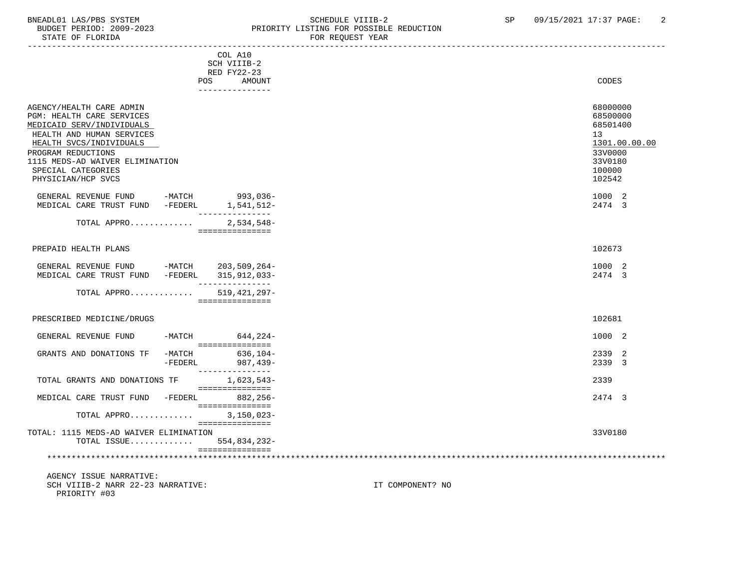## BNEADL01 LAS/PBS SYSTEM SOHEDULE VIIIB-2 SCHEDULE VIIIB-2 SP 09/15/2021 17:37 PAGE: 2<br>BUDGET PERIOD: 2009-2023 PRIORITY LISTING FOR POSSIBLE REDUCTION BUDGET PERIOD: 2009-2023 PRIORITY LISTING FOR POSSIBLE REDUCTION FOR REQUEST YEAR

|                                                                                                                 | COL A10                                            |                                        |               |
|-----------------------------------------------------------------------------------------------------------------|----------------------------------------------------|----------------------------------------|---------------|
|                                                                                                                 | SCH VIIIB-2                                        |                                        |               |
|                                                                                                                 | RED FY22-23                                        |                                        |               |
|                                                                                                                 | <b>POS</b><br><b>AMOUNT</b>                        | CODES                                  |               |
|                                                                                                                 | _______________                                    |                                        |               |
| AGENCY/HEALTH CARE ADMIN<br>PGM: HEALTH CARE SERVICES<br>MEDICAID SERV/INDIVIDUALS<br>HEALTH AND HUMAN SERVICES |                                                    | 68000000<br>68500000<br>68501400<br>13 |               |
| HEALTH SVCS/INDIVIDUALS                                                                                         |                                                    |                                        | 1301.00.00.00 |
| PROGRAM REDUCTIONS<br>1115 MEDS-AD WAIVER ELIMINATION<br>SPECIAL CATEGORIES<br>PHYSICIAN/HCP SVCS               |                                                    | 33V0000<br>33V0180<br>100000<br>102542 |               |
| GENERAL REVENUE FUND<br>MEDICAL CARE TRUST FUND -FEDERL                                                         | -MATCH 993,036-<br>1,541,512-                      | 1000 2<br>2474 3                       |               |
| TOTAL APPRO                                                                                                     | $2,534,548-$<br>===============                    |                                        |               |
| PREPAID HEALTH PLANS                                                                                            |                                                    | 102673                                 |               |
| GENERAL REVENUE FUND                                                                                            | -MATCH 203,509,264-                                | 1000 2                                 |               |
| MEDICAL CARE TRUST FUND                                                                                         | -FEDERL 315,912,033-                               | 2474 3                                 |               |
| TOTAL APPRO                                                                                                     | _______________<br>519,421,297-<br>=============== |                                        |               |
| PRESCRIBED MEDICINE/DRUGS                                                                                       |                                                    | 102681                                 |               |
| GENERAL REVENUE FUND                                                                                            | $-MATCH$ 644, 224-<br>____________________         | 1000 2                                 |               |
| GRANTS AND DONATIONS TF<br>-MATCH<br>$-FEDERL$                                                                  | 636,104-<br>987,439-<br>---------------            | 2339 2<br>2339 3                       |               |
| TOTAL GRANTS AND DONATIONS TF                                                                                   | 1,623,543-<br>===============                      | 2339                                   |               |
| MEDICAL CARE TRUST FUND -FEDERL 882,256-                                                                        | ________________                                   | 2474 3                                 |               |
| TOTAL APPRO                                                                                                     | $3,150,023-$<br>===============                    |                                        |               |
| TOTAL: 1115 MEDS-AD WAIVER ELIMINATION<br>TOTAL ISSUE 554,834,232-                                              | ===============                                    | 33V0180                                |               |
|                                                                                                                 |                                                    |                                        |               |
| AGENCY ISSUE NARRATIVE:<br>SCH VIIIB-2 NARR 22-23 NARRATIVE:<br>PRIORITY #03                                    |                                                    | IT COMPONENT? NO                       |               |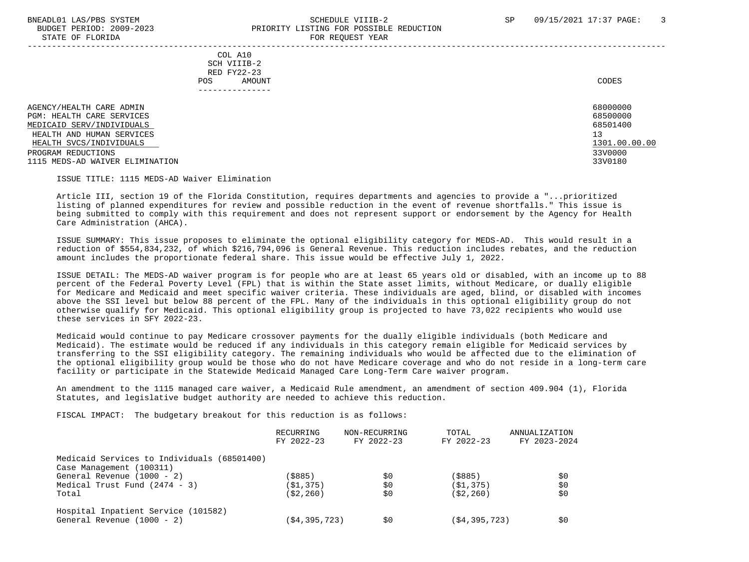#### BNEADL01 LAS/PBS SYSTEM SCHEDULE VIIIB-2 SCHEDULE VIIIB-2 SP 09/15/2021 17:37 PAGE: 3 BUDGET PERIOD: 2009-2023 PRIORITY LISTING FOR POSSIBLE REDUCTION STATE OF FLORIDA FOR REQUEST YEAR FOR REQUEST THAT AND THE STATE OF STATE OF STATE OF STATE OF STATE OF STATE OF STATE OF STATE OF STATE OF STATE OF STATE OF STATE OF STATE OF STATE OF STATE OF STATE OF STATE OF STATE OF S

-----------------------------------------------------------------------------------------------------------------------------------

 COL A10 SCH VIIIB-2 RED FY22-23 POS AMOUNT CODES ---------------

AGENCY/HEALTH CARE ADMIN 68000000 (68000000 ) 68000000 (68000000 ) 68000000 (685000000 ) 68500000 (68500000 ) 685000 (685000 ) 685000 (685000 ) 685000 (68500 ) 68500 (68500 ) 68500 (68500 ) 68500 (68500 ) 68500 (68500 ) 68 PGM: HEALTH CARE SERVICES 68500000 MEDICAID SERV/INDIVIDUALS HEALTH AND HUMAN SERVICES 13 (1999) 13 (1999) 13 (1999) 13 (1999) 13 (1999) 13 (1999) 13 (1999) 13 (1999) 13 (1999) 13 (1999) 13 (1999) 13 (1999) 13 (1999) 13 (1999) 13 (1999) 13 (1999) 13 (1999) 13 (1999) 13 (1999) 13 (19 HEALTH SVCS/INDIVIDUALS 1301.00.<br>Program reductions 33V0000. PROGRAM REDUCTIONS 1115 MEDS-AD WAIVER ELIMINATION 33V0180

ISSUE TITLE: 1115 MEDS-AD Waiver Elimination

 Article III, section 19 of the Florida Constitution, requires departments and agencies to provide a "...prioritized listing of planned expenditures for review and possible reduction in the event of revenue shortfalls." This issue is being submitted to comply with this requirement and does not represent support or endorsement by the Agency for Health Care Administration (AHCA).

 ISSUE SUMMARY: This issue proposes to eliminate the optional eligibility category for MEDS-AD. This would result in a reduction of \$554,834,232, of which \$216,794,096 is General Revenue. This reduction includes rebates, and the reduction amount includes the proportionate federal share. This issue would be effective July 1, 2022.

 ISSUE DETAIL: The MEDS-AD waiver program is for people who are at least 65 years old or disabled, with an income up to 88 percent of the Federal Poverty Level (FPL) that is within the State asset limits, without Medicare, or dually eligible for Medicare and Medicaid and meet specific waiver criteria. These individuals are aged, blind, or disabled with incomes above the SSI level but below 88 percent of the FPL. Many of the individuals in this optional eligibility group do not otherwise qualify for Medicaid. This optional eligibility group is projected to have 73,022 recipients who would use these services in SFY 2022-23.

 Medicaid would continue to pay Medicare crossover payments for the dually eligible individuals (both Medicare and Medicaid). The estimate would be reduced if any individuals in this category remain eligible for Medicaid services by transferring to the SSI eligibility category. The remaining individuals who would be affected due to the elimination of the optional eligibility group would be those who do not have Medicare coverage and who do not reside in a long-term care facility or participate in the Statewide Medicaid Managed Care Long-Term Care waiver program.

 An amendment to the 1115 managed care waiver, a Medicaid Rule amendment, an amendment of section 409.904 (1), Florida Statutes, and legislative budget authority are needed to achieve this reduction.

FISCAL IMPACT: The budgetary breakout for this reduction is as follows:

|                                             | RECURRING<br>FY 2022-23 | NON-RECURRING<br>FY 2022-23 | TOTAL<br>FY 2022-23 | ANNUALIZATION<br>FY 2023-2024 |
|---------------------------------------------|-------------------------|-----------------------------|---------------------|-------------------------------|
| Medicaid Services to Individuals (68501400) |                         |                             |                     |                               |
| Case Management (100311)                    | (\$885)                 |                             |                     |                               |
| General Revenue (1000 - 2)                  |                         | SO.                         | (\$885)             | \$C                           |
| Medical Trust Fund $(2474 - 3)$             | (S1, 375)               | \$0                         | (S1, 375)           | \$0                           |
| Total                                       | (S2, 260)               | \$0                         | (S2, 260)           | \$0                           |
| Hospital Inpatient Service (101582)         |                         |                             |                     |                               |
| General Revenue (1000 - 2)                  | (\$4,395,723)           | \$0                         | (S4, 395, 723)      | \$C                           |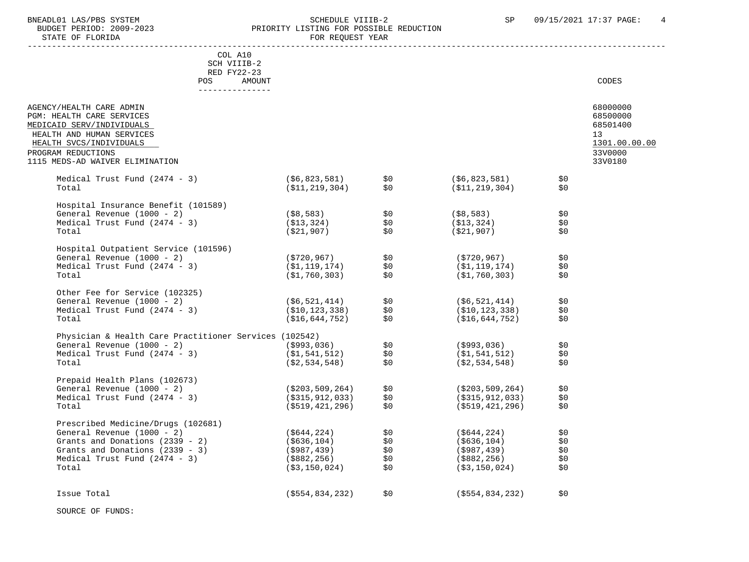#### BNEADL01 LAS/PBS SYSTEM SOME SOME SOME SCHEDULE VIIIB-2 SP 09/15/2021 17:37 PAGE: 4<br>BUDGET PERIOD: 2009-2023 REIORITY LISTING FOR POSSIBLE REDUCTION BUDGET PERIOD: 2009-2023<br>
STATE OF FLORIDA<br>
STATE OF FLORIDA FOR REQUEST YEAR

|                                                                                                                                                                              | COL A10<br>SCH VIIIB-2                       |                                                                                              |     |                                                          |                |                                                                    |
|------------------------------------------------------------------------------------------------------------------------------------------------------------------------------|----------------------------------------------|----------------------------------------------------------------------------------------------|-----|----------------------------------------------------------|----------------|--------------------------------------------------------------------|
|                                                                                                                                                                              | RED FY22-23<br>POS AMOUNT<br>--------------- |                                                                                              |     |                                                          |                | <b>CODES</b>                                                       |
| AGENCY/HEALTH CARE ADMIN<br>PGM: HEALTH CARE SERVICES<br>MEDICAID SERV/INDIVIDUALS<br>HEALTH AND HUMAN SERVICES<br>HEALTH SVCS/INDIVIDUALS<br>PROGRAM REDUCTIONS             |                                              |                                                                                              |     |                                                          |                | 68000000<br>68500000<br>68501400<br>13<br>1301.00.00.00<br>33V0000 |
| 1115 MEDS-AD WAIVER ELIMINATION                                                                                                                                              |                                              |                                                                                              |     |                                                          |                | 33V0180                                                            |
| Medical Trust Fund (2474 - 3)<br>Total                                                                                                                                       |                                              | $( $6, 823, 581)$ $$0$<br>$( $11, 219, 304)$ \$0                                             |     | ( \$6, 823, 581)<br>( \$11, 219, 304)                    | \$0<br>\$0     |                                                                    |
| Hospital Insurance Benefit (101589)                                                                                                                                          |                                              |                                                                                              |     |                                                          |                |                                                                    |
| General Revenue (1000 - 2)<br>Medical Trust Fund $(2474 - 3)$<br>Total                                                                                                       |                                              | $( $8,583)$<br>$( $13,324)$<br>$( $21,907)$<br>$$0$                                          |     | $( $8,583)$ \$0<br>(\$13,324)<br>(\$21,907)              | \$0<br>\$0     |                                                                    |
|                                                                                                                                                                              |                                              |                                                                                              |     |                                                          |                |                                                                    |
| Hospital Outpatient Service (101596)<br>General Revenue (1000 - 2)                                                                                                           |                                              |                                                                                              |     | $( $720, 967)$ \$0                                       |                |                                                                    |
| Medical Trust Fund $(2474 - 3)$<br>Total                                                                                                                                     |                                              | (\$720,967)                 \$0<br>(\$1,119,174)           \$0<br>(\$1,760,303)          \$0 |     | (\$1,119,174)<br>( \$1, 760, 303)                        | \$0<br>\$0     |                                                                    |
| Other Fee for Service (102325)                                                                                                                                               |                                              |                                                                                              |     |                                                          |                |                                                                    |
| General Revenue (1000 - 2)                                                                                                                                                   |                                              | (\$6,521,414) \$0<br>(\$10,123,338) \$0<br>(\$16,644,752) \$0                                |     | ( \$6, 521, 414 )                                        | \$0            |                                                                    |
| Medical Trust Fund $(2474 - 3)$                                                                                                                                              |                                              |                                                                                              |     | ( \$10, 123, 338)                                        | \$0            |                                                                    |
| Total                                                                                                                                                                        |                                              |                                                                                              |     | (\$16,644,752)                                           | \$0            |                                                                    |
|                                                                                                                                                                              |                                              |                                                                                              |     |                                                          |                |                                                                    |
|                                                                                                                                                                              |                                              |                                                                                              |     | ( \$993, 036)                                            | $\frac{1}{50}$ |                                                                    |
|                                                                                                                                                                              |                                              |                                                                                              |     | $(\$1,541,512)$                                          | \$0            |                                                                    |
| Physician & Health Care Practitioner Services (102542)<br>General Revenue (1000 - 2) (\$993,036) \$0<br>Medical Trust Fund (2474 - 3) (\$1,541,512) \$0<br>(\$2,534,548) \$0 |                                              |                                                                                              |     | ( \$2,534,548)                                           | \$0            |                                                                    |
| Prepaid Health Plans (102673)                                                                                                                                                |                                              |                                                                                              |     |                                                          |                |                                                                    |
| General Revenue (1000 - 2)<br>Medical Trust Fund (2474 - 3) (\$203,509,264) \$0<br>(\$315,912,033) \$0                                                                       |                                              |                                                                                              |     |                                                          | \$0            |                                                                    |
|                                                                                                                                                                              |                                              |                                                                                              |     | (\$203,509,264)<br>(\$315,912,033)<br>( \$315, 912, 033) | \$0            |                                                                    |
| Total                                                                                                                                                                        |                                              | (\$519,421,296)                                                                              | \$0 | (\$519,421,296)                                          | \$0            |                                                                    |
| Prescribed Medicine/Drugs (102681)                                                                                                                                           |                                              |                                                                                              |     |                                                          |                |                                                                    |
|                                                                                                                                                                              |                                              |                                                                                              |     | ( \$644, 224)                                            | \$0            |                                                                    |
|                                                                                                                                                                              |                                              |                                                                                              |     |                                                          | នុប<br>នុ0     |                                                                    |
|                                                                                                                                                                              |                                              |                                                                                              |     | $($ \$636,104)<br>(\$987,439)                            | \$0            |                                                                    |
|                                                                                                                                                                              |                                              |                                                                                              |     | $(\$882, 256)$                                           | \$0            |                                                                    |
| Total                                                                                                                                                                        |                                              | (\$3,150,024)                                                                                | \$0 | (\$3,150,024)                                            | \$0            |                                                                    |
|                                                                                                                                                                              |                                              |                                                                                              |     |                                                          |                |                                                                    |
| Issue Total                                                                                                                                                                  |                                              | ( \$554, 834, 232)                                                                           | \$0 | $($ \$554,834,232)                                       | \$0            |                                                                    |

SOURCE OF FUNDS: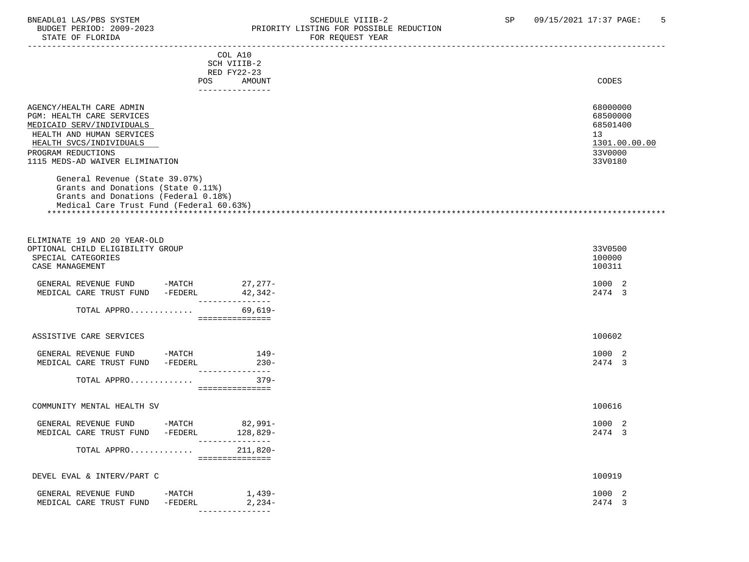#### BNEADL01 LAS/PBS SYSTEM SOME SOME SOME SCHEDULE VIIIB-2 SP 09/15/2021 17:37 PAGE: 5<br>BUDGET PERIOD: 2009-2023 REIORITY LISTING FOR POSSIBLE REDUCTION BUDGET PERIOD: 2009-2023 PRIORITY LISTING FOR POSSIBLE REDUCTION FOR REQUEST YEAR

|                                                                                                                                                                                                     | COL A10<br>SCH VIIIB-2<br>RED FY22-23<br>POS FOR THE POST OF THE STATE STATE STATE STATE STATE STATE STATE STATE STATE STATE STATE STATE STATE STATE ST | AMOUNT             | CODES                                                                         |
|-----------------------------------------------------------------------------------------------------------------------------------------------------------------------------------------------------|---------------------------------------------------------------------------------------------------------------------------------------------------------|--------------------|-------------------------------------------------------------------------------|
|                                                                                                                                                                                                     | ---------------                                                                                                                                         |                    |                                                                               |
| AGENCY/HEALTH CARE ADMIN<br>PGM: HEALTH CARE SERVICES<br>MEDICAID SERV/INDIVIDUALS<br>HEALTH AND HUMAN SERVICES<br>HEALTH SVCS/INDIVIDUALS<br>PROGRAM REDUCTIONS<br>1115 MEDS-AD WAIVER ELIMINATION |                                                                                                                                                         |                    | 68000000<br>68500000<br>68501400<br>13<br>1301.00.00.00<br>33V0000<br>33V0180 |
| General Revenue (State 39.07%)<br>Grants and Donations (State 0.11%)<br>Grants and Donations (Federal 0.18%)<br>Medical Care Trust Fund (Federal 60.63%)                                            |                                                                                                                                                         |                    |                                                                               |
| ELIMINATE 19 AND 20 YEAR-OLD<br>OPTIONAL CHILD ELIGIBILITY GROUP<br>SPECIAL CATEGORIES<br>CASE MANAGEMENT                                                                                           |                                                                                                                                                         |                    | 33V0500<br>100000<br>100311                                                   |
| GENERAL REVENUE FUND -MATCH $27,277$ -MEDICAL CARE TRUST FUND -FEDERL $42,342$ -<br>MEDICAL CARE TRUST FUND -FEDERL                                                                                 | ________________                                                                                                                                        | 42,342-            | 1000 2<br>2474 3                                                              |
| TOTAL APPRO                                                                                                                                                                                         | ===============                                                                                                                                         | 69,619-            |                                                                               |
| ASSISTIVE CARE SERVICES                                                                                                                                                                             |                                                                                                                                                         |                    | 100602                                                                        |
| GENERAL REVENUE FUND -MATCH<br>MEDICAL CARE TRUST FUND -FEDERL                                                                                                                                      | ---------------                                                                                                                                         | $149-$<br>$230 -$  | 1000 2<br>2474 3                                                              |
| TOTAL APPRO                                                                                                                                                                                         | - ================                                                                                                                                      | $379-$             |                                                                               |
| COMMUNITY MENTAL HEALTH SV                                                                                                                                                                          |                                                                                                                                                         |                    | 100616                                                                        |
| GENERAL REVENUE FUND -MATCH 82,991-<br>MEDICAL CARE TRUST FUND -FEDERL                                                                                                                              | ---------------                                                                                                                                         | 128,829-           | 1000 2<br>2474 3                                                              |
| TOTAL APPRO                                                                                                                                                                                         | ===============                                                                                                                                         | 211,820-           |                                                                               |
| DEVEL EVAL & INTERV/PART C                                                                                                                                                                          |                                                                                                                                                         |                    | 100919                                                                        |
| GENERAL REVENUE FUND<br>MEDICAL CARE TRUST FUND                                                                                                                                                     | -MATCH<br>$-FEDERL$<br>---------------                                                                                                                  | 1,439–<br>$2,234-$ | 1000 2<br>2474 3                                                              |
|                                                                                                                                                                                                     |                                                                                                                                                         |                    |                                                                               |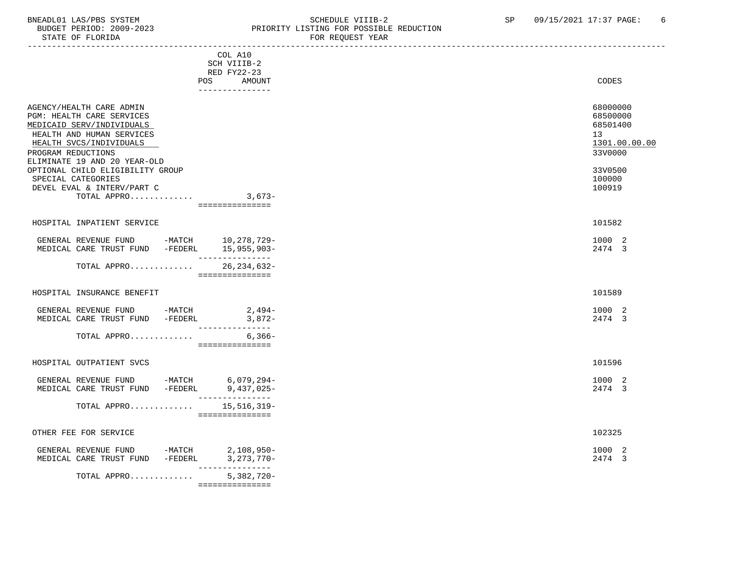## BNEADL01 LAS/PBS SYSTEM SOME SOME SOME SCHEDULE VIIIB-2 SP 09/15/2021 17:37 PAGE: 6<br>BUDGET PERIOD: 2009-2023 REIORITY LISTING FOR POSSIBLE REDUCTION BUDGET PERIOD: 2009-2023 PRIORITY LISTING FOR POSSIBLE REDUCTION FOR REQUEST YEAR

| POS                                                                                                                                                                                                                                                                                                            | COL A10<br>SCH VIIIB-2<br>RED FY22-23<br>AMOUNT<br>--------------- | <b>CODES</b>                                                                                      |
|----------------------------------------------------------------------------------------------------------------------------------------------------------------------------------------------------------------------------------------------------------------------------------------------------------------|--------------------------------------------------------------------|---------------------------------------------------------------------------------------------------|
| AGENCY/HEALTH CARE ADMIN<br>PGM: HEALTH CARE SERVICES<br>MEDICAID SERV/INDIVIDUALS<br>HEALTH AND HUMAN SERVICES<br>HEALTH SVCS/INDIVIDUALS<br>PROGRAM REDUCTIONS<br>ELIMINATE 19 AND 20 YEAR-OLD<br>OPTIONAL CHILD ELIGIBILITY GROUP<br>SPECIAL CATEGORIES<br>DEVEL EVAL & INTERV/PART C<br>TOTAL APPRO 3,673- | ===============                                                    | 68000000<br>68500000<br>68501400<br>13<br>1301.00.00.00<br>33V0000<br>33V0500<br>100000<br>100919 |
| HOSPITAL INPATIENT SERVICE                                                                                                                                                                                                                                                                                     |                                                                    | 101582                                                                                            |
| GENERAL REVENUE FUND -MATCH 10,278,729-<br>MEDICAL CARE TRUST FUND -FEDERL 15,955,903-                                                                                                                                                                                                                         | ________________                                                   | 1000 2<br>2474 3                                                                                  |
| TOTAL APPRO 26, 234, 632-                                                                                                                                                                                                                                                                                      | ===============                                                    |                                                                                                   |
| HOSPITAL INSURANCE BENEFIT                                                                                                                                                                                                                                                                                     |                                                                    | 101589                                                                                            |
| GENERAL REVENUE FUND -MATCH<br>MEDICAL CARE TRUST FUND -FEDERL                                                                                                                                                                                                                                                 | 2,494-<br>$3,872-$<br>---------------                              | 1000 2<br>2474 3                                                                                  |
| TOTAL APPRO                                                                                                                                                                                                                                                                                                    | $6.366-$<br>===============                                        |                                                                                                   |
| HOSPITAL OUTPATIENT SVCS                                                                                                                                                                                                                                                                                       |                                                                    | 101596                                                                                            |
| GENERAL REVENUE FUND -MATCH 6,079,294-<br>MEDICAL CARE TRUST FUND -FEDERL                                                                                                                                                                                                                                      | $9,437,025-$<br>_______________                                    | 1000 2<br>2474 3                                                                                  |
| TOTAL APPRO $15,516,319-$                                                                                                                                                                                                                                                                                      | ===============                                                    |                                                                                                   |
| OTHER FEE FOR SERVICE                                                                                                                                                                                                                                                                                          |                                                                    | 102325                                                                                            |
| GENERAL REVENUE FUND -MATCH<br>MEDICAL CARE TRUST FUND -FEDERL 3, 273, 770-                                                                                                                                                                                                                                    | 2,108,950-<br>_______________                                      | 1000 2<br>2474 3                                                                                  |
| TOTAL APPRO                                                                                                                                                                                                                                                                                                    | $5,382,720 -$                                                      |                                                                                                   |

===============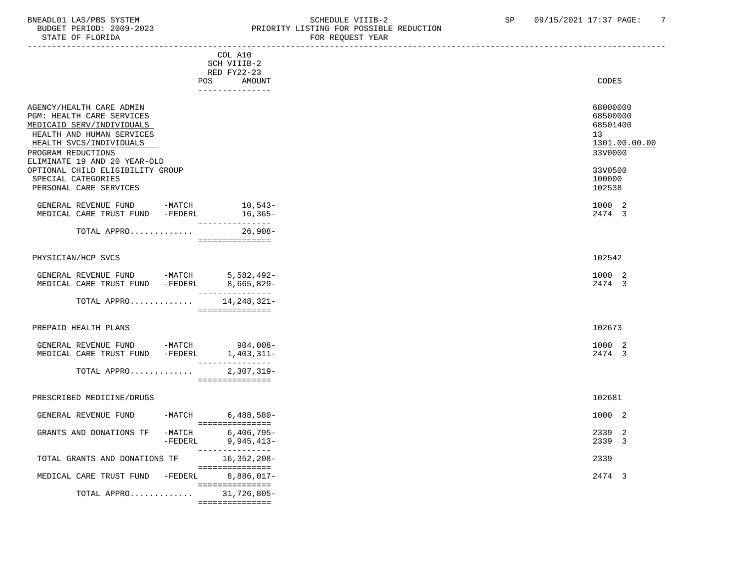#### BNEADL01 LAS/PBS SYSTEM SOME SOME SOME SCHEDULE VIIIB-2 SP 09/15/2021 17:37 PAGE: 7<br>BUDGET PERIOD: 2009-2023 REIORITY LISTING FOR POSSIBLE REDUCTION BUDGET PERIOD: 2009-2023 PRIORITY LISTING FOR POSSIBLE REDUCTION STATE OF FLORIDA FOR REQUEST YEAR

| PIAIE OF FLOKIDA                                                                                                                                                                                 |                                                                           | FOR REQUEST IEAR                                                   |
|--------------------------------------------------------------------------------------------------------------------------------------------------------------------------------------------------|---------------------------------------------------------------------------|--------------------------------------------------------------------|
|                                                                                                                                                                                                  | COL A10<br>SCH VIIIB-2<br>RED FY22-23<br>POS<br>AMOUNT<br>_______________ | CODES                                                              |
| AGENCY/HEALTH CARE ADMIN<br>PGM: HEALTH CARE SERVICES<br>MEDICAID SERV/INDIVIDUALS<br>HEALTH AND HUMAN SERVICES<br>HEALTH SVCS/INDIVIDUALS<br>PROGRAM REDUCTIONS<br>ELIMINATE 19 AND 20 YEAR-OLD |                                                                           | 68000000<br>68500000<br>68501400<br>13<br>1301.00.00.00<br>33V0000 |
| OPTIONAL CHILD ELIGIBILITY GROUP<br>SPECIAL CATEGORIES<br>PERSONAL CARE SERVICES                                                                                                                 |                                                                           | 33V0500<br>100000<br>102538                                        |
| GENERAL REVENUE FUND -MATCH<br>MEDICAL CARE TRUST FUND -FEDERL 16,365-                                                                                                                           | $10,543-$<br>________________                                             | 1000 2<br>2474 3                                                   |
| TOTAL APPRO                                                                                                                                                                                      | $26,908-$<br>----------------                                             |                                                                    |
| PHYSICIAN/HCP SVCS                                                                                                                                                                               |                                                                           | 102542                                                             |
| GENERAL REVENUE FUND -MATCH 5,582,492-<br>MEDICAL CARE TRUST FUND -FEDERL 8,665,829-                                                                                                             | _________________                                                         | 1000 2<br>2474 3                                                   |
| TOTAL APPRO 14, 248, 321-                                                                                                                                                                        | ===============                                                           |                                                                    |
| PREPAID HEALTH PLANS                                                                                                                                                                             |                                                                           | 102673                                                             |
| GENERAL REVENUE FUND -MATCH 904,008-<br>MEDICAL CARE TRUST FUND -FEDERL 1,403,311-                                                                                                               | _________________                                                         | 1000 2<br>2474 3                                                   |
| TOTAL APPRO                                                                                                                                                                                      | $2,307,319-$<br>===============                                           |                                                                    |
| PRESCRIBED MEDICINE/DRUGS                                                                                                                                                                        |                                                                           | 102681                                                             |
| GENERAL REVENUE FUND -MATCH 6,488,580-                                                                                                                                                           | =================                                                         | 1000 2                                                             |
| GRANTS AND DONATIONS TF<br>$-FEDERL$                                                                                                                                                             | -MATCH 6,406,795-<br>$9,945,413-$<br>_______________                      | 2339<br>2<br>2339 3                                                |
| TOTAL GRANTS AND DONATIONS TF                                                                                                                                                                    | 16,352,208-<br>================                                           | 2339                                                               |
| MEDICAL CARE TRUST FUND -FEDERL 8,886,017-                                                                                                                                                       | ________________                                                          | 2474 3                                                             |
| TOTAL APPRO                                                                                                                                                                                      | 31,726,805-                                                               |                                                                    |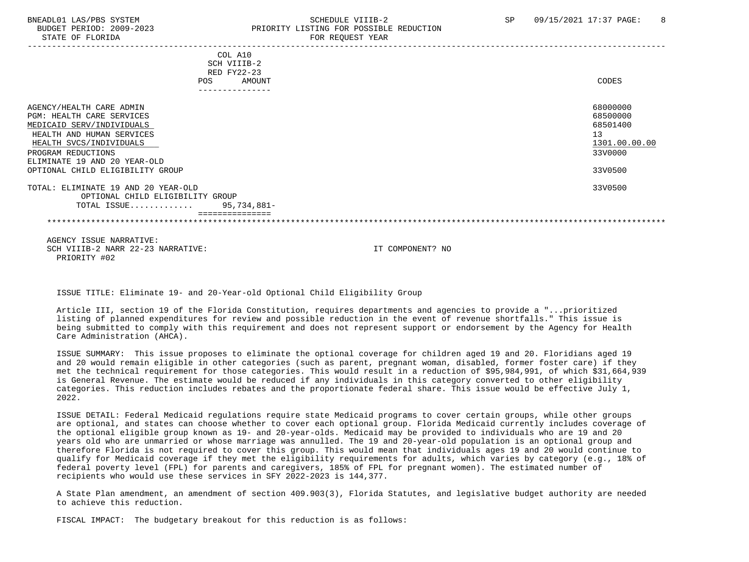#### BNEADL01 LAS/PBS SYSTEM SCHEDULE VIIIB-2 SCHEDULE VIIIB-2 SP 09/15/2021 17:37 PAGE: 8 BUDGET PERIOD: 2009-2023 PRIORITY LISTING FOR POSSIBLE REDUCTION STATE OF FLORIDA FOR REQUEST YEAR FOR REQUEST THAT THE REDUCT OF STATE OF STATE OF STATE OF STATE OF STATE OF STATE OF STATE OF STATE OF STATE OF STATE OF STATE OF STATE OF STATE OF STATE OF STATE OF STATE OF STATE OF STAT

| COL A10<br>SCH VIIIB-2                                                  |                      |
|-------------------------------------------------------------------------|----------------------|
| RED FY22-23<br>AMOUNT<br><b>POS</b><br>---------------                  | CODES                |
| AGENCY/HEALTH CARE ADMIN<br>PGM: HEALTH CARE SERVICES                   | 68000000<br>68500000 |
| MEDICAID SERV/INDIVIDUALS                                               | 68501400             |
| HEALTH AND HUMAN SERVICES<br>HEALTH SVCS/INDIVIDUALS                    | 13<br>1301.00.00.00  |
| PROGRAM REDUCTIONS                                                      | 33V0000              |
| ELIMINATE 19 AND 20 YEAR-OLD                                            |                      |
| OPTIONAL CHILD ELIGIBILITY GROUP                                        | 33V0500              |
| TOTAL: ELIMINATE 19 AND 20 YEAR-OLD<br>OPTIONAL CHILD ELIGIBILITY GROUP | 33V0500              |
| 95,734,881-<br>TOTAL ISSUE                                              |                      |
|                                                                         |                      |
| ACENCY TOCHE MADDATIIE.                                                 |                      |

 AGENCY ISSUE NARRATIVE: SCH VIIIB-2 NARR 22-23 NARRATIVE: IT COMPONENT? NO PRIORITY #02

ISSUE TITLE: Eliminate 19- and 20-Year-old Optional Child Eligibility Group

 Article III, section 19 of the Florida Constitution, requires departments and agencies to provide a "...prioritized listing of planned expenditures for review and possible reduction in the event of revenue shortfalls." This issue is being submitted to comply with this requirement and does not represent support or endorsement by the Agency for Health Care Administration (AHCA).

 ISSUE SUMMARY: This issue proposes to eliminate the optional coverage for children aged 19 and 20. Floridians aged 19 and 20 would remain eligible in other categories (such as parent, pregnant woman, disabled, former foster care) if they met the technical requirement for those categories. This would result in a reduction of \$95,984,991, of which \$31,664,939 is General Revenue. The estimate would be reduced if any individuals in this category converted to other eligibility categories. This reduction includes rebates and the proportionate federal share. This issue would be effective July 1, 2022.

 ISSUE DETAIL: Federal Medicaid regulations require state Medicaid programs to cover certain groups, while other groups are optional, and states can choose whether to cover each optional group. Florida Medicaid currently includes coverage of the optional eligible group known as 19- and 20-year-olds. Medicaid may be provided to individuals who are 19 and 20 years old who are unmarried or whose marriage was annulled. The 19 and 20-year-old population is an optional group and therefore Florida is not required to cover this group. This would mean that individuals ages 19 and 20 would continue to qualify for Medicaid coverage if they met the eligibility requirements for adults, which varies by category (e.g., 18% of federal poverty level (FPL) for parents and caregivers, 185% of FPL for pregnant women). The estimated number of recipients who would use these services in SFY 2022-2023 is 144,377.

 A State Plan amendment, an amendment of section 409.903(3), Florida Statutes, and legislative budget authority are needed to achieve this reduction.

FISCAL IMPACT: The budgetary breakout for this reduction is as follows: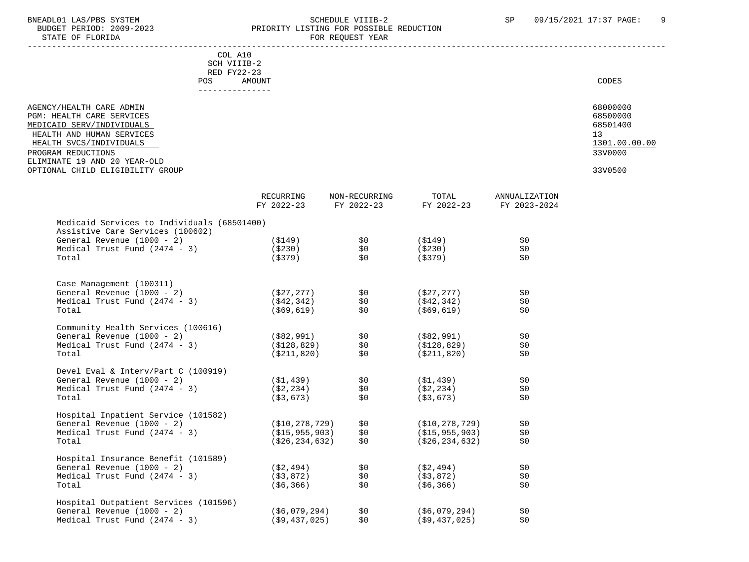### BNEADL01 LAS/PBS SYSTEM SCHEDULE VIIIB-2 SCHEDULE VIIIB-2 SP 09/15/2021 17:37 PAGE: 9 BUDGET PERIOD: 2009-2023 PRIORITY LISTING FOR POSSIBLE REDUCTION<br>FOR REQUEST YEAR FOR REQUEST YEAR

| COL A10<br>SCH VIIIB-2<br>RED FY22-23<br><b>POS</b><br>AMOUNT | CODES         |
|---------------------------------------------------------------|---------------|
| AGENCY/HEALTH CARE ADMIN                                      | 68000000      |
| PGM: HEALTH CARE SERVICES                                     | 68500000      |
| MEDICAID SERV/INDIVIDUALS                                     | 68501400      |
| HEALTH AND HUMAN SERVICES                                     | 13            |
| HEALTH SVCS/INDIVIDUALS                                       | 1301.00.00.00 |
| PROGRAM REDUCTIONS                                            | 33V0000       |
| ELIMINATE 19 AND 20 YEAR-OLD                                  |               |
| OPTIONAL CHILD ELIGIBILITY GROUP                              | 33V0500       |

|                                             | RECURRING<br>FY 2022-23 | NON-RECURRING<br>FY 2022-23 | TOTAL<br>FY 2022-23 | <b>ANNUALIZATION</b><br>FY 2023-2024 |
|---------------------------------------------|-------------------------|-----------------------------|---------------------|--------------------------------------|
| Medicaid Services to Individuals (68501400) |                         |                             |                     |                                      |
| Assistive Care Services (100602)            |                         |                             |                     |                                      |
| General Revenue (1000 - 2)                  | (S149)                  | \$0                         | (\$149)             | \$0                                  |
| Medical Trust Fund $(2474 - 3)$<br>Total    | ( \$230)<br>(S379)      | \$0<br>\$0                  | ( \$230)<br>(S379)  | \$0\$<br>\$0                         |
|                                             |                         |                             |                     |                                      |
| Case Management (100311)                    |                         |                             |                     |                                      |
| General Revenue (1000 - 2)                  | ( \$27, 277)            | \$0                         | (S27, 277)          | \$0\$                                |
| Medical Trust Fund $(2474 - 3)$             | ( \$42, 342)            | \$0                         | ( \$42, 342)        | \$0\$                                |
| Total                                       | ( \$69, 619)            | \$0                         | ( \$69, 619)        | \$0                                  |
| Community Health Services (100616)          |                         |                             |                     |                                      |
| General Revenue (1000 - 2)                  | ( \$82, 991)            | \$0                         | (\$82,991)          | \$0                                  |
| Medical Trust Fund $(2474 - 3)$             | (S128, 829)             | \$0                         | ( \$128, 829)       | \$0                                  |
| Total                                       | ( \$211, 820)           | \$0                         | (\$211,820)         | \$0                                  |
| Devel Eval & Interv/Part C (100919)         |                         |                             |                     |                                      |
| General Revenue (1000 - 2)                  | (S1, 439)               | \$0                         | ( \$1,439)          | \$0                                  |
| Medical Trust Fund $(2474 - 3)$             | (S2, 234)               | \$0                         | ( \$2, 234)         | \$0                                  |
| Total                                       | (S3, 673)               | \$0                         | (S3, 673)           | \$0                                  |
| Hospital Inpatient Service (101582)         |                         |                             |                     |                                      |
| General Revenue (1000 - 2)                  | ( \$10, 278, 729 )      | \$0                         | ( \$10, 278, 729 )  | \$0                                  |
| Medical Trust Fund $(2474 - 3)$             | (S15, 955, 903)         | \$0                         | (S15, 955, 903)     | \$0                                  |
| Total                                       | ( \$26, 234, 632)       | \$0                         | ( \$26, 234, 632)   | \$0                                  |
| Hospital Insurance Benefit (101589)         |                         |                             |                     |                                      |
| General Revenue (1000 - 2)                  | (S2, 494)               | \$0\$                       | ( \$2,494)          | \$0                                  |
| Medical Trust Fund $(2474 - 3)$             | ( \$3, 872)             | \$0                         | ( \$3, 872)         | \$0                                  |
| Total                                       | ( \$6, 366)             | \$0                         | (S6, 366)           | \$0                                  |
| Hospital Outpatient Services (101596)       |                         |                             |                     |                                      |
| General Revenue (1000 - 2)                  | (S6, 079, 294)          | \$0                         | (S6, 079, 294)      | \$0                                  |
| Medical Trust Fund $(2474 - 3)$             | (S9, 437, 025)          | \$0                         | (59, 437, 025)      | \$0                                  |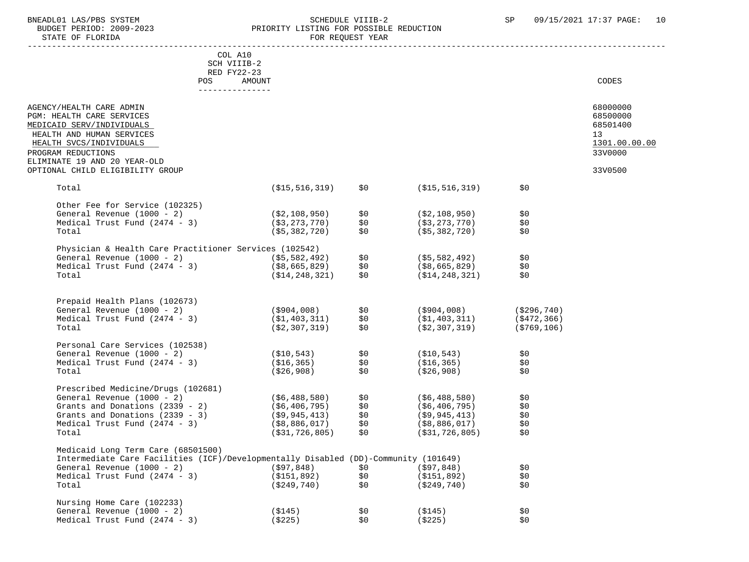STATE OF FLORIDA

# BNEADL01 LAS/PBS SYSTEM SOME SOME SCHEDULE VIIIB-2 SP 09/15/2021 17:37 PAGE: 10<br>BUDGET PERIOD: 2009-2023 RESORTTY LISTING FOR POSSIBLE REDUCTION PRIORITY LISTING FOR POSSIBLE REDUCTION<br>FOR REQUEST YEAR

|                                                                                                                           | COL A10                           |            |                                    |               |                                        |
|---------------------------------------------------------------------------------------------------------------------------|-----------------------------------|------------|------------------------------------|---------------|----------------------------------------|
|                                                                                                                           | SCH VIIIB-2                       |            |                                    |               |                                        |
|                                                                                                                           | RED FY22-23                       |            |                                    |               |                                        |
|                                                                                                                           | AMOUNT<br>POS                     |            |                                    |               | CODES                                  |
|                                                                                                                           |                                   |            |                                    |               |                                        |
| AGENCY/HEALTH CARE ADMIN<br>PGM: HEALTH CARE SERVICES<br>MEDICAID SERV/INDIVIDUALS<br>HEALTH AND HUMAN SERVICES           |                                   |            |                                    |               | 68000000<br>68500000<br>68501400<br>13 |
| HEALTH SVCS/INDIVIDUALS                                                                                                   |                                   |            |                                    |               | 1301.00.00.00                          |
| PROGRAM REDUCTIONS                                                                                                        |                                   |            |                                    |               | 33V0000                                |
| ELIMINATE 19 AND 20 YEAR-OLD                                                                                              |                                   |            |                                    |               |                                        |
| OPTIONAL CHILD ELIGIBILITY GROUP                                                                                          |                                   |            |                                    |               | 33V0500                                |
|                                                                                                                           |                                   |            |                                    |               |                                        |
| Total                                                                                                                     | (\$15,516,319)                    | \$0        | (\$15,516,319)                     | \$0           |                                        |
|                                                                                                                           |                                   |            |                                    |               |                                        |
| Other Fee for Service (102325)                                                                                            |                                   |            |                                    |               |                                        |
| General Revenue (1000 - 2)<br>Medical Trust Fund $(2474 - 3)$                                                             | (\$2,108,950)<br>( \$3, 273, 770) | \$0        | (\$2,108,950)                      | \$0           |                                        |
| Total                                                                                                                     | ( \$5,382,720)                    | \$0<br>\$0 | ( \$3, 273, 770)<br>(55, 382, 720) | \$0<br>\$0    |                                        |
|                                                                                                                           |                                   |            |                                    |               |                                        |
| Physician & Health Care Practitioner Services (102542)                                                                    |                                   |            |                                    |               |                                        |
|                                                                                                                           |                                   | \$0        | (\$5,582,492)                      | \$0           |                                        |
| General Revenue (1000 - 2) (\$5,582,492)<br>Medical Trust Fund (2474 - 3) (\$8,665,829)                                   |                                   | \$0        | (\$8,665,829)                      | \$0           |                                        |
| Total                                                                                                                     | ( \$14, 248, 321)                 | \$0        | (S14, 248, 321)                    | \$0           |                                        |
|                                                                                                                           |                                   |            |                                    |               |                                        |
|                                                                                                                           |                                   |            |                                    |               |                                        |
| Prepaid Health Plans (102673)                                                                                             |                                   |            |                                    |               |                                        |
| General Revenue (1000 - 2)                                                                                                | ( \$904,008)                      | \$0        | (\$904,008)                        | ( \$296, 740) |                                        |
| Medical Trust Fund $(2474 - 3)$                                                                                           | ( \$1,403,311)                    | \$0        | (\$1,403,311)                      | (\$472,366)   |                                        |
| Total                                                                                                                     | (\$2,307,319)                     | \$0        | (\$2,307,319)                      | (\$769,106)   |                                        |
|                                                                                                                           |                                   |            |                                    |               |                                        |
| Personal Care Services (102538)                                                                                           |                                   |            |                                    |               |                                        |
| General Revenue (1000 - 2)                                                                                                | ( \$10, 543)                      | \$0        | ( \$10, 543)                       | \$0\$         |                                        |
| Medical Trust Fund $(2474 - 3)$<br>Total                                                                                  | (\$16,365)                        | \$0<br>\$0 | ( \$16, 365)                       | \$0<br>\$0    |                                        |
|                                                                                                                           | (\$26,908)                        |            | (\$26,908)                         |               |                                        |
| Prescribed Medicine/Drugs (102681)                                                                                        |                                   |            |                                    |               |                                        |
| General Revenue (1000 - 2)                                                                                                | (\$6,488,580)                     | \$0        | ( \$6,488,580)                     | \$0           |                                        |
| Grants and Donations (2339 - 2)                                                                                           | (\$6,406,795)                     | \$0        | (\$6,406,795)                      | \$0           |                                        |
| Grants and Donations (2339 - 3)                                                                                           | (\$9,945,413)                     | \$0        | (\$9,945,413)                      | \$0           |                                        |
| Medical Trust Fund $(2474 - 3)$                                                                                           | (\$8,886,017)                     | \$0        | ( \$8,886,017)                     | \$0           |                                        |
| Total                                                                                                                     | ( \$31, 726, 805)                 | \$0        | (S31, 726, 805)                    | \$0           |                                        |
|                                                                                                                           |                                   |            |                                    |               |                                        |
| Medicaid Long Term Care (68501500)<br>Intermediate Care Facilities (ICF)/Developmentally Disabled (DD)-Community (101649) |                                   |            |                                    |               |                                        |
| General Revenue $(1000 - 2)$                                                                                              | ( \$97, 848)                      | \$0        | $($ \$97,848)                      | \$0           |                                        |
| Medical Trust Fund $(2474 - 3)$                                                                                           | ( \$151, 892)                     | \$0\$      | ( \$151, 892)                      | \$0           |                                        |
| Total                                                                                                                     | ( \$249, 740)                     | \$0        | ( \$249, 740)                      | \$0           |                                        |
|                                                                                                                           |                                   |            |                                    |               |                                        |
| Nursing Home Care (102233)                                                                                                |                                   |            |                                    |               |                                        |
| General Revenue (1000 - 2)                                                                                                | (S145)                            | \$0        | ( \$145)                           | \$0\$         |                                        |
| Medical Trust Fund $(2474 - 3)$                                                                                           | ( \$225)                          | \$0\$      | ( \$225)                           | \$0\$         |                                        |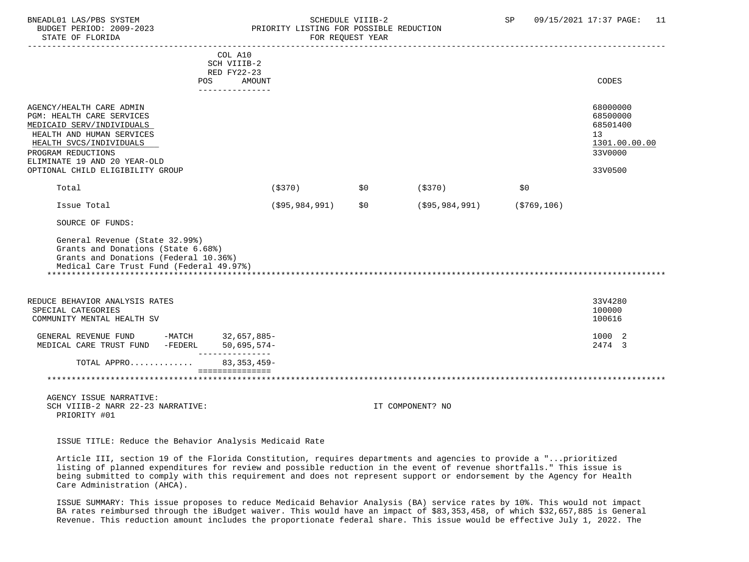## BNEADL01 LAS/PBS SYSTEM SCHEDULE VIIIB-2 SCHEDULE VIIIB-2 SP 09/15/2021 17:37 PAGE: 11 BUDGET PERIOD: 2009-2023 PRIORITY LISTING FOR POSSIBLE REDUCTION

 ----------------------------------------------------------------------------------------------------------------------------------- COL A10 SCH VIIIB-2 RED FY22-23 POS AMOUNT CODES --------------- AGENCY/HEALTH CARE ADMIN 68000000 AGENCY/HEALTH CARE ADMIN PGM: HEALTH CARE SERVICES 68500000 PGM: 68500000 PGM: 68500000 68500000 PGM: 68500000 0 68500000 PGM: 68501400<br>MEDICAID SERV/INDIVIDUALS MEDICAID SERV/INDIVIDUALS HEALTH AND HUMAN SERVICES 13 (1999) 13 (1999) 13 (1999) 13 (1999) 13 (1999) 13 (1999) 13 (1999) 13 (1999) 13 (1999) 13 (1999) 13 (1999) 13 (1999) 13 (1999) 13 (1999) 13 (1999) 13 (1999) 13 (1999) 13 (1999) 13 (1999) 13 (19  $\frac{1301.00}{330000}$   $\frac{1301.00}{330000}$ PROGRAM REDUCTIONS ELIMINATE 19 AND 20 YEAR-OLD OPTIONAL CHILD ELIGIBILITY GROUP 33V0500 Total (\$370) \$0 (\$370) \$0 Issue Total (\$95,984,991) \$0 (\$95,984,991) (\$769,106) SOURCE OF FUNDS: General Revenue (State 32.99%) Grants and Donations (State 6.68%) Grants and Donations (Federal 10.36%) Medical Care Trust Fund (Federal 49.97%) \*\*\*\*\*\*\*\*\*\*\*\*\*\*\*\*\*\*\*\*\*\*\*\*\*\*\*\*\*\*\*\*\*\*\*\*\*\*\*\*\*\*\*\*\*\*\*\*\*\*\*\*\*\*\*\*\*\*\*\*\*\*\*\*\*\*\*\*\*\*\*\*\*\*\*\*\*\*\*\*\*\*\*\*\*\*\*\*\*\*\*\*\*\*\*\*\*\*\*\*\*\*\*\*\*\*\*\*\*\*\*\*\*\*\*\*\*\*\*\*\*\*\*\*\*\*\* REDUCE BEHAVIOR ANALYSIS RATES 33V4280<br>SPECIAL CATEGORIES 33V4280 SPECIAL CATEGORIES 100000 COMMUNITY MENTAL HEALTH SV GENERAL REVENUE FUND -MATCH 32,657,885- 1000 2 MEDICAL CARE TRUST FUND -FEDERL 50,695,574- 2474 3 --------------- TOTAL APPRO............. 83,353,459- =============== \*\*\*\*\*\*\*\*\*\*\*\*\*\*\*\*\*\*\*\*\*\*\*\*\*\*\*\*\*\*\*\*\*\*\*\*\*\*\*\*\*\*\*\*\*\*\*\*\*\*\*\*\*\*\*\*\*\*\*\*\*\*\*\*\*\*\*\*\*\*\*\*\*\*\*\*\*\*\*\*\*\*\*\*\*\*\*\*\*\*\*\*\*\*\*\*\*\*\*\*\*\*\*\*\*\*\*\*\*\*\*\*\*\*\*\*\*\*\*\*\*\*\*\*\*\*\* AGENCY ISSUE NARRATIVE: SCH VIIIB-2 NARR 22-23 NARRATIVE: IT COMPONENT? NO PRIORITY #01

ISSUE TITLE: Reduce the Behavior Analysis Medicaid Rate

 Article III, section 19 of the Florida Constitution, requires departments and agencies to provide a "...prioritized listing of planned expenditures for review and possible reduction in the event of revenue shortfalls." This issue is being submitted to comply with this requirement and does not represent support or endorsement by the Agency for Health Care Administration (AHCA).

 ISSUE SUMMARY: This issue proposes to reduce Medicaid Behavior Analysis (BA) service rates by 10%. This would not impact BA rates reimbursed through the iBudget waiver. This would have an impact of \$83,353,458, of which \$32,657,885 is General Revenue. This reduction amount includes the proportionate federal share. This issue would be effective July 1, 2022. The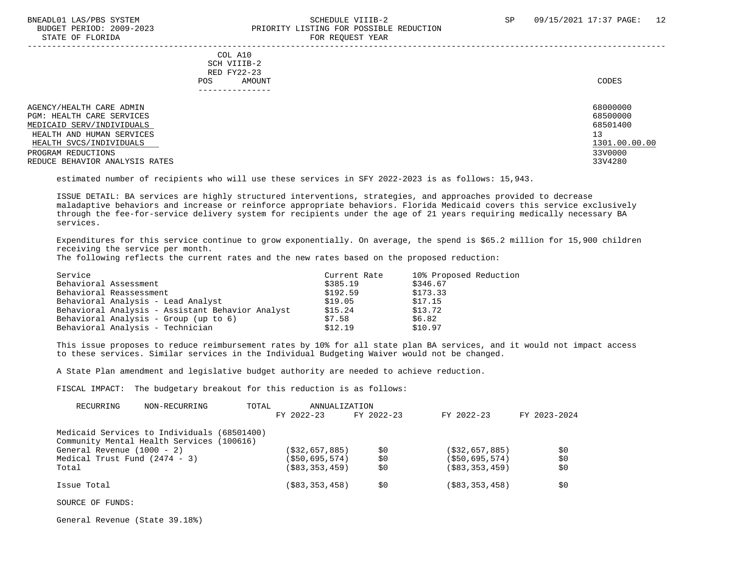#### BNEADL01 LAS/PBS SYSTEM SCHEDULE VIIIB-2 SCHEDULE VIIIB-2 SP 09/15/2021 17:37 PAGE: 12 BUDGET PERIOD: 2009-2023 PRIORITY LISTING FOR POSSIBLE REDUCTION STATE OF FLORIDA FOR REQUEST YEAR FOR REQUEST THAT THE REDUCT OF STATE OF STATE OF STATE OF STATE OF STATE OF STATE OF STATE OF STATE OF STATE OF STATE OF STATE OF STATE OF STATE OF STATE OF STATE OF STATE OF STATE OF STAT

 ----------------------------------------------------------------------------------------------------------------------------------- COL A10 SCH VIIIB-2 RED FY22-23 POS AMOUNT CODES --------------- AGENCY/HEALTH CARE ADMIN 68000000 (68000000 )<br>PGM: HEALTH CARE SERVICES PGM: HEALTH CARE SERVICES 68500000 (68500000 ) and the series of the series of the series of the series of the series of the series of the series of the series of the series of the series of the series of the series of the

MEDICAID SERV/INDIVIDUALS HEALTH AND HUMAN SERVICES 13 (1999) 13 (1999) 13 (1999) 13 (1999) 13 (1999) 13 (1999) 13 (1999) 13 (1999) 13 (1999) 13 (1999) 13 (1999) 13 (1999) 13 (1999) 13 (1999) 13 (1999) 13 (1999) 13 (1999) 13 (1999) 13 (1999) 13 (19  $\frac{1301.00}{330000}$   $\frac{1301.00}{330000}$ PROGRAM REDUCTIONS REDUCE BEHAVIOR ANALYSIS RATES 33V4280

estimated number of recipients who will use these services in SFY 2022-2023 is as follows: 15,943.

 ISSUE DETAIL: BA services are highly structured interventions, strategies, and approaches provided to decrease maladaptive behaviors and increase or reinforce appropriate behaviors. Florida Medicaid covers this service exclusively through the fee-for-service delivery system for recipients under the age of 21 years requiring medically necessary BA services.

 Expenditures for this service continue to grow exponentially. On average, the spend is \$65.2 million for 15,900 children receiving the service per month.

The following reflects the current rates and the new rates based on the proposed reduction:

| Service               |                                                  | Current Rate | 10% Proposed Reduction |
|-----------------------|--------------------------------------------------|--------------|------------------------|
| Behavioral Assessment |                                                  | \$385.19     | \$346.67               |
|                       | Behavioral Reassessment                          | \$192.59     | \$173.33               |
|                       | Behavioral Analysis - Lead Analyst               | \$19.05      | \$17.15                |
|                       | Behavioral Analysis - Assistant Behavior Analyst | \$15.24      | \$13.72                |
|                       | Behavioral Analysis - Group (up to 6)            | \$7.58       | \$6.82                 |
|                       | Behavioral Analysis - Technician                 | \$12.19      | \$10.97                |

 This issue proposes to reduce reimbursement rates by 10% for all state plan BA services, and it would not impact access to these services. Similar services in the Individual Budgeting Waiver would not be changed.

A State Plan amendment and legislative budget authority are needed to achieve reduction.

FISCAL IMPACT: The budgetary breakout for this reduction is as follows:

| RECURRING                       | NON-RECURRING                               | TOTAL | ANNUALIZATION     |            |                   |              |     |
|---------------------------------|---------------------------------------------|-------|-------------------|------------|-------------------|--------------|-----|
|                                 |                                             |       | FY 2022-23        | FY 2022-23 | FY 2022-23        | FY 2023-2024 |     |
|                                 | Medicaid Services to Individuals (68501400) |       |                   |            |                   |              |     |
|                                 | Community Mental Health Services (100616)   |       |                   |            |                   |              |     |
| General Revenue $(1000 - 2)$    |                                             |       | (\$32,657,885)    | \$0        | ( \$32, 657, 885) |              | S0  |
| Medical Trust Fund $(2474 - 3)$ |                                             |       | $($ \$50,695,574) | \$0        | ( \$50, 695, 574) |              | \$0 |
| Total                           |                                             |       | (\$83,353,459)    | \$0        | ( \$83, 353, 459) |              | \$0 |
| Issue Total                     |                                             |       | (\$83,353,458)    | \$0        | ( \$83, 353, 458) |              | S0  |

SOURCE OF FUNDS:

General Revenue (State 39.18%)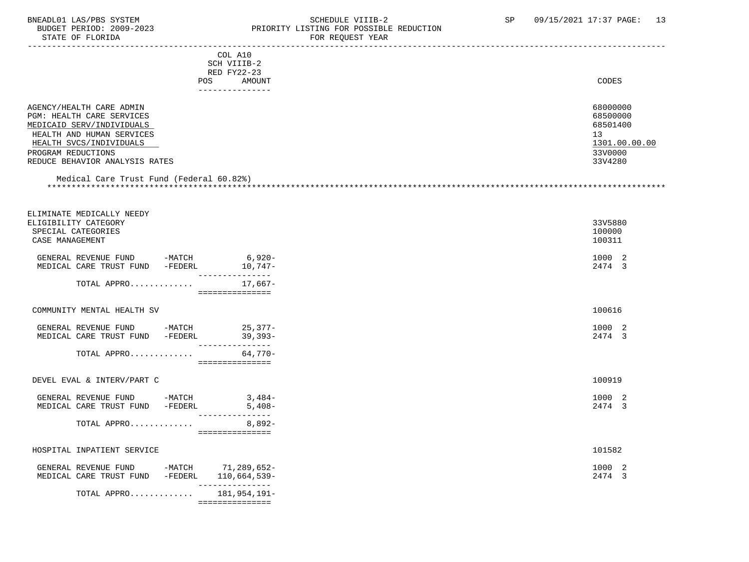## BNEADL01 LAS/PBS SYSTEM SOHEDULE VIIIB-2 SCHEDULE VIIIB-2 SP 09/15/2021 17:37 PAGE: 13<br>BUDGET PERIOD: 2009-2023 PRIORITY LISTING FOR POSSIBLE REDUCTION BUDGET PERIOD: 2009-2023 PRIORITY LISTING FOR POSSIBLE REDUCTION FOR REQUEST YEAR

|                                              | COL A10                            |               |
|----------------------------------------------|------------------------------------|---------------|
|                                              | SCH VIIIB-2                        |               |
|                                              | RED FY22-23                        |               |
|                                              | POS AMOUNT                         | CODES         |
|                                              | ----------------                   |               |
|                                              |                                    |               |
| AGENCY/HEALTH CARE ADMIN                     |                                    | 68000000      |
| PGM: HEALTH CARE SERVICES                    |                                    | 68500000      |
| MEDICAID SERV/INDIVIDUALS                    |                                    | 68501400      |
| HEALTH AND HUMAN SERVICES                    |                                    | 13            |
| HEALTH SVCS/INDIVIDUALS                      |                                    | 1301.00.00.00 |
| PROGRAM REDUCTIONS                           |                                    | 33V0000       |
| REDUCE BEHAVIOR ANALYSIS RATES               |                                    | 33V4280       |
|                                              |                                    |               |
| Medical Care Trust Fund (Federal 60.82%)     |                                    |               |
|                                              |                                    |               |
|                                              |                                    |               |
|                                              |                                    |               |
| ELIMINATE MEDICALLY NEEDY                    |                                    |               |
| ELIGIBILITY CATEGORY                         |                                    | 33V5880       |
| SPECIAL CATEGORIES                           |                                    | 100000        |
| CASE MANAGEMENT                              |                                    | 100311        |
|                                              |                                    |               |
| GENERAL REVENUE FUND -MATCH 6,920-           |                                    | 1000 2        |
| MEDICAL CARE TRUST FUND -FEDERL              | $10,747-$<br>.<br> --------------- | 2474 3        |
| TOTAL APPRO                                  | 17,667-                            |               |
|                                              | ===============                    |               |
|                                              |                                    |               |
| COMMUNITY MENTAL HEALTH SV                   |                                    | 100616        |
|                                              |                                    |               |
| GENERAL REVENUE FUND -MATCH 25,377-          |                                    | 1000 2        |
| MEDICAL CARE TRUST FUND -FEDERL 39,393-      |                                    | 2474 3        |
|                                              | _______________                    |               |
| TOTAL APPRO                                  | 64,770-                            |               |
|                                              | ===============                    |               |
|                                              |                                    |               |
| DEVEL EVAL & INTERV/PART C                   |                                    | 100919        |
| GENERAL REVENUE FUND -MATCH                  | $3,484-$                           | 1000 2        |
|                                              |                                    | 2474 3        |
| MEDICAL CARE TRUST FUND -FEDERL              | $5,408-$<br>---------------        |               |
| TOTAL APPRO                                  | $8,892-$                           |               |
|                                              | ===============                    |               |
|                                              |                                    |               |
| HOSPITAL INPATIENT SERVICE                   |                                    | 101582        |
|                                              |                                    |               |
| GENERAL REVENUE FUND -MATCH 71,289,652-      |                                    | 1000 2        |
| MEDICAL CARE TRUST FUND -FEDERL 110,664,539- |                                    | 2474 3        |
|                                              | ________________                   |               |
| TOTAL APPRO                                  | 181,954,191–                       |               |
|                                              | ===============                    |               |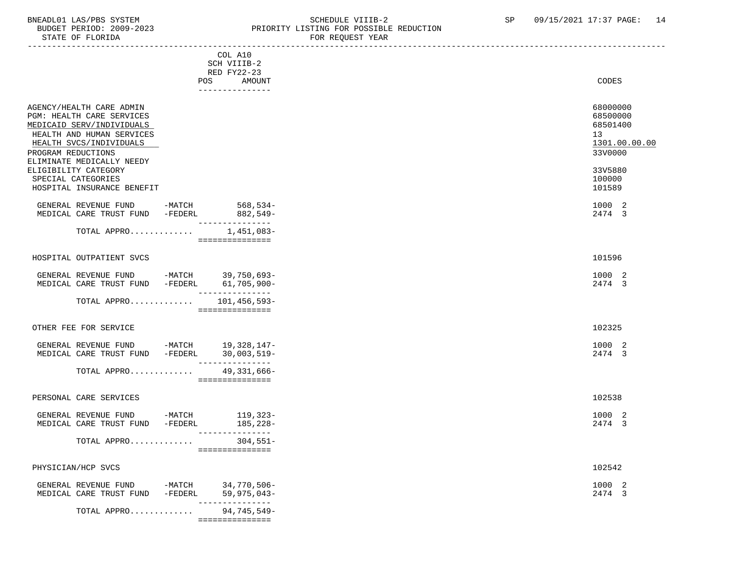#### BNEADL01 LAS/PBS SYSTEM SOME SOME SCHEDULE VIIIB-2 SP 09/15/2021 17:37 PAGE: 14 BUDGET PERIOD: 2009-2023<br>
STATE OF FLORIDA<br>
STATE OF FLORIDA FOR REQUEST YEAR

|                                                                                                                                                                  |                                       | ron nagusar raun |                                                              |
|------------------------------------------------------------------------------------------------------------------------------------------------------------------|---------------------------------------|------------------|--------------------------------------------------------------|
|                                                                                                                                                                  | COL A10<br>SCH VIIIB-2<br>RED FY22-23 |                  |                                                              |
| POS                                                                                                                                                              | AMOUNT<br>---------------             |                  | CODES                                                        |
| AGENCY/HEALTH CARE ADMIN<br>PGM: HEALTH CARE SERVICES<br>MEDICAID SERV/INDIVIDUALS<br>HEALTH AND HUMAN SERVICES<br>HEALTH SVCS/INDIVIDUALS<br>PROGRAM REDUCTIONS |                                       | 13               | 68000000<br>68500000<br>68501400<br>1301.00.00.00<br>33V0000 |
| ELIMINATE MEDICALLY NEEDY<br>ELIGIBILITY CATEGORY<br>SPECIAL CATEGORIES<br>HOSPITAL INSURANCE BENEFIT                                                            |                                       |                  | 33V5880<br>100000<br>101589                                  |
| GENERAL REVENUE FUND -MATCH 568,534-<br>MEDICAL CARE TRUST FUND -FEDERL                                                                                          | $882,549-$<br>_______________         |                  | 1000 2<br>2474 3                                             |
| TOTAL APPRO                                                                                                                                                      | 1,451,083-<br>===============         |                  |                                                              |
| HOSPITAL OUTPATIENT SVCS                                                                                                                                         |                                       |                  | 101596                                                       |
| GENERAL REVENUE FUND -MATCH 39,750,693-<br>MEDICAL CARE TRUST FUND -FEDERL 61,705,900-                                                                           | ________________                      |                  | 1000 2<br>2474 3                                             |
| TOTAL APPRO $101,456,593-$                                                                                                                                       | ===============                       |                  |                                                              |
| OTHER FEE FOR SERVICE                                                                                                                                            |                                       |                  | 102325                                                       |
| GENERAL REVENUE FUND -MATCH 19,328,147-<br>MEDICAL CARE TRUST FUND -FEDERL 30,003,519-                                                                           | ---------------                       |                  | 1000 2<br>2474 3                                             |
| TOTAL APPRO                                                                                                                                                      | 49,331,666-<br>===============        |                  |                                                              |
| PERSONAL CARE SERVICES                                                                                                                                           |                                       |                  | 102538                                                       |
| GENERAL REVENUE FUND -MATCH 119,323-<br>MEDICAL CARE TRUST FUND -FEDERL                                                                                          | 185,228-<br>---------------           |                  | 1000 2<br>2474 3                                             |
| TOTAL APPRO                                                                                                                                                      | $304,551-$<br>===============         |                  |                                                              |
| PHYSICIAN/HCP SVCS                                                                                                                                               |                                       |                  | 102542                                                       |
| GENERAL REVENUE FUND<br>-MATCH<br>-FEDERL<br>MEDICAL CARE TRUST FUND                                                                                             | 34,770,506-<br>$59,975,043-$          |                  | 1000 2<br>2474 3                                             |
| TOTAL APPRO                                                                                                                                                      | 94,745,549-                           |                  |                                                              |

===============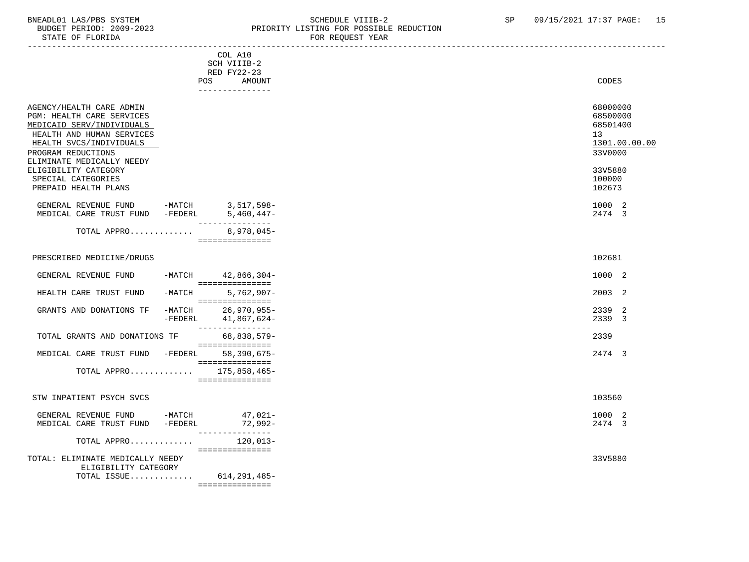## BNEADL01 LAS/PBS SYSTEM SCHEDULE VIIIB-2 SCHEDULE VIIIB-2 SP 09/15/2021 17:37 PAGE: 15 BUDGET PERIOD: 2009-2023 PRIORITY LISTING FOR POSSIBLE REDUCTION

| STATE OF FLORIDA                                                                                                                                                                              |                                                                           | FOR REQUEST YEAR |                                                                    |
|-----------------------------------------------------------------------------------------------------------------------------------------------------------------------------------------------|---------------------------------------------------------------------------|------------------|--------------------------------------------------------------------|
|                                                                                                                                                                                               | COL A10<br>SCH VIIIB-2<br>RED FY22-23<br>POS<br>AMOUNT<br>_______________ |                  | CODES                                                              |
| AGENCY/HEALTH CARE ADMIN<br>PGM: HEALTH CARE SERVICES<br>MEDICAID SERV/INDIVIDUALS<br>HEALTH AND HUMAN SERVICES<br>HEALTH SVCS/INDIVIDUALS<br>PROGRAM REDUCTIONS<br>ELIMINATE MEDICALLY NEEDY |                                                                           |                  | 68000000<br>68500000<br>68501400<br>13<br>1301.00.00.00<br>33V0000 |
| ELIGIBILITY CATEGORY<br>SPECIAL CATEGORIES<br>PREPAID HEALTH PLANS                                                                                                                            |                                                                           |                  | 33V5880<br>100000<br>102673                                        |
| GENERAL REVENUE FUND -MATCH $3,517,598$ -MEDICAL CARE TRUST FUND -FEDERL $5,460,447$ -                                                                                                        | __________________                                                        |                  | 1000 2<br>2474 3                                                   |
| TOTAL APPRO 8,978,045-                                                                                                                                                                        | ===============                                                           |                  |                                                                    |
| PRESCRIBED MEDICINE/DRUGS                                                                                                                                                                     |                                                                           |                  | 102681                                                             |
| GENERAL REVENUE FUND                                                                                                                                                                          | $-MATCH$ 42,866,304-                                                      |                  | 1000 2                                                             |
| $-MATCH$<br>HEALTH CARE TRUST FUND                                                                                                                                                            | $5,762,907-$<br>===============                                           |                  | 2003 2                                                             |
| GRANTS AND DONATIONS TF<br>$-MATCH$<br>$-FEDERL$                                                                                                                                              | $26,970,955-$<br>41,867,624-<br>_______________                           |                  | 2339 2<br>2339 3                                                   |
| TOTAL GRANTS AND DONATIONS TF                                                                                                                                                                 | 68,838,579-<br>================                                           |                  | 2339                                                               |
| MEDICAL CARE TRUST FUND -FEDERL 58,390,675-                                                                                                                                                   | ================                                                          |                  | 2474 3                                                             |
| TOTAL APPRO 175,858,465-                                                                                                                                                                      | ===============                                                           |                  |                                                                    |
| STW INPATIENT PSYCH SVCS                                                                                                                                                                      |                                                                           |                  | 103560                                                             |
| GENERAL REVENUE FUND -MATCH 47,021-<br>MEDICAL CARE TRUST FUND -FEDERL                                                                                                                        | 72,992-<br>________________                                               |                  | 1000 2<br>2474 3                                                   |
| TOTAL APPRO                                                                                                                                                                                   | 120,013-<br>===============                                               |                  |                                                                    |
| TOTAL: ELIMINATE MEDICALLY NEEDY<br>ELIGIBILITY CATEGORY<br>TOTAL ISSUE $614, 291, 485$ -                                                                                                     | ===============                                                           |                  | 33V5880                                                            |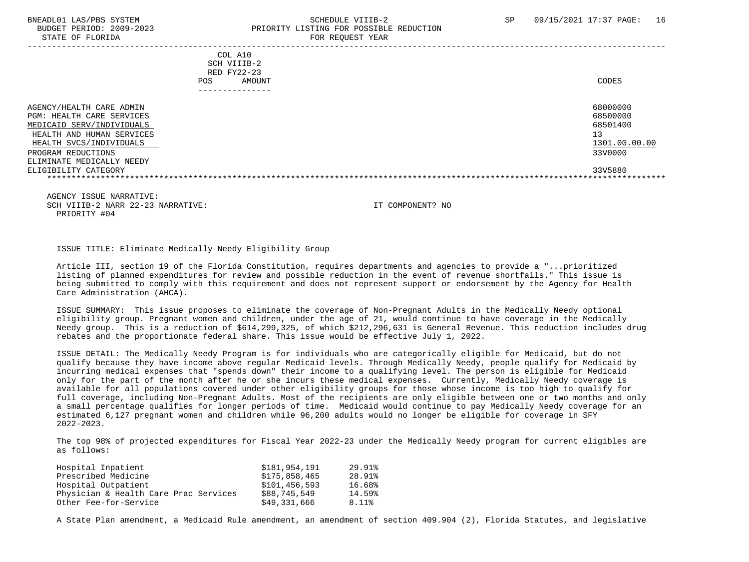#### BNEADL01 LAS/PBS SYSTEM SCHEDULE VIIIB-2 SCHEDULE VIIIB-2 SP 09/15/2021 17:37 PAGE: 16 BUDGET PERIOD: 2009-2023 PRIORITY LISTING FOR POSSIBLE REDUCTION STATE OF FLORIDA FOR REQUEST YEAR FOR REQUEST THAT A STATE OF STATE OF STATE OF STATE OF STATE OF STATE OF STATE OF STATE OF STATE OF STATE OF STATE OF STATE OF STATE OF STATE OF STATE OF STATE OF STATE OF STATE OF STATE O

 ----------------------------------------------------------------------------------------------------------------------------------- COL A10 SCH VIIIB-2 RED FY22-23 POS AMOUNT CODES --------------- AGENCY/HEALTH CARE ADMIN 68000000 AGENCY/HEALTH CARE ADMIN PGM: HEALTH CARE SERVICES 68500000 PGM: 68500000 PGM: 68500000 68500000 PGM: 68500000 0 68500000 PGM: 68501400<br>MEDICAID SERV/INDIVIDUALS MEDICAID SERV/INDIVIDUALS HEALTH AND HUMAN SERVICES 13 (1999) 13 (1999) 13 (1999) 13 (1999) 13 (1999) 13 (1999) 13 (1999) 13 (1999) 13 (1999) 13 (1999) 13 (1999) 13 (1999) 13 (1999) 13 (1999) 13 (1999) 13 (1999) 13 (1999) 13 (1999) 13 (1999) 13 (19  $\frac{1301.00}{330000}$   $\frac{1301.00}{330000}$ PROGRAM REDUCTIONS ELIMINATE MEDICALLY NEEDY ELIGIBILITY CATEGORY 33V5880 \*\*\*\*\*\*\*\*\*\*\*\*\*\*\*\*\*\*\*\*\*\*\*\*\*\*\*\*\*\*\*\*\*\*\*\*\*\*\*\*\*\*\*\*\*\*\*\*\*\*\*\*\*\*\*\*\*\*\*\*\*\*\*\*\*\*\*\*\*\*\*\*\*\*\*\*\*\*\*\*\*\*\*\*\*\*\*\*\*\*\*\*\*\*\*\*\*\*\*\*\*\*\*\*\*\*\*\*\*\*\*\*\*\*\*\*\*\*\*\*\*\*\*\*\*\*\*

 AGENCY ISSUE NARRATIVE: SCH VIIIB-2 NARR 22-23 NARRATIVE: IT COMPONENT? NO PRIORITY #04

ISSUE TITLE: Eliminate Medically Needy Eligibility Group

 Article III, section 19 of the Florida Constitution, requires departments and agencies to provide a "...prioritized listing of planned expenditures for review and possible reduction in the event of revenue shortfalls." This issue is being submitted to comply with this requirement and does not represent support or endorsement by the Agency for Health Care Administration (AHCA).

 ISSUE SUMMARY: This issue proposes to eliminate the coverage of Non-Pregnant Adults in the Medically Needy optional eligibility group. Pregnant women and children, under the age of 21, would continue to have coverage in the Medically Needy group. This is a reduction of \$614,299,325, of which \$212,296,631 is General Revenue. This reduction includes drug rebates and the proportionate federal share. This issue would be effective July 1, 2022.

 ISSUE DETAIL: The Medically Needy Program is for individuals who are categorically eligible for Medicaid, but do not qualify because they have income above regular Medicaid levels. Through Medically Needy, people qualify for Medicaid by incurring medical expenses that "spends down" their income to a qualifying level. The person is eligible for Medicaid only for the part of the month after he or she incurs these medical expenses. Currently, Medically Needy coverage is available for all populations covered under other eligibility groups for those whose income is too high to qualify for full coverage, including Non-Pregnant Adults. Most of the recipients are only eligible between one or two months and only a small percentage qualifies for longer periods of time. Medicaid would continue to pay Medically Needy coverage for an estimated 6,127 pregnant women and children while 96,200 adults would no longer be eligible for coverage in SFY 2022-2023.

 The top 98% of projected expenditures for Fiscal Year 2022-23 under the Medically Needy program for current eligibles are as follows:

| Hospital Inpatient                    | \$181,954,191 | 29.91% |
|---------------------------------------|---------------|--------|
| Prescribed Medicine                   | \$175,858,465 | 28.91% |
| Hospital Outpatient                   | \$101,456,593 | 16.68% |
| Physician & Health Care Prac Services | \$88,745,549  | 14.59% |
| Other Fee-for-Service                 | \$49,331,666  | 8.11%  |
|                                       |               |        |

A State Plan amendment, a Medicaid Rule amendment, an amendment of section 409.904 (2), Florida Statutes, and legislative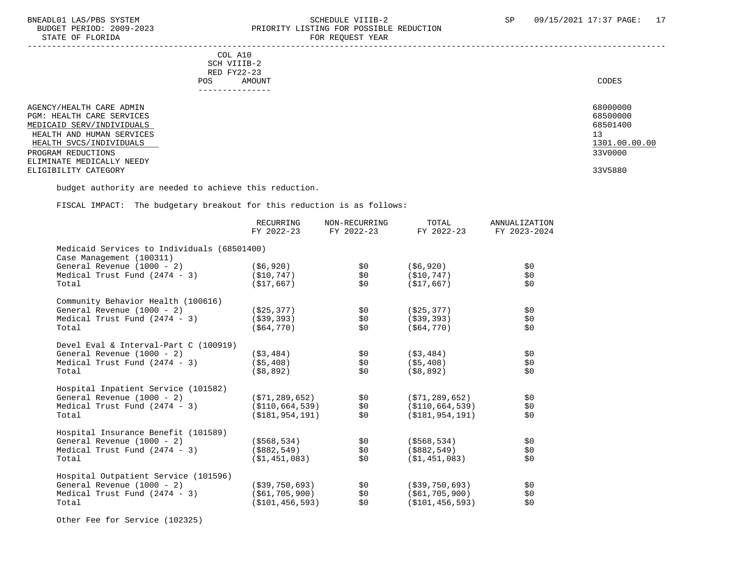#### BNEADL01 LAS/PBS SYSTEM SCHEDULE VIIIB-2 SCHEDULE VIIIB-2 SP 09/15/2021 17:37 PAGE: 17 BUDGET PERIOD: 2009-2023 PRIORITY LISTING FOR POSSIBLE REDUCTION STATE OF FLORIDA **FOR REQUEST YEAR**

-----------------------------------------------------------------------------------------------------------------------------------

|     | --------------- |       |
|-----|-----------------|-------|
| POS | AMOUNT          | CODES |
|     | RED FY22-23     |       |
|     | SCH VIIIB-2     |       |
|     | COL A10         |       |

| AGENCY/HEALTH CARE ADMIN  | 68000000      |
|---------------------------|---------------|
| PGM: HEALTH CARE SERVICES | 68500000      |
| MEDICAID SERV/INDIVIDUALS | 68501400      |
| HEALTH AND HUMAN SERVICES | 13            |
| HEALTH SVCS/INDIVIDUALS   | 1301.00.00.00 |
| PROGRAM REDUCTIONS        | 33V0000       |
| ELIMINATE MEDICALLY NEEDY |               |
| ELIGIBILITY CATEGORY      | 33V5880       |

budget authority are needed to achieve this reduction.

FISCAL IMPACT: The budgetary breakout for this reduction is as follows:

|                                             | <b>RECURRING</b><br>FY 2022-23 | NON-RECURRING<br>FY 2022-23 | TOTAL<br>FY 2022-23 | ANNUALIZATION<br>FY 2023-2024 |
|---------------------------------------------|--------------------------------|-----------------------------|---------------------|-------------------------------|
| Medicaid Services to Individuals (68501400) |                                |                             |                     |                               |
| Case Management (100311)                    |                                |                             |                     |                               |
| General Revenue (1000 - 2)                  | (\$6,920)                      | \$0                         | (\$6,920)           | \$0                           |
| Medical Trust Fund $(2474 - 3)$             | (S10, 747)                     | \$0                         | (\$10,747)          | \$0                           |
| Total                                       | (S17, 667)                     | \$0                         | (S17, 667)          | \$0                           |
| Community Behavior Health (100616)          |                                |                             |                     |                               |
| General Revenue (1000 - 2)                  | ( \$25, 377)                   | \$0                         | (\$25,377)          | \$0                           |
| Medical Trust Fund $(2474 - 3)$             | ( \$39, 393)                   | \$0                         | ( \$39, 393)        | \$0                           |
| Total                                       | (S64, 770)                     | \$0                         | (S64, 770)          | \$0                           |
| Devel Eval & Interval-Part C (100919)       |                                |                             |                     |                               |
| General Revenue (1000 - 2)                  | (S3, 484)                      | \$0                         | ( \$3,484)          | \$0                           |
| Medical Trust Fund $(2474 - 3)$             | ( \$5,408)                     | \$0\$                       | ( \$5,408)          | \$0                           |
| Total                                       | ( \$8, 892)                    | \$0                         | (\$8,892)           | \$0                           |
| Hospital Inpatient Service (101582)         |                                |                             |                     |                               |
| General Revenue (1000 - 2)                  | ( \$71, 289, 652)              | \$0                         | (\$71,289,652)      | \$0                           |
| Medical Trust Fund $(2474 - 3)$             | (S110, 664, 539)               | \$0                         | (S110, 664, 539)    | \$0                           |
| Total                                       | (S181, 954, 191)               | \$0                         | (S181, 954, 191)    | \$0                           |
| Hospital Insurance Benefit (101589)         |                                |                             |                     |                               |
| General Revenue (1000 - 2)                  | (\$568,534)                    | \$0                         | (\$568,534)         | \$0                           |
| Medical Trust Fund $(2474 - 3)$             | (\$882,549)                    | \$0                         | (\$882,549)         | \$0                           |
| Total                                       | (S1, 451, 083)                 | \$0                         | (S1, 451, 083)      | \$0                           |
| Hospital Outpatient Service (101596)        |                                |                             |                     |                               |
| General Revenue (1000 - 2)                  | $($ \$39,750,693)              | \$0                         | $($ \$39,750,693)   | \$0                           |
| Medical Trust Fund $(2474 - 3)$             | (S61, 705, 900)                | \$0                         | (S61, 705, 900)     | \$0                           |
| Total                                       | ( \$101, 456, 593)             | \$0                         | ( \$101, 456, 593)  | \$0                           |
|                                             |                                |                             |                     |                               |

Other Fee for Service (102325)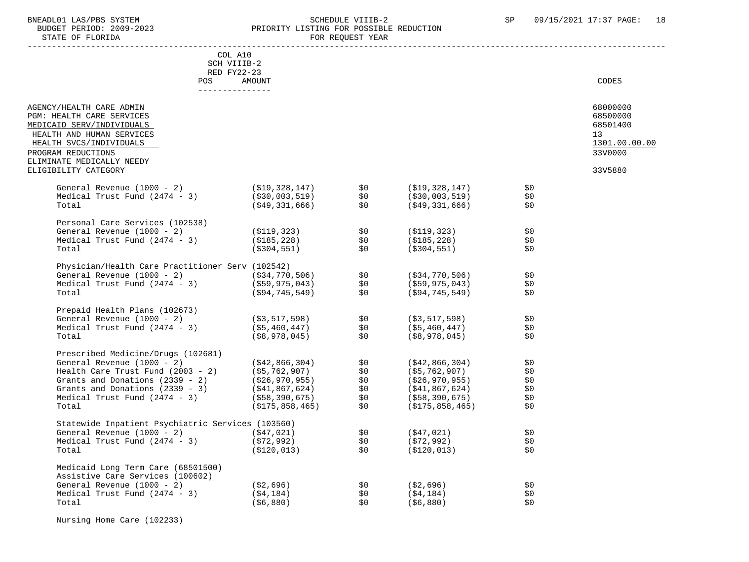#### BNEADL01 LAS/PBS SYSTEM SCHEDULE VIIIB-2 SCHEDULE VIIIB-2 SP 09/15/2021 17:37 PAGE: 18<br>BUDGET PERIOD: 2009-2023 PRIORITY LISTING FOR POSSIBLE REDUCTION BUDGET PERIOD: 2009-2023 PRIORITY LISTING FOR POSSIBLE REDUCTION FOR REOUEST YEAR

| COL A10                                                                                                                                                                                                                                       |                        |            |                                     |                |                                  |
|-----------------------------------------------------------------------------------------------------------------------------------------------------------------------------------------------------------------------------------------------|------------------------|------------|-------------------------------------|----------------|----------------------------------|
| SCH VIIIB-2                                                                                                                                                                                                                                   |                        |            |                                     |                |                                  |
| RED FY22-23                                                                                                                                                                                                                                   |                        |            |                                     |                |                                  |
| <b>POS</b><br>---------------                                                                                                                                                                                                                 | AMOUNT                 |            |                                     |                | CODES                            |
| AGENCY/HEALTH CARE ADMIN<br>PGM: HEALTH CARE SERVICES<br>MEDICAID SERV/INDIVIDUALS                                                                                                                                                            |                        |            |                                     |                | 68000000<br>68500000<br>68501400 |
| HEALTH AND HUMAN SERVICES<br>HEALTH SVCS/INDIVIDUALS<br>PROGRAM REDUCTIONS                                                                                                                                                                    |                        |            |                                     |                | 13<br>1301.00.00.00<br>33V0000   |
| ELIMINATE MEDICALLY NEEDY<br>ELIGIBILITY CATEGORY                                                                                                                                                                                             |                        |            |                                     |                | 33V5880                          |
| General Revenue (1000 - 2) (\$19,328,147) \$0<br>Medical Trust Fund (2474 - 3) (\$30,003,519) \$0<br>Total (\$49,331,666) \$0                                                                                                                 |                        |            | (S19, 328, 147)                     | \$0            |                                  |
|                                                                                                                                                                                                                                               |                        |            | (\$30,003,519)                      | \$0            |                                  |
|                                                                                                                                                                                                                                               |                        |            | ( \$49, 331, 666)                   | \$0            |                                  |
| Personal Care Services (102538)                                                                                                                                                                                                               |                        |            |                                     |                |                                  |
| Personal Care Services (102556)<br>General Revenue (1000 – 2) (\$119,323) \$0<br>Medical Trust Fund (2474 – 3) (\$185,228) \$0<br>Total (\$304,551) \$0                                                                                       |                        |            | (\$119,323)                         | \$0            |                                  |
|                                                                                                                                                                                                                                               |                        |            | (\$185,228)                         | \$0            |                                  |
|                                                                                                                                                                                                                                               |                        |            | (\$304,551)                         | \$0            |                                  |
| Physician/Health Care Practitioner Serv (102542)                                                                                                                                                                                              |                        |            |                                     |                |                                  |
|                                                                                                                                                                                                                                               |                        |            | ( \$34, 770, 506)                   | $\mathbb{S}^0$ |                                  |
| General Revenue (1000 - 2)<br>Medical Trust Fund (2474 - 3) (\$59,975,043) \$0<br>This (1000 - 1)                                                                                                                                             |                        |            | (\$59,975,043)                      | SO.            |                                  |
| Total                                                                                                                                                                                                                                         | (\$94,745,549)         | \$0        | (\$94,745,549)                      | \$0            |                                  |
| Prepaid Health Plans (102673)                                                                                                                                                                                                                 |                        |            |                                     |                |                                  |
| General Revenue (1000 - 2)<br>General Revenue (1000 - 2)<br>Medical Trust Fund (2474 - 3) (\$5,460,447) \$0<br>(\$8.978.045) \$0                                                                                                              | $( $3, 517, 598)$ \$0  |            | (\$3,517,598)                       | \$0            |                                  |
|                                                                                                                                                                                                                                               |                        |            | (55, 460, 447)                      | \$0            |                                  |
|                                                                                                                                                                                                                                               |                        |            | (\$8,978,045)                       | \$0            |                                  |
| Prescribed Medicine/Drugs (102681)                                                                                                                                                                                                            |                        |            |                                     |                |                                  |
| General Revenue (1000 - 2)<br>Health Care Trust Fund (2003 - 2) (\$42,866,304) \$0<br>Grants and Donations (2339 - 2) (\$26,970,955) \$0<br>Grants and Donations (2339 - 3) (\$26,970,955) \$0<br>Medical Trust Fund (2474 - 3) (\$88,390,675 |                        |            | (\$42,866,304)                      | \$0            |                                  |
|                                                                                                                                                                                                                                               |                        | \$0<br>\$0 | (\$5,762,907)<br>(526, 970, 955)    | \$0            |                                  |
|                                                                                                                                                                                                                                               |                        |            |                                     | \$0            |                                  |
|                                                                                                                                                                                                                                               |                        | \$0        | (\$41,867,624)<br>( \$58, 390, 675) | \$0<br>\$0     |                                  |
| Total                                                                                                                                                                                                                                         | (\$175,858,465)        | \$0        | (\$175,858,465)                     | \$0            |                                  |
|                                                                                                                                                                                                                                               |                        |            |                                     |                |                                  |
| Statewide Inpatient Psychiatric Services (103560)                                                                                                                                                                                             |                        |            |                                     |                |                                  |
| Statewide inpatient Psychiatric Services (103560)<br>General Revenue (1000 - 2) (\$47,021) \$0<br>Medical Trust Fund (2474 - 3) (\$72,992) \$0                                                                                                |                        |            | (\$47,021)<br>(\$72,992)            | \$0<br>\$0     |                                  |
| Total                                                                                                                                                                                                                                         | (\$120,013)            | \$0        | (\$120,013)                         | \$0            |                                  |
| Medicaid Long Term Care (68501500)                                                                                                                                                                                                            |                        |            |                                     |                |                                  |
| Assistive Care Services (100602)                                                                                                                                                                                                              |                        |            |                                     |                |                                  |
| General Revenue (1000 - 2)                                                                                                                                                                                                                    |                        | \$0        | (\$2,696)                           | \$0            |                                  |
| Medical Trust Fund (2474 - 3)                                                                                                                                                                                                                 | (\$2,696)<br>(\$4,184) | \$0        | ( \$4, 184)                         | \$0            |                                  |
| Total                                                                                                                                                                                                                                         | ( \$6, 880)            | \$0        | ( \$6,880)                          | \$0            |                                  |

Nursing Home Care (102233)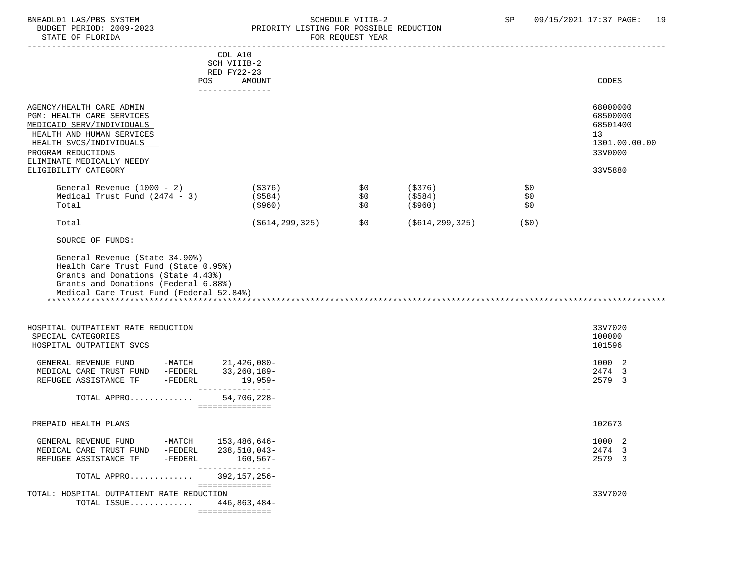#### BNEADL01 LAS/PBS SYSTEM SOME SOME SOME SCHEDULE VIIIB-2 SP 09/15/2021 17:37 PAGE: 19<br>BUDGET PERIOD: 2009-2023 REIORITY LISTING FOR POSSIBLE REDUCTION BUDGET PERIOD: 2009-2023 PRIORITY LISTING FOR POSSIBLE REDUCTION FOR REQUEST YEAR

|                                                                                                                                                                                               |                                         | COL A10<br>SCH VIIIB-2<br>RED FY22-23                       |                   |                               |                   |                                                                    |
|-----------------------------------------------------------------------------------------------------------------------------------------------------------------------------------------------|-----------------------------------------|-------------------------------------------------------------|-------------------|-------------------------------|-------------------|--------------------------------------------------------------------|
|                                                                                                                                                                                               |                                         | POS FOR THE POST OF THE STATE STATES<br>AMOUNT              |                   |                               |                   | CODES                                                              |
| AGENCY/HEALTH CARE ADMIN<br>PGM: HEALTH CARE SERVICES<br>MEDICAID SERV/INDIVIDUALS<br>HEALTH AND HUMAN SERVICES<br>HEALTH SVCS/INDIVIDUALS<br>PROGRAM REDUCTIONS<br>ELIMINATE MEDICALLY NEEDY |                                         | ---------------                                             |                   |                               |                   | 68000000<br>68500000<br>68501400<br>13<br>1301.00.00.00<br>33V0000 |
| ELIGIBILITY CATEGORY                                                                                                                                                                          |                                         |                                                             |                   |                               |                   | 33V5880                                                            |
| General Revenue (1000 - 2)<br>Medical Trust Fund $(2474 - 3)$<br>Total                                                                                                                        |                                         | ( \$376)<br>(\$584)<br>( \$960)                             | \$0<br>\$0<br>\$0 | (\$376)<br>(\$584)<br>(\$960) | \$0<br>\$0<br>\$0 |                                                                    |
| Total                                                                                                                                                                                         |                                         | ( \$614, 299, 325)                                          | \$0               | (\$614,299,325)               | (\$0)             |                                                                    |
| SOURCE OF FUNDS:                                                                                                                                                                              |                                         |                                                             |                   |                               |                   |                                                                    |
| Health Care Trust Fund (State 0.95%)<br>Grants and Donations (State 4.43%)<br>Grants and Donations (Federal 6.88%)<br>Medical Care Trust Fund (Federal 52.84%)                                |                                         |                                                             |                   |                               |                   |                                                                    |
| HOSPITAL OUTPATIENT RATE REDUCTION<br>SPECIAL CATEGORIES<br>HOSPITAL OUTPATIENT SVCS                                                                                                          |                                         |                                                             |                   |                               |                   | 33V7020<br>100000<br>101596                                        |
| GENERAL REVENUE FUND -MATCH 21,426,080-<br>MEDICAL CARE TRUST FUND -FEDERL<br>REFUGEE ASSISTANCE TF -FEDERL                                                                                   |                                         | 33,260,189-<br>19,959-<br>---------------                   |                   |                               |                   | 1000 2<br>2474 3<br>2579 3                                         |
| TOTAL APPRO                                                                                                                                                                                   |                                         | $54,706,228-$<br>===============                            |                   |                               |                   |                                                                    |
|                                                                                                                                                                                               |                                         |                                                             |                   |                               |                   |                                                                    |
| PREPAID HEALTH PLANS                                                                                                                                                                          |                                         |                                                             |                   |                               |                   | 102673                                                             |
| GENERAL REVENUE FUND<br>MEDICAL CARE TRUST FUND<br>REFUGEE ASSISTANCE TF                                                                                                                      | -MATCH<br>$-\verb FEDERL $<br>$-FEDERL$ | 153,486,646-<br>238,510,043-<br>$160, 567 -$<br>----------- |                   |                               |                   | 1000 2<br>2474 3<br>2579 3                                         |
| TOTAL APPRO                                                                                                                                                                                   |                                         | 392, 157, 256-                                              |                   |                               |                   |                                                                    |
| TOTAL: HOSPITAL OUTPATIENT RATE REDUCTION<br>TOTAL ISSUE                                                                                                                                      |                                         | ===============<br>446,863,484-<br>===============          |                   |                               |                   | 33V7020                                                            |
|                                                                                                                                                                                               |                                         |                                                             |                   |                               |                   |                                                                    |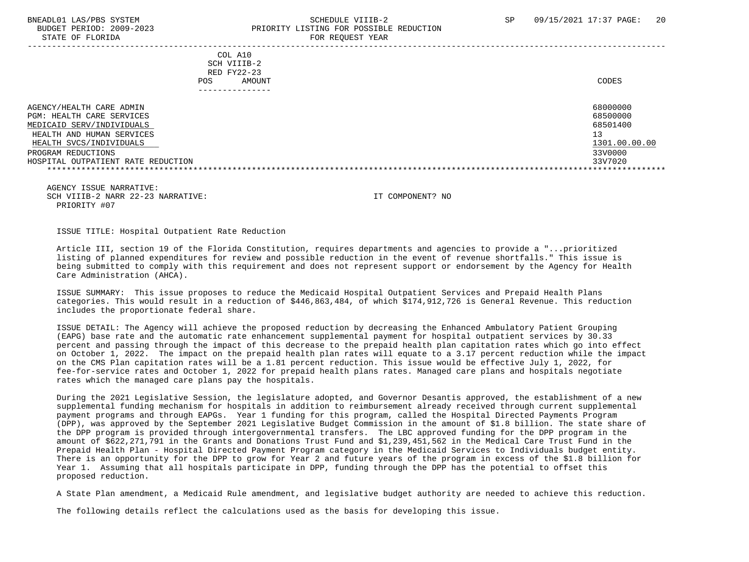#### BNEADL01 LAS/PBS SYSTEM SCHEDULE VIIIB-2 SCHEDULE VIIIB-2 SP 09/15/2021 17:37 PAGE: 20 BUDGET PERIOD: 2009-2023 PRIORITY LISTING FOR POSSIBLE REDUCTION STATE OF FLORIDA FOR REQUEST YEAR FOR REQUEST THAT AND THE STATE OF STATE OF STATE OF STATE OF STATE OF STATE O

 ----------------------------------------------------------------------------------------------------------------------------------- COL A10 SCH VIIIB-2 RED FY22-23 POS AMOUNT CODES --------------- AGENCY/HEALTH CARE ADMIN 68000000 AGENCY/HEALTH CARE ADMIN PGM: HEALTH CARE SERVICES 68500000 PGM: 68500000 PGM: 68500000 68500000 PGM: 68500000 0 68500000 PGM: 68501400<br>MEDICAID SERV/INDIVIDUALS MEDICAID SERV/INDIVIDUALS HEALTH AND HUMAN SERVICES 13 (1999) 13 (1999) 13 (1999) 13 (1999) 13 (1999) 13 (1999) 13 (1999) 13 (1999) 13 (1999) 13 (1999) 13 (1999) 13 (1999) 13 (1999) 13 (1999) 13 (1999) 13 (1999) 13 (1999) 13 (1999) 13 (1999) 13 (19 HEALTH SVCS/INDIVIDUALS 1301.00.<br>Program reductions 33V0000. PROGRAM REDUCTIONS HOSPITAL OUTPATIENT RATE REDUCTION 33V7020 \*\*\*\*\*\*\*\*\*\*\*\*\*\*\*\*\*\*\*\*\*\*\*\*\*\*\*\*\*\*\*\*\*\*\*\*\*\*\*\*\*\*\*\*\*\*\*\*\*\*\*\*\*\*\*\*\*\*\*\*\*\*\*\*\*\*\*\*\*\*\*\*\*\*\*\*\*\*\*\*\*\*\*\*\*\*\*\*\*\*\*\*\*\*\*\*\*\*\*\*\*\*\*\*\*\*\*\*\*\*\*\*\*\*\*\*\*\*\*\*\*\*\*\*\*\*\*

 AGENCY ISSUE NARRATIVE: SCH VIIIB-2 NARR 22-23 NARRATIVE: IT COMPONENT? NO PRIORITY #07

ISSUE TITLE: Hospital Outpatient Rate Reduction

 Article III, section 19 of the Florida Constitution, requires departments and agencies to provide a "...prioritized listing of planned expenditures for review and possible reduction in the event of revenue shortfalls." This issue is being submitted to comply with this requirement and does not represent support or endorsement by the Agency for Health Care Administration (AHCA).

 ISSUE SUMMARY: This issue proposes to reduce the Medicaid Hospital Outpatient Services and Prepaid Health Plans categories. This would result in a reduction of \$446,863,484, of which \$174,912,726 is General Revenue. This reduction includes the proportionate federal share.

 ISSUE DETAIL: The Agency will achieve the proposed reduction by decreasing the Enhanced Ambulatory Patient Grouping (EAPG) base rate and the automatic rate enhancement supplemental payment for hospital outpatient services by 30.33 percent and passing through the impact of this decrease to the prepaid health plan capitation rates which go into effect on October 1, 2022. The impact on the prepaid health plan rates will equate to a 3.17 percent reduction while the impact on the CMS Plan capitation rates will be a 1.81 percent reduction. This issue would be effective July 1, 2022, for fee-for-service rates and October 1, 2022 for prepaid health plans rates. Managed care plans and hospitals negotiate rates which the managed care plans pay the hospitals.

 During the 2021 Legislative Session, the legislature adopted, and Governor Desantis approved, the establishment of a new supplemental funding mechanism for hospitals in addition to reimbursement already received through current supplemental payment programs and through EAPGs. Year 1 funding for this program, called the Hospital Directed Payments Program (DPP), was approved by the September 2021 Legislative Budget Commission in the amount of \$1.8 billion. The state share of the DPP program is provided through intergovernmental transfers. The LBC approved funding for the DPP program in the amount of \$622,271,791 in the Grants and Donations Trust Fund and \$1,239,451,562 in the Medical Care Trust Fund in the Prepaid Health Plan - Hospital Directed Payment Program category in the Medicaid Services to Individuals budget entity. There is an opportunity for the DPP to grow for Year 2 and future years of the program in excess of the \$1.8 billion for Year 1. Assuming that all hospitals participate in DPP, funding through the DPP has the potential to offset this proposed reduction.

A State Plan amendment, a Medicaid Rule amendment, and legislative budget authority are needed to achieve this reduction.

The following details reflect the calculations used as the basis for developing this issue.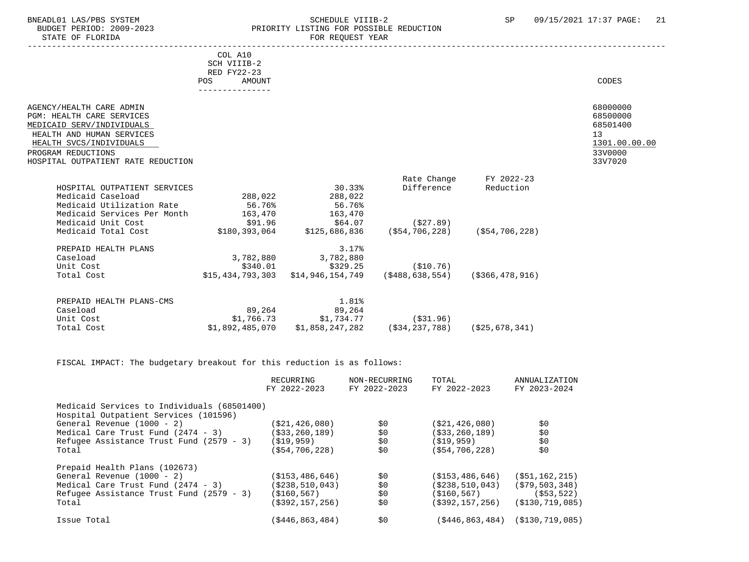## BNEADL01 LAS/PBS SYSTEM SCHEDULE VIIIB-2 SEREDULE VIIIB-2 SP 09/15/2021 17:37 PAGE: 21 BUDGET PERIOD: 2009-2023 PRIORITY LISTING FOR POSSIBLE REDUCTION<br>FOR REQUEST YEAR FOR REQUEST YEAR

|                                             | COL A10       |                                                                   |             |                |                 |
|---------------------------------------------|---------------|-------------------------------------------------------------------|-------------|----------------|-----------------|
|                                             | SCH VIIIB-2   |                                                                   |             |                |                 |
|                                             | RED FY22-23   |                                                                   |             |                |                 |
|                                             | AMOUNT<br>POS |                                                                   |             |                | CODES           |
|                                             |               |                                                                   |             |                |                 |
| AGENCY/HEALTH CARE ADMIN                    |               |                                                                   |             |                | 68000000        |
| PGM: HEALTH CARE SERVICES                   |               |                                                                   |             |                | 68500000        |
| MEDICAID SERV/INDIVIDUALS                   |               |                                                                   |             |                | 68501400        |
| HEALTH AND HUMAN SERVICES                   |               |                                                                   |             |                | 13 <sup>°</sup> |
| HEALTH SVCS/INDIVIDUALS                     |               |                                                                   |             |                | 1301.00.00.00   |
| PROGRAM REDUCTIONS                          |               |                                                                   |             |                | 33V0000         |
| HOSPITAL OUTPATIENT RATE REDUCTION          |               |                                                                   |             |                | 33V7020         |
|                                             |               |                                                                   |             |                |                 |
|                                             |               |                                                                   | Rate Change | FY 2022-23     |                 |
| HOSPITAL OUTPATIENT SERVICES                |               | 30.33%                                                            | Difference  | Reduction      |                 |
| Medicaid Caseload                           |               | 288,022 288,022                                                   |             |                |                 |
| Medicaid Utilization Rate                   | 56.76%        | 56.76%                                                            |             |                |                 |
| Medicaid Services Per Month 163,470 163,470 |               |                                                                   |             |                |                 |
| Medicaid Unit Cost                          |               |                                                                   | (527.89)    |                |                 |
| Medicaid Total Cost                         |               | $$180,393,064$ $$125,686,836$ $$54,706,228$ $$54,706,228$         |             |                |                 |
| PREPAID HEALTH PLANS                        |               | 3.17%                                                             |             |                |                 |
| Caseload                                    |               | 3,782,880 3,782,880                                               |             |                |                 |
| Unit Cost                                   |               | $$340.01$ $$329.25$ (\$10.76)                                     |             |                |                 |
| Total Cost                                  |               | $$15,434,793,303$ $$14,946,154,749$ $$488,638,554$ $$366,478,916$ |             |                |                 |
|                                             |               |                                                                   |             |                |                 |
| PREPAID HEALTH PLANS-CMS                    |               | 1.81%                                                             |             |                |                 |
| Caseload                                    |               | 89,264 89,264                                                     |             |                |                 |
| Unit Cost                                   |               | $$1,766.73$ $$1,734.77$ (\$31.96)                                 |             |                |                 |
| Total Cost                                  |               | $$1,892,485,070$ $$1,858,247,282$ (\$34,237,788)                  |             | (\$25,678,341) |                 |

FISCAL IMPACT: The budgetary breakout for this reduction is as follows:

|                                                        | RECURRING<br>FY 2022-2023 | NON-RECURRING<br>FY 2022-2023 | TOTAL<br>FY 2022-2023 | ANNUALIZATION<br>FY 2023-2024           |
|--------------------------------------------------------|---------------------------|-------------------------------|-----------------------|-----------------------------------------|
| Medicaid Services to Individuals (68501400)            |                           |                               |                       |                                         |
| Hospital Outpatient Services (101596)                  |                           |                               |                       |                                         |
| General Revenue $(1000 - 2)$                           | ( \$21, 426, 080 )        | \$0                           | (S21, 426, 080)       | \$0                                     |
| Medical Care Trust Fund (2474 - 3)                     | ( \$33, 260, 189)         | \$0                           | ( \$33, 260, 189)     | \$0                                     |
| Refugee Assistance Trust Fund $(2579 - 3)$ $(519,959)$ |                           | \$0                           | (\$19,959)            | \$0                                     |
| Total                                                  | ( \$54, 706, 228 )        | \$0                           | ( \$54, 706, 228)     | \$0                                     |
| Prepaid Health Plans (102673)                          |                           |                               |                       |                                         |
| General Revenue $(1000 - 2)$                           | (S153, 486, 646)          | \$0                           | (S153, 486, 646)      | $($ \$51,162,215)                       |
| Medical Care Trust Fund (2474 - 3)                     | ( \$238, 510, 043)        | \$0                           | ( \$238, 510, 043)    | (\$79,503,348)                          |
| Refugee Assistance Trust Fund (2579 - 3)               | (\$160,567)               | \$0                           | (S160, 567)           | ( \$53, 522)                            |
| Total                                                  | $($ \$392,157,256)        | \$0                           | (\$392,157,256)       | (S130, 719, 085)                        |
| Issue Total                                            | ( \$446, 863, 484)        | \$0                           |                       | $( $446, 863, 484)$ $( $130, 719, 085)$ |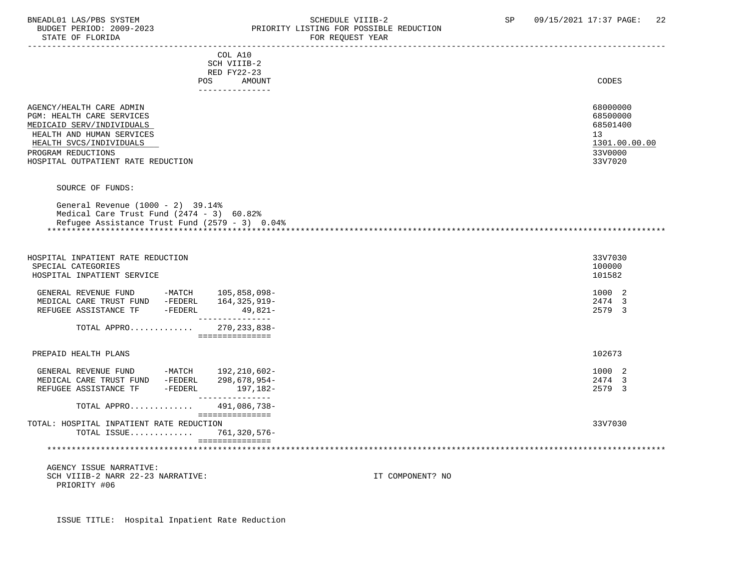#### BNEADL01 LAS/PBS SYSTEM SCHEDULE VIIIB-2 SCHEDULE VIIIB-2 SP 09/15/2021 17:37 PAGE: 22 BUDGET PERIOD: 2009-2023 PRIORITY LISTING FOR POSSIBLE REDUCTION STATE OF FLORIDA FOR REQUEST YEAR FOR REQUEST YEAR

| COL A10<br>SCH VIIIB-2                                                                                                                                                                                 |                                                                               |
|--------------------------------------------------------------------------------------------------------------------------------------------------------------------------------------------------------|-------------------------------------------------------------------------------|
| RED FY22-23                                                                                                                                                                                            |                                                                               |
| POS<br>AMOUNT<br>---------------                                                                                                                                                                       | CODES                                                                         |
| AGENCY/HEALTH CARE ADMIN<br>PGM: HEALTH CARE SERVICES<br>MEDICAID SERV/INDIVIDUALS<br>HEALTH AND HUMAN SERVICES<br>HEALTH SVCS/INDIVIDUALS<br>PROGRAM REDUCTIONS<br>HOSPITAL OUTPATIENT RATE REDUCTION | 68000000<br>68500000<br>68501400<br>13<br>1301.00.00.00<br>33V0000<br>33V7020 |
| SOURCE OF FUNDS:                                                                                                                                                                                       |                                                                               |
|                                                                                                                                                                                                        |                                                                               |
| General Revenue (1000 - 2) 39.14%<br>Medical Care Trust Fund $(2474 - 3)$ 60.82%<br>Refugee Assistance Trust Fund $(2579 - 3)$ 0.04%                                                                   |                                                                               |
| HOSPITAL INPATIENT RATE REDUCTION                                                                                                                                                                      | 33V7030                                                                       |
| SPECIAL CATEGORIES<br>HOSPITAL INPATIENT SERVICE                                                                                                                                                       | 100000<br>101582                                                              |
| GENERAL REVENUE FUND -MATCH 105,858,098-<br>MEDICAL CARE TRUST FUND -FEDERL<br>164,325,919–<br>REFUGEE ASSISTANCE TF -FEDERL<br>49,821-                                                                | 1000 2<br>2474 3<br>2579 3                                                    |
| _______________<br>TOTAL APPRO 270, 233, 838-<br>===============                                                                                                                                       |                                                                               |
| PREPAID HEALTH PLANS                                                                                                                                                                                   | 102673                                                                        |
| GENERAL REVENUE FUND -MATCH 192,210,602-                                                                                                                                                               | 1000 2                                                                        |
| MEDICAL CARE TRUST FUND -FEDERL<br>298,678,954-                                                                                                                                                        | 2474 3                                                                        |
| REFUGEE ASSISTANCE TF -FEDERL<br>- 197,182<br>--------------                                                                                                                                           | 2579 3                                                                        |
| TOTAL APPRO<br>491,086,738-                                                                                                                                                                            |                                                                               |
| ===============<br>TOTAL: HOSPITAL INPATIENT RATE REDUCTION                                                                                                                                            | 33V7030                                                                       |
| 761,320,576-<br>TOTAL ISSUE                                                                                                                                                                            |                                                                               |
| - ================                                                                                                                                                                                     |                                                                               |
| AGENCY ISSUE NARRATIVE:                                                                                                                                                                                |                                                                               |
| SCH VIIIB-2 NARR 22-23 NARRATIVE:<br>PRIORITY #06                                                                                                                                                      | IT COMPONENT? NO                                                              |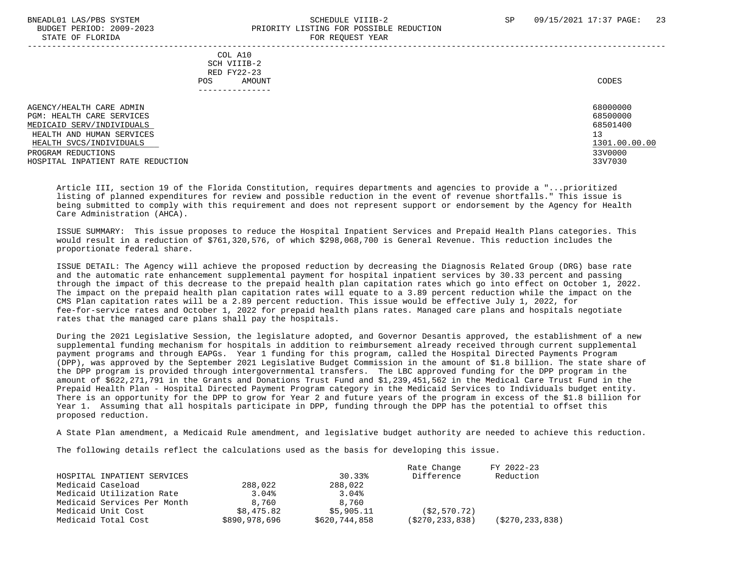#### BNEADL01 LAS/PBS SYSTEM SCHEDULE VIIIB-2 SCHEDULE VIIIB-2 SP 09/15/2021 17:37 PAGE: 23 BUDGET PERIOD: 2009-2023 PRIORITY LISTING FOR POSSIBLE REDUCTION STATE OF FLORIDA FOR REQUEST YEAR FOR REQUEST THAT A STATE OF STATE OF STATE OF STATE OF STATE OF STATE OF STATE OF STATE OF STATE OF STATE OF STATE OF STATE OF STATE OF STATE OF STATE OF STATE OF STATE OF STATE OF STATE O

-----------------------------------------------------------------------------------------------------------------------------------

 COL A10 SCH VIIIB-2 RED FY22-23 POS AMOUNT CODES ---------------

AGENCY/HEALTH CARE ADMIN 68000000 (68000000 ) 68000000 (68000000 ) 68000000 (685000000 ) 68500000 (68500000 ) 685000 (685000 ) 685000 (685000 ) 685000 (68500 ) 68500 (68500 ) 68500 (68500 ) 68500 (68500 ) 68500 (68500 ) 68 PGM: HEALTH CARE SERVICES 68500000 PGM: 68500000 PGM: 68500000 68500000 PGM: 68500000 0 68500000 PGM: 68501400<br>MEDICAID SERV/INDIVIDUALS MEDICAID SERV/INDIVIDUALS HEALTH AND HUMAN SERVICES 13 (1999) 13 (1999) 13 (1999) 13 (1999) 13 (1999) 13 (1999) 13 (1999) 13 (1999) 13 (1999) 13 (1999) 13 (1999) 13 (1999) 13 (1999) 13 (1999) 13 (1999) 13 (1999) 13 (1999) 13 (1999) 13 (1999) 13 (19  $\frac{1301.00}{330000}$   $\frac{1301.00}{330000}$ PROGRAM REDUCTIONS HOSPITAL INPATIENT RATE REDUCTION 33V7030

 Article III, section 19 of the Florida Constitution, requires departments and agencies to provide a "...prioritized listing of planned expenditures for review and possible reduction in the event of revenue shortfalls." This issue is being submitted to comply with this requirement and does not represent support or endorsement by the Agency for Health Care Administration (AHCA).

 ISSUE SUMMARY: This issue proposes to reduce the Hospital Inpatient Services and Prepaid Health Plans categories. This would result in a reduction of \$761,320,576, of which \$298,068,700 is General Revenue. This reduction includes the proportionate federal share.

 ISSUE DETAIL: The Agency will achieve the proposed reduction by decreasing the Diagnosis Related Group (DRG) base rate and the automatic rate enhancement supplemental payment for hospital inpatient services by 30.33 percent and passing through the impact of this decrease to the prepaid health plan capitation rates which go into effect on October 1, 2022. The impact on the prepaid health plan capitation rates will equate to a 3.89 percent reduction while the impact on the CMS Plan capitation rates will be a 2.89 percent reduction. This issue would be effective July 1, 2022, for fee-for-service rates and October 1, 2022 for prepaid health plans rates. Managed care plans and hospitals negotiate rates that the managed care plans shall pay the hospitals.

 During the 2021 Legislative Session, the legislature adopted, and Governor Desantis approved, the establishment of a new supplemental funding mechanism for hospitals in addition to reimbursement already received through current supplemental payment programs and through EAPGs. Year 1 funding for this program, called the Hospital Directed Payments Program (DPP), was approved by the September 2021 Legislative Budget Commission in the amount of \$1.8 billion. The state share of the DPP program is provided through intergovernmental transfers. The LBC approved funding for the DPP program in the amount of \$622,271,791 in the Grants and Donations Trust Fund and \$1,239,451,562 in the Medical Care Trust Fund in the Prepaid Health Plan - Hospital Directed Payment Program category in the Medicaid Services to Individuals budget entity. There is an opportunity for the DPP to grow for Year 2 and future years of the program in excess of the \$1.8 billion for Year 1. Assuming that all hospitals participate in DPP, funding through the DPP has the potential to offset this proposed reduction.

A State Plan amendment, a Medicaid Rule amendment, and legislative budget authority are needed to achieve this reduction.

The following details reflect the calculations used as the basis for developing this issue.

|                             |               |               | Rate Change        | FY 2022-23       |
|-----------------------------|---------------|---------------|--------------------|------------------|
| HOSPITAL INPATIENT SERVICES |               | 30.33%        | Difference         | Reduction        |
| Medicaid Caseload           | 288,022       | 288,022       |                    |                  |
| Medicaid Utilization Rate   | 3.04%         | 3.04%         |                    |                  |
| Medicaid Services Per Month | 8,760         | 8,760         |                    |                  |
| Medicaid Unit Cost          | \$8,475.82    | \$5,905.11    | (S2, 570.72)       |                  |
| Medicaid Total Cost         | \$890,978,696 | \$620,744,858 | ( \$270, 233, 838) | (S270, 233, 838) |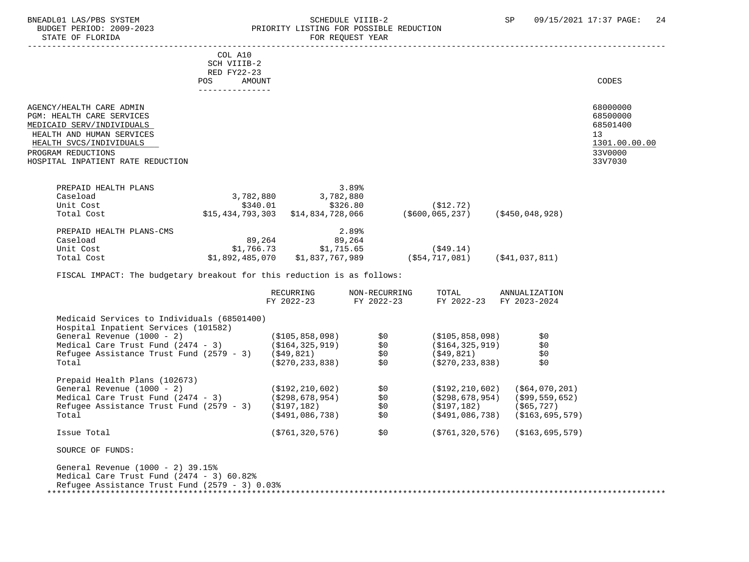#### BNEADL01 LAS/PBS SYSTEM SCHEDULE VIIIB-2 SCHEDULE VIIIB-2 SP 09/15/2021 17:37 PAGE: 24 BUDGET PERIOD: 2009-2023<br>
STATE OF FLORIDA<br>
FOR REOUEST YEAR FOR REQUEST YEAR

|                                                                                                                                                                                                       | COL A10<br>SCH VIIIB-2<br>RED FY22-23<br>POS<br>--------------- | AMOUNT                |                                                                       |                                  |                     | CODES                                                                         |
|-------------------------------------------------------------------------------------------------------------------------------------------------------------------------------------------------------|-----------------------------------------------------------------|-----------------------|-----------------------------------------------------------------------|----------------------------------|---------------------|-------------------------------------------------------------------------------|
| AGENCY/HEALTH CARE ADMIN<br>PGM: HEALTH CARE SERVICES<br>MEDICAID SERV/INDIVIDUALS<br>HEALTH AND HUMAN SERVICES<br>HEALTH SVCS/INDIVIDUALS<br>PROGRAM REDUCTIONS<br>HOSPITAL INPATIENT RATE REDUCTION |                                                                 |                       |                                                                       |                                  |                     | 68000000<br>68500000<br>68501400<br>13<br>1301.00.00.00<br>33V0000<br>33V7030 |
| PREPAID HEALTH PLANS<br>Caseload<br>Unit Cost<br>Total Cost                                                                                                                                           |                                                                 | 3,782,880<br>\$340.01 | 3.89%<br>3,782,880<br>\$326.80<br>$$15,434,793,303$ $$14,834,728,066$ | ( \$12.72)<br>( \$600, 065, 237) | ( \$450, 048, 928 ) |                                                                               |
| PREPAID HEALTH PLANS-CMS                                                                                                                                                                              |                                                                 |                       | 2.89%                                                                 |                                  |                     |                                                                               |

Total Cost \$1,892,485,070 \$1,837,767,989 (\$54,717,081) (\$41,037,811)

FY 2022-23 FY 2022-23 FY 2022-23 FY 2023-2024

(\$491,086,738)

RECURRING NON-RECURRING TOTAL ANNUALIZATION

General Revenue (1000 - 2) (\$105,858,098) \$0 (\$105,858,098) \$0 Medical Care Trust Fund (2474 - 3) (\$164,325,919) \$0 (\$164,325,919) \$0 Refugee Assistance Trust Fund (2579 - 3) (\$49,821) \$0 (\$49,821) \$0 Total (\$270,233,838) \$0 (\$270,233,838) \$0

General Revenue (1000 - 2) (\$192,210,602) \$0 (\$192,210,602) (\$64,070,201)<br>Medical Care Trust Fund (2474 - 3) (\$298,678,954) \$0 (\$298,678,954) (\$99,559,652)

Refugee Assistance Trust Fund (2579 - 3) (\$197,182)  $(5491,086,738)$  (\$197,182) (\$65,727)<br>Total (\$163,695,579) (\$163,695,579) (\$191,086,738) (\$163,695,579)

Issue Total (\$761,320,576) \$0 (\$761,320,576) (\$163,695,579)

\*\*\*\*\*\*\*\*\*\*\*\*\*\*\*\*\*\*\*\*\*\*\*\*\*\*\*\*\*\*\*\*\*\*\*\*\*\*\*\*\*\*\*\*\*\*\*\*\*\*\*\*\*\*\*\*\*\*\*\*\*\*\*\*\*\*\*\*\*\*\*\*\*\*\*\*\*\*\*\*\*\*\*\*\*\*\*\*\*\*\*\*\*\*\*\*\*\*\*\*\*\*\*\*\*\*\*\*\*\*\*\*\*\*\*\*\*\*\*\*\*\*\*\*\*\*\*

Caseload 89,264 89,264

Medicaid Services to Individuals (68501400)

Hospital Inpatient Services (101582)

Prepaid Health Plans (102673)

SOURCE OF FUNDS:

Medical Care Trust Fund  $(2474 - 3)$ 

General Revenue (1000 - 2) 39.15%

 Medical Care Trust Fund (2474 - 3) 60.82% Refugee Assistance Trust Fund (2579 - 3) 0.03%

Unit Cost \$1,766.73 \$1,715.65 (\$49.14)

FISCAL IMPACT: The budgetary breakout for this reduction is as follows: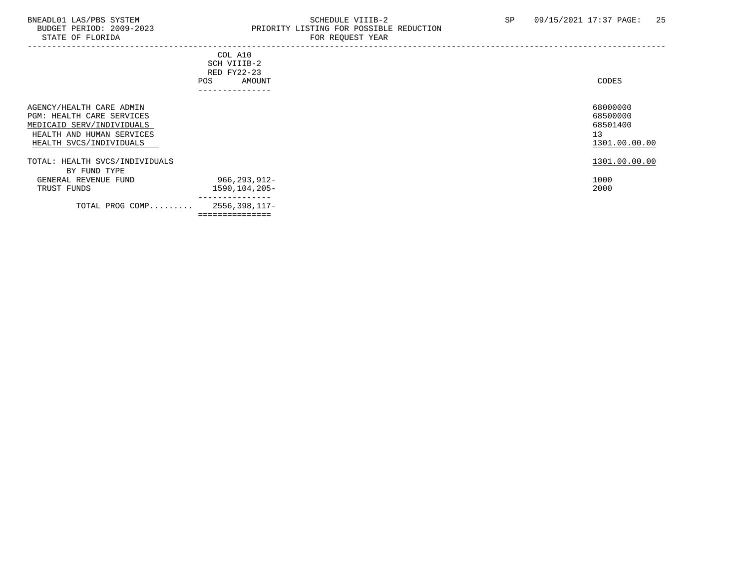## BNEADL01 LAS/PBS SYSTEM SCHEDULE VIIIB-2 SCHEDULE VIIIB-2 SP 09/15/2021 17:37 PAGE: 25<br>BUDGET PERIOD: 2009-2023 PRIORITY LISTING FOR POSSIBLE REDUCTION PRIORITY LISTING FOR POSSIBLE REDUCTION<br>FOR PEOURST YEAR

| PIAIR OF LUOKIDH                                                                                                                           | PUR REQUESI IEAR                                                         |                                                         |
|--------------------------------------------------------------------------------------------------------------------------------------------|--------------------------------------------------------------------------|---------------------------------------------------------|
|                                                                                                                                            | COL A10<br>SCH VIIIB-2<br>RED FY22-23<br>AMOUNT<br>POS<br>-------------- | CODES                                                   |
| AGENCY/HEALTH CARE ADMIN<br>PGM: HEALTH CARE SERVICES<br>MEDICAID SERV/INDIVIDUALS<br>HEALTH AND HUMAN SERVICES<br>HEALTH SVCS/INDIVIDUALS |                                                                          | 68000000<br>68500000<br>68501400<br>13<br>1301.00.00.00 |
| TOTAL: HEALTH SVCS/INDIVIDUALS<br>BY FUND TYPE<br>GENERAL REVENUE FUND<br>TRUST FUNDS                                                      | 966,293,912-<br>1590,104,205-                                            | 1301.00.00.00<br>1000<br>2000                           |
| TOTAL PROG COMP                                                                                                                            | 2556,398,117-<br>===============                                         |                                                         |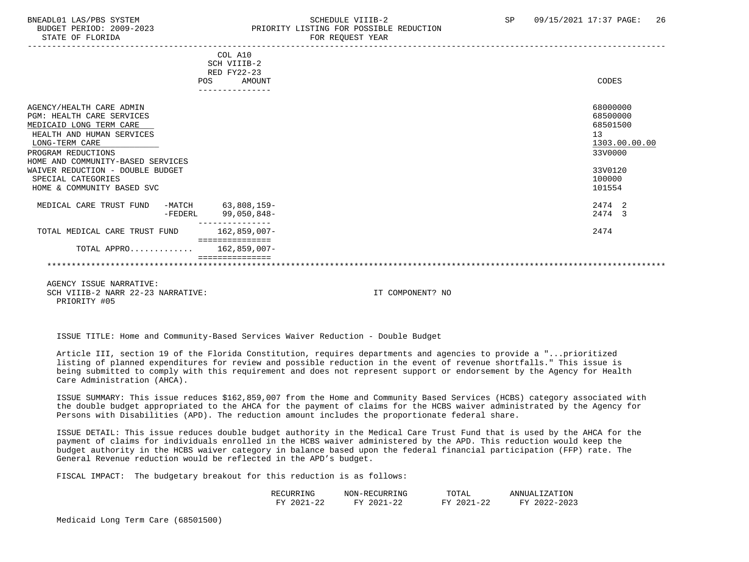#### BNEADL01 LAS/PBS SYSTEM SCHEDULE VIIIB-2 SCHEDULE VIIIB-2 SP 09/15/2021 17:37 PAGE: 26 BUDGET PERIOD: 2009-2023 PRIORITY LISTING FOR POSSIBLE REDUCTION STATE OF FLORIDA FOR REQUEST YEAR FOR REQUEST YEAR

| COL A10<br>SCH VIIIB-2     |                                                                    |
|----------------------------|--------------------------------------------------------------------|
| AMOUNT                     | CODES                                                              |
|                            | 68000000<br>68500000<br>68501500<br>13<br>1303.00.00.00<br>33V0000 |
|                            | 33V0120<br>100000<br>101554                                        |
| 63,808,159-<br>99,050,848- | 2474 2<br>2474 3                                                   |
| $162,859,007-$             | 2474                                                               |
| 162,859,007-               |                                                                    |
| $-FEDERL$                  | RED FY22-23<br>POS<br>===============<br>TOTAL APPRO               |

 AGENCY ISSUE NARRATIVE: SCH VIIIB-2 NARR 22-23 NARRATIVE: IT COMPONENT? NO PRIORITY #05

ISSUE TITLE: Home and Community-Based Services Waiver Reduction - Double Budget

 Article III, section 19 of the Florida Constitution, requires departments and agencies to provide a "...prioritized listing of planned expenditures for review and possible reduction in the event of revenue shortfalls." This issue is being submitted to comply with this requirement and does not represent support or endorsement by the Agency for Health Care Administration (AHCA).

 ISSUE SUMMARY: This issue reduces \$162,859,007 from the Home and Community Based Services (HCBS) category associated with the double budget appropriated to the AHCA for the payment of claims for the HCBS waiver administrated by the Agency for Persons with Disabilities (APD). The reduction amount includes the proportionate federal share.

 ISSUE DETAIL: This issue reduces double budget authority in the Medical Care Trust Fund that is used by the AHCA for the payment of claims for individuals enrolled in the HCBS waiver administered by the APD. This reduction would keep the budget authority in the HCBS waiver category in balance based upon the federal financial participation (FFP) rate. The General Revenue reduction would be reflected in the APD's budget.

FISCAL IMPACT: The budgetary breakout for this reduction is as follows:

| PRING<br>RE(                                        | – ו\∩די<br>1 I H<br>T M C<br>INU!              | ግባጣን<br>UIAL                                 | $7 - 7$<br>ANNU<br>$\overline{\phantom{a}}$<br>. ש |
|-----------------------------------------------------|------------------------------------------------|----------------------------------------------|----------------------------------------------------|
| າດາ<br>πv<br>$\overline{\phantom{0}}$<br>. .<br>⊶ ⊶ | $\sim$<br><b>TRAZ</b><br>202<br>.<br><u>44</u> | $\sim$<br>T/T<br>$\sim$ $\sim$ $\sim$<br>້៹៹ | ດດດ<br><b>TRAZ</b>                                 |

Medicaid Long Term Care (68501500)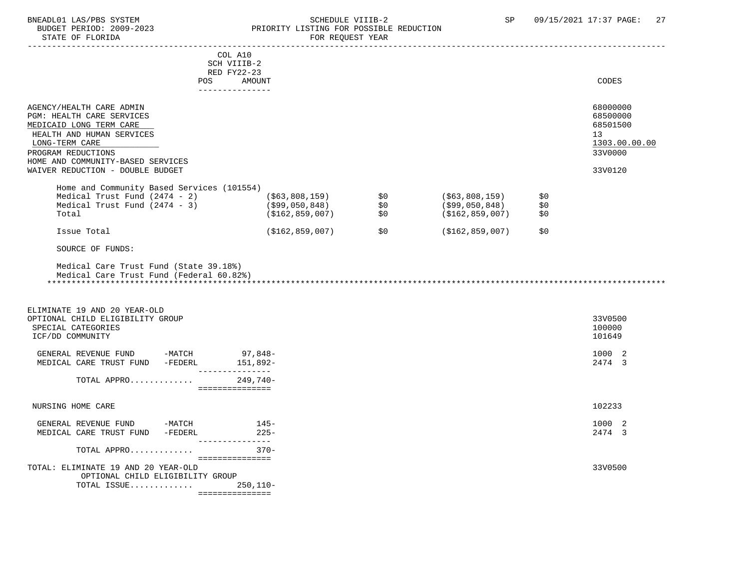#### BNEADL01 LAS/PBS SYSTEM SCHEDULE VIIIB-2 SCHEDULE VIIIB-2 SP 09/15/2021 17:37 PAGE: 27<br>BUDGET PERIOD: 2009-2023 PRIORITY LISTING FOR POSSIBLE REDUCTION BUDGET PERIOD: 2009-2023 PRIORITY LISTING FOR POSSIBLE REDUCTION<br>STATE OF FLORIDA FOR REQUEST YEAR

|                                                                                                                                                                                            | TUN NEVUEDI IEAN                                 |     |                                                     |                   |                                                                    |
|--------------------------------------------------------------------------------------------------------------------------------------------------------------------------------------------|--------------------------------------------------|-----|-----------------------------------------------------|-------------------|--------------------------------------------------------------------|
| <b>POS</b>                                                                                                                                                                                 | COL A10<br>SCH VIIIB-2<br>RED FY22-23<br>AMOUNT  |     |                                                     |                   | CODES                                                              |
|                                                                                                                                                                                            | ---------------                                  |     |                                                     |                   |                                                                    |
| AGENCY/HEALTH CARE ADMIN<br>PGM: HEALTH CARE SERVICES<br>MEDICAID LONG TERM CARE<br>HEALTH AND HUMAN SERVICES<br>LONG-TERM CARE<br>PROGRAM REDUCTIONS<br>HOME AND COMMUNITY-BASED SERVICES |                                                  |     |                                                     |                   | 68000000<br>68500000<br>68501500<br>13<br>1303.00.00.00<br>33V0000 |
| WAIVER REDUCTION - DOUBLE BUDGET                                                                                                                                                           |                                                  |     |                                                     |                   | 33V0120                                                            |
| Home and Community Based Services (101554)<br>Medical Trust Fund (2474 - 2) (\$63,808,159) \$0<br>Medical Trust Fund (2474 - 3) (\$99,050,848) \$0<br>Total                                | (\$162,859,007)                                  | \$0 | (\$63,808,159)<br>(\$99,050,848)<br>(\$162,859,007) | \$0<br>\$0<br>\$0 |                                                                    |
| Issue Total                                                                                                                                                                                | (\$162,859,007)                                  |     | $$0$ (\$162,859,007)                                | \$0               |                                                                    |
| SOURCE OF FUNDS:                                                                                                                                                                           |                                                  |     |                                                     |                   |                                                                    |
| Medical Care Trust Fund (Federal 60.82%)<br>ELIMINATE 19 AND 20 YEAR-OLD<br>OPTIONAL CHILD ELIGIBILITY GROUP<br>SPECIAL CATEGORIES<br>ICF/DD COMMUNITY                                     |                                                  |     |                                                     |                   | 33V0500<br>100000<br>101649                                        |
| GENERAL REVENUE FUND -MATCH 97,848-<br>MEDICAL CARE TRUST FUND -FEDERL 151,892-                                                                                                            | ________________                                 |     |                                                     |                   | 1000 2<br>2474 3                                                   |
| TOTAL APPRO                                                                                                                                                                                | 249,740-<br>----------------                     |     |                                                     |                   |                                                                    |
| NURSING HOME CARE                                                                                                                                                                          |                                                  |     |                                                     |                   | 102233                                                             |
| GENERAL REVENUE FUND -MATCH 145-<br>MEDICAL CARE TRUST FUND -FEDERL<br>_________________                                                                                                   | $225 -$                                          |     |                                                     |                   | 1000 2<br>2474 3                                                   |
| TOTAL APPRO                                                                                                                                                                                | $370 -$                                          |     |                                                     |                   |                                                                    |
| TOTAL: ELIMINATE 19 AND 20 YEAR-OLD<br>OPTIONAL CHILD ELIGIBILITY GROUP<br>TOTAL ISSUE                                                                                                     | ===============<br>$250,110-$<br>=============== |     |                                                     |                   | 33V0500                                                            |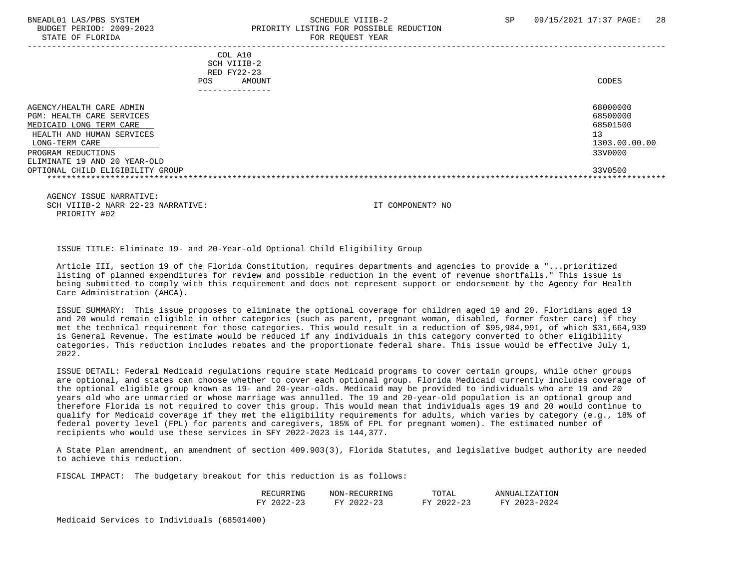#### BNEADL01 LAS/PBS SYSTEM SCHEDULE VIIIB-2 SCHEDULE VIIIB-2 SP 09/15/2021 17:37 PAGE: 28 BUDGET PERIOD: 2009-2023 PRIORITY LISTING FOR POSSIBLE REDUCTION STATE OF FLORIDA FOR REQUEST YEAR FOR REQUEST THAT THE REDUCT OF STATE OF STATE OF STATE OF STATE OF STATE OF STATE OF STATE OF STATE OF STATE OF STATE OF STATE OF STATE OF STATE OF STATE OF STATE OF STATE OF STATE OF STAT

 ----------------------------------------------------------------------------------------------------------------------------------- COL A10 SCH VIIIB-2 RED FY22-23 POS AMOUNT CODES --------------- AGENCY/HEALTH CARE ADMIN 68000000 AGENCY/HEALTH CARE ADMIN PGM: HEALTH CARE SERVICES 68500000 MEDICAID LONG TERM CARE HEALTH AND HUMAN SERVICES 13  $\underline{\text{LONG-TERM CARE}}$   $\underline{\text{1303.00.00}}$  PROGRAM REDUCTIONS 33V0000 ELIMINATE 19 AND 20 YEAR-OLD OPTIONAL CHILD ELIGIBILITY GROUP 33V0500 \*\*\*\*\*\*\*\*\*\*\*\*\*\*\*\*\*\*\*\*\*\*\*\*\*\*\*\*\*\*\*\*\*\*\*\*\*\*\*\*\*\*\*\*\*\*\*\*\*\*\*\*\*\*\*\*\*\*\*\*\*\*\*\*\*\*\*\*\*\*\*\*\*\*\*\*\*\*\*\*\*\*\*\*\*\*\*\*\*\*\*\*\*\*\*\*\*\*\*\*\*\*\*\*\*\*\*\*\*\*\*\*\*\*\*\*\*\*\*\*\*\*\*\*\*\*\*

 AGENCY ISSUE NARRATIVE: SCH VIIIB-2 NARR 22-23 NARRATIVE: IT COMPONENT? NO PRIORITY #02

ISSUE TITLE: Eliminate 19- and 20-Year-old Optional Child Eligibility Group

 Article III, section 19 of the Florida Constitution, requires departments and agencies to provide a "...prioritized listing of planned expenditures for review and possible reduction in the event of revenue shortfalls." This issue is being submitted to comply with this requirement and does not represent support or endorsement by the Agency for Health Care Administration (AHCA).

 ISSUE SUMMARY: This issue proposes to eliminate the optional coverage for children aged 19 and 20. Floridians aged 19 and 20 would remain eligible in other categories (such as parent, pregnant woman, disabled, former foster care) if they met the technical requirement for those categories. This would result in a reduction of \$95,984,991, of which \$31,664,939 is General Revenue. The estimate would be reduced if any individuals in this category converted to other eligibility categories. This reduction includes rebates and the proportionate federal share. This issue would be effective July 1, 2022.

 ISSUE DETAIL: Federal Medicaid regulations require state Medicaid programs to cover certain groups, while other groups are optional, and states can choose whether to cover each optional group. Florida Medicaid currently includes coverage of the optional eligible group known as 19- and 20-year-olds. Medicaid may be provided to individuals who are 19 and 20 years old who are unmarried or whose marriage was annulled. The 19 and 20-year-old population is an optional group and therefore Florida is not required to cover this group. This would mean that individuals ages 19 and 20 would continue to qualify for Medicaid coverage if they met the eligibility requirements for adults, which varies by category (e.g., 18% of federal poverty level (FPL) for parents and caregivers, 185% of FPL for pregnant women). The estimated number of recipients who would use these services in SFY 2022-2023 is 144,377.

 A State Plan amendment, an amendment of section 409.903(3), Florida Statutes, and legislative budget authority are needed to achieve this reduction.

FISCAL IMPACT: The budgetary breakout for this reduction is as follows:

| RECT<br>⋯<br><b>IMC</b><br>. | TNTC<br>NON-<br>۱. ۲<br>- IN C                                                      | TOTAL                                   | ATION<br>ANNUAI<br>, , |
|------------------------------|-------------------------------------------------------------------------------------|-----------------------------------------|------------------------|
| $\pi\tau$<br>$\prime$ $-$    | $\sim$<br><b>TRAZ</b><br>$\sim$ $\sim$<br>$\overline{\phantom{0}}$<br>۔ ت<br>$\sim$ | $\Omega$<br>T T T<br>$\prime$ $-$<br>-- | 100<br><b>TRAZ</b>     |

Medicaid Services to Individuals (68501400)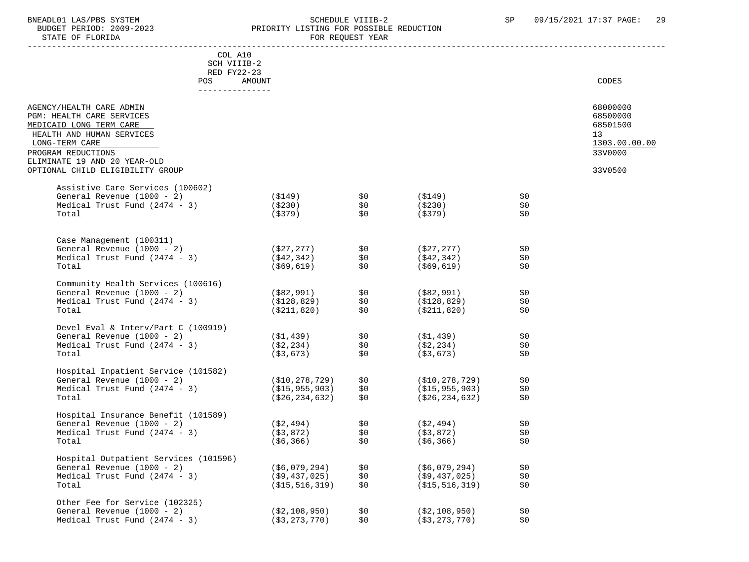# BNEADL01 LAS/PBS SYSTEM SCHEDULE VIIIB-2 SEREDULE VIIIB-2 SP 09/15/2021 17:37 PAGE: 29<br>BUDGET PERIOD: 2009-2023 PRIORITY LISTING FOR POSSIBLE REDUCTION BUDGET PERIOD: 2009-2023 PRIORITY LISTING FOR POSSIBLE REDUCTION<br>FOR REQUEST YEAR

FOR REQUEST YEAR

| COL A10<br>SCH VIIIB-2<br>RED FY22-23                                                                                                                                                                                     |                   |            |                               |            |                                                                               |
|---------------------------------------------------------------------------------------------------------------------------------------------------------------------------------------------------------------------------|-------------------|------------|-------------------------------|------------|-------------------------------------------------------------------------------|
| POS<br>_______________                                                                                                                                                                                                    | AMOUNT            |            |                               |            | CODES                                                                         |
| AGENCY/HEALTH CARE ADMIN<br>PGM: HEALTH CARE SERVICES<br>MEDICAID LONG TERM CARE<br>HEALTH AND HUMAN SERVICES<br>LONG-TERM CARE<br>PROGRAM REDUCTIONS<br>ELIMINATE 19 AND 20 YEAR-OLD<br>OPTIONAL CHILD ELIGIBILITY GROUP |                   |            |                               |            | 68000000<br>68500000<br>68501500<br>13<br>1303.00.00.00<br>33V0000<br>33V0500 |
|                                                                                                                                                                                                                           |                   |            |                               |            |                                                                               |
| Assistive Care Services (100602)<br>General Revenue $(1000 - 2)$                                                                                                                                                          | (\$149)           | \$0        | (\$149)                       | \$0        |                                                                               |
| Medical Trust Fund $(2474 - 3)$                                                                                                                                                                                           | ( \$230)          | \$0        | ( \$230)                      | \$0        |                                                                               |
| Total                                                                                                                                                                                                                     | (\$379)           | \$0        | (\$379)                       | \$0        |                                                                               |
|                                                                                                                                                                                                                           |                   |            |                               |            |                                                                               |
| Case Management (100311)                                                                                                                                                                                                  |                   |            |                               |            |                                                                               |
| General Revenue (1000 - 2)                                                                                                                                                                                                | (\$27,277)        | \$0        | (\$27,277)                    | \$0        |                                                                               |
| Medical Trust Fund $(2474 - 3)$<br>Total                                                                                                                                                                                  | (\$42,342)        | \$0<br>\$0 | ( \$42, 342)<br>$($ \$69,619) | \$0<br>\$0 |                                                                               |
|                                                                                                                                                                                                                           | (\$69,619)        |            |                               |            |                                                                               |
| Community Health Services (100616)                                                                                                                                                                                        |                   |            |                               |            |                                                                               |
| General Revenue (1000 - 2)                                                                                                                                                                                                | (\$82,991)        | \$0        | (\$82,991)                    | \$0        |                                                                               |
| Medical Trust Fund $(2474 - 3)$                                                                                                                                                                                           | (\$128,829)       | \$0        | (\$128,829)                   | \$0        |                                                                               |
| Total                                                                                                                                                                                                                     | ( \$211, 820)     | \$0        | (\$211,820)                   | \$0        |                                                                               |
| Devel Eval & Interv/Part C (100919)                                                                                                                                                                                       |                   |            |                               |            |                                                                               |
| General Revenue (1000 - 2)                                                                                                                                                                                                | (\$1,439)         | \$0        | ( \$1,439)                    | \$0        |                                                                               |
| Medical Trust Fund $(2474 - 3)$                                                                                                                                                                                           | (\$2,234)         | \$0        | ( \$2, 234)                   | \$0        |                                                                               |
| Total                                                                                                                                                                                                                     | ( \$3,673)        | \$0        | ( \$3, 673)                   | \$0        |                                                                               |
|                                                                                                                                                                                                                           |                   |            |                               |            |                                                                               |
| Hospital Inpatient Service (101582)                                                                                                                                                                                       |                   |            |                               |            |                                                                               |
| General Revenue (1000 - 2)                                                                                                                                                                                                | (\$10,278,729)    | \$0        | (\$10,278,729)                | \$0        |                                                                               |
| Medical Trust Fund $(2474 - 3)$                                                                                                                                                                                           | (S15, 955, 903)   | \$0        | (S15, 955, 903)               | \$0        |                                                                               |
| Total                                                                                                                                                                                                                     | ( \$26, 234, 632) | \$0        | ( \$26, 234, 632)             | \$0        |                                                                               |
| Hospital Insurance Benefit (101589)                                                                                                                                                                                       |                   |            |                               |            |                                                                               |
| General Revenue $(1000 - 2)$                                                                                                                                                                                              | (\$2,494)         | \$0        | (\$2,494)                     | \$0        |                                                                               |
| Medical Trust Fund $(2474 - 3)$                                                                                                                                                                                           | ( \$3, 872)       | \$0        | ( \$3, 872)                   | \$0        |                                                                               |
| Total                                                                                                                                                                                                                     | $($ \$6,366)      | \$0        | $($ \$6,366)                  | \$0        |                                                                               |
| Hospital Outpatient Services (101596)                                                                                                                                                                                     |                   |            |                               |            |                                                                               |
| General Revenue (1000 - 2)                                                                                                                                                                                                | ( \$6,079,294 )   | \$0        | ( \$6,079,294)                | \$0        |                                                                               |
| Medical Trust Fund $(2474 - 3)$                                                                                                                                                                                           | ( \$9,437,025)    | \$0        | $($ \$9,437,025)              | \$0        |                                                                               |
| Total                                                                                                                                                                                                                     | ( \$15, 516, 319) | \$0        | ( \$15, 516, 319)             | \$0        |                                                                               |
|                                                                                                                                                                                                                           |                   |            |                               |            |                                                                               |
| Other Fee for Service (102325)                                                                                                                                                                                            |                   |            |                               |            |                                                                               |
| General Revenue (1000 - 2)                                                                                                                                                                                                | ( \$2,108,950)    | \$0        | ( \$2,108,950)                | \$0        |                                                                               |

Medical Trust Fund (2474 - 3) (\$3,273,770) \$0 (\$3,273,770) \$0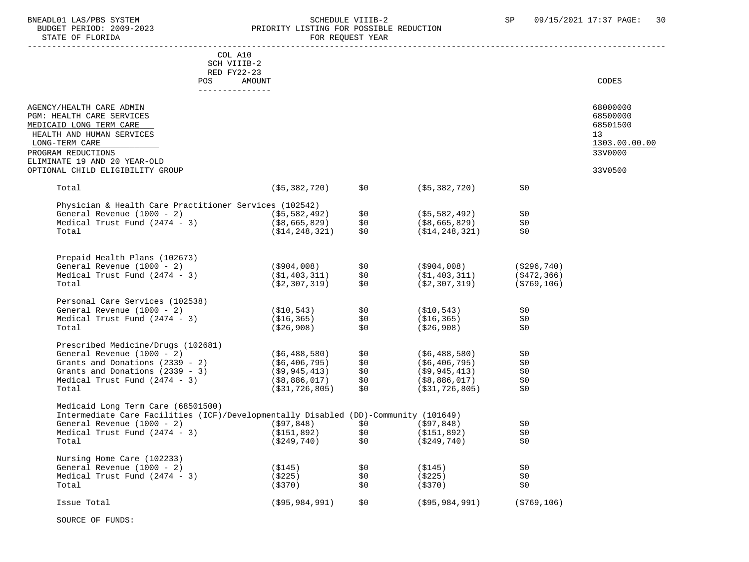## BNEADL01 LAS/PBS SYSTEM SCHEDULE VIIIB-2 SP 09/15/2021 17:37 PAGE: 30 BUDGET PERIOD: 2009-2023 PRIORITY LISTING FOR POSSIBLE REDUCTION<br>FOR REQUEST YEAR FOR REQUEST YEAR

| COL A10                                                                             |                   |       |                   |                |               |
|-------------------------------------------------------------------------------------|-------------------|-------|-------------------|----------------|---------------|
| SCH VIIIB-2                                                                         |                   |       |                   |                |               |
| RED FY22-23                                                                         |                   |       |                   |                |               |
| POS<br>AMOUNT                                                                       |                   |       |                   |                | CODES         |
|                                                                                     |                   |       |                   |                |               |
|                                                                                     |                   |       |                   |                |               |
| AGENCY/HEALTH CARE ADMIN                                                            |                   |       |                   |                | 68000000      |
| PGM: HEALTH CARE SERVICES                                                           |                   |       |                   |                | 68500000      |
| MEDICAID LONG TERM CARE                                                             |                   |       |                   |                | 68501500      |
| HEALTH AND HUMAN SERVICES                                                           |                   |       |                   |                | 13            |
| LONG-TERM CARE                                                                      |                   |       |                   |                | 1303.00.00.00 |
| PROGRAM REDUCTIONS                                                                  |                   |       |                   |                | 33V0000       |
| ELIMINATE 19 AND 20 YEAR-OLD                                                        |                   |       |                   |                |               |
| OPTIONAL CHILD ELIGIBILITY GROUP                                                    |                   |       |                   |                | 33V0500       |
|                                                                                     |                   |       |                   |                |               |
| Total                                                                               | $($ \$5,382,720)  | \$0\$ | $($ \$5,382,720)  | \$0            |               |
|                                                                                     |                   |       |                   |                |               |
| Physician & Health Care Practitioner Services (102542)                              |                   |       |                   |                |               |
| General Revenue (1000 - 2)                                                          | (\$5,582,492)     | \$0   | ( \$5, 582, 492)  | \$0            |               |
| Medical Trust Fund $(2474 - 3)$                                                     | $($ \$8,665,829)  | \$0   | $($ \$8,665,829)  | \$0            |               |
| Total                                                                               | ( \$14, 248, 321) | \$0   | ( \$14, 248, 321) | \$0            |               |
|                                                                                     |                   |       |                   |                |               |
|                                                                                     |                   |       |                   |                |               |
| Prepaid Health Plans (102673)                                                       |                   |       |                   |                |               |
| General Revenue (1000 - 2)                                                          | (\$904,008)       | \$0   | (\$904,008)       | ( \$296, 740)  |               |
| Medical Trust Fund $(2474 - 3)$                                                     | (\$1,403,311)     | \$0   | ( \$1,403,311)    | $($ \$472,366) |               |
| Total                                                                               | ( \$2, 307, 319)  | \$0   | ( \$2, 307, 319)  | $($ \$769,106) |               |
|                                                                                     |                   |       |                   |                |               |
| Personal Care Services (102538)                                                     |                   |       |                   |                |               |
| General Revenue (1000 - 2)                                                          | (\$10,543)        | \$0   | ( \$10, 543)      | \$0            |               |
| Medical Trust Fund $(2474 - 3)$                                                     | (\$16,365)        | \$0   | ( \$16, 365)      | \$0            |               |
| Total                                                                               | ( \$26, 908 )     | \$0   | ( \$26, 908 )     | \$0            |               |
|                                                                                     |                   |       |                   |                |               |
| Prescribed Medicine/Drugs (102681)                                                  |                   |       |                   |                |               |
| General Revenue (1000 - 2)                                                          | ( \$6,488,580)    | \$0   | ( \$6,488,580 )   | \$0            |               |
| Grants and Donations (2339 - 2)                                                     | (\$6,406,795)     | \$0   | ( \$6, 406, 795)  | \$0            |               |
| Grants and Donations $(2339 - 3)$                                                   | (\$9,945,413)     | \$0   | $($ \$9,945,413)  | \$0            |               |
| Medical Trust Fund $(2474 - 3)$                                                     | (\$8,886,017)     | \$0   | (\$8,886,017)     | \$0            |               |
| Total                                                                               | ( \$31, 726, 805) | \$0   | ( \$31, 726, 805) | \$0            |               |
|                                                                                     |                   |       |                   |                |               |
| Medicaid Long Term Care (68501500)                                                  |                   |       |                   |                |               |
| Intermediate Care Facilities (ICF)/Developmentally Disabled (DD)-Community (101649) |                   |       |                   |                |               |
| General Revenue (1000 - 2)                                                          | (\$97,848)        | \$0   | (\$97,848)        | \$0            |               |
| Medical Trust Fund $(2474 - 3)$                                                     | (\$151,892)       | \$0   | (\$151,892)       | \$0            |               |
| Total                                                                               | (\$249,740)       | \$0   | ( \$249, 740)     | \$0            |               |
|                                                                                     |                   |       |                   |                |               |
| Nursing Home Care (102233)                                                          |                   |       |                   |                |               |
| General Revenue $(1000 - 2)$                                                        | (\$145)           | \$0   | (S145)            | \$0            |               |
| Medical Trust Fund $(2474 - 3)$                                                     | (\$225)           | \$0   | ( \$225)          | \$0            |               |
| Total                                                                               | (\$370)           | \$0   | (\$370)           | \$0            |               |
|                                                                                     |                   |       |                   |                |               |
| Issue Total                                                                         | ( \$95, 984, 991) | \$0   | $($ \$95,984,991) | ( \$769, 106)  |               |

SOURCE OF FUNDS: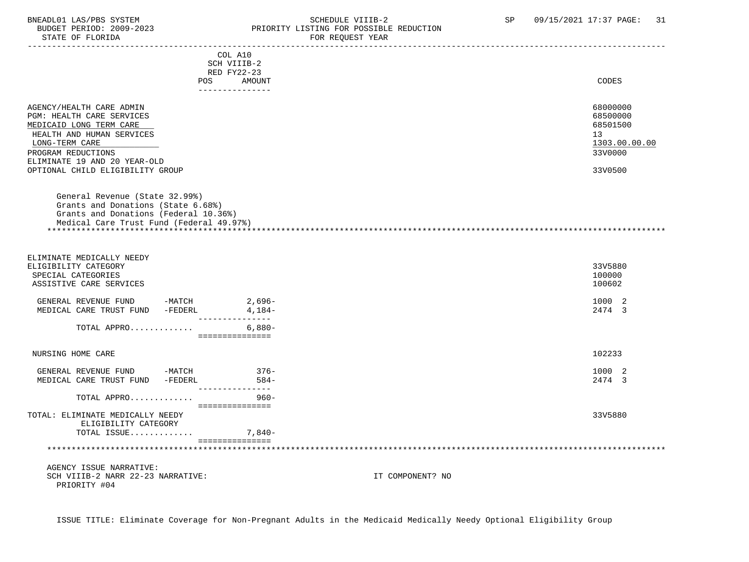## BNEADL01 LAS/PBS SYSTEM SCHEDULE VIIIB-2 SP 09/15/2021 17:37 PAGE: 31<br>BUDGET PERIOD: 2009-2023 PRIORITY LISTING FOR POSSIBLE REDUCTION BUDGET PERIOD: 2009-2023 PRIORITY LISTING FOR POSSIBLE REDUCTION<br>FOR REQUEST YEAR FOR REQUEST YEAR

|                                                                                                                                                           | --------------------------<br>COL A10 |                  |                                  |
|-----------------------------------------------------------------------------------------------------------------------------------------------------------|---------------------------------------|------------------|----------------------------------|
|                                                                                                                                                           | SCH VIIIB-2                           |                  |                                  |
|                                                                                                                                                           | RED FY22-23                           |                  |                                  |
| POS                                                                                                                                                       | AMOUNT<br>---------------             |                  | CODES                            |
| AGENCY/HEALTH CARE ADMIN<br>PGM: HEALTH CARE SERVICES<br>MEDICAID LONG TERM CARE                                                                          |                                       |                  | 68000000<br>68500000<br>68501500 |
| HEALTH AND HUMAN SERVICES                                                                                                                                 |                                       |                  | 13                               |
| LONG-TERM CARE                                                                                                                                            |                                       |                  | 1303.00.00.00                    |
| PROGRAM REDUCTIONS                                                                                                                                        |                                       |                  | 33V0000                          |
| ELIMINATE 19 AND 20 YEAR-OLD<br>OPTIONAL CHILD ELIGIBILITY GROUP                                                                                          |                                       |                  | 33V0500                          |
|                                                                                                                                                           |                                       |                  |                                  |
| General Revenue (State 32.99%)<br>Grants and Donations (State 6.68%)<br>Grants and Donations (Federal 10.36%)<br>Medical Care Trust Fund (Federal 49.97%) |                                       |                  |                                  |
| ELIMINATE MEDICALLY NEEDY                                                                                                                                 |                                       |                  |                                  |
| ELIGIBILITY CATEGORY                                                                                                                                      |                                       |                  | 33V5880                          |
| SPECIAL CATEGORIES                                                                                                                                        |                                       |                  | 100000                           |
| ASSISTIVE CARE SERVICES                                                                                                                                   |                                       |                  | 100602                           |
| GENERAL REVENUE FUND -MATCH $2,696-$<br>MEDICAL CARE TRUST FUND -FEDERL $4,184-$                                                                          |                                       |                  | 1000 2                           |
|                                                                                                                                                           | ________________                      |                  | 2474 3                           |
| TOTAL APPRO                                                                                                                                               | $6,880-$                              |                  |                                  |
|                                                                                                                                                           | ===============                       |                  |                                  |
| NURSING HOME CARE                                                                                                                                         |                                       |                  | 102233                           |
| GENERAL REVENUE FUND -MATCH                                                                                                                               | $376-$                                |                  | 1000 2                           |
| MEDICAL CARE TRUST FUND -FEDERL                                                                                                                           | $584-$<br>---------------             |                  | 2474 3                           |
| TOTAL APPRO                                                                                                                                               | $960 -$                               |                  |                                  |
| TOTAL: ELIMINATE MEDICALLY NEEDY<br>ELIGIBILITY CATEGORY                                                                                                  | ===============                       |                  | 33V5880                          |
| TOTAL ISSUE                                                                                                                                               | $7,840-$                              |                  |                                  |
|                                                                                                                                                           | ================                      |                  |                                  |
| AGENCY ISSUE NARRATIVE:                                                                                                                                   |                                       |                  |                                  |
| SCH VIIIB-2 NARR 22-23 NARRATIVE:<br>PRIORITY #04                                                                                                         |                                       | IT COMPONENT? NO |                                  |

ISSUE TITLE: Eliminate Coverage for Non-Pregnant Adults in the Medicaid Medically Needy Optional Eligibility Group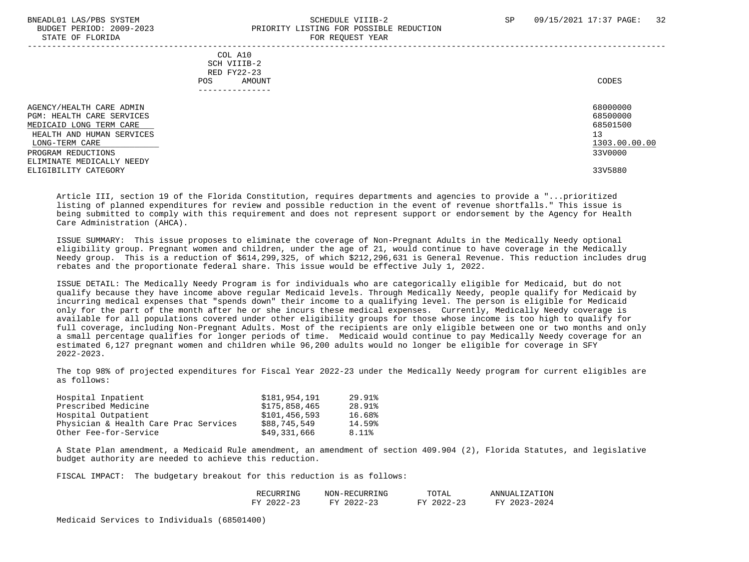#### BNEADL01 LAS/PBS SYSTEM SCHEDULE VIIIB-2 SCHEDULE VIIIB-2 SP 09/15/2021 17:37 PAGE: 32 BUDGET PERIOD: 2009-2023 PRIORITY LISTING FOR POSSIBLE REDUCTION STATE OF FLORIDA FOR REQUEST YEAR

|                                                                                                                                                                                                            | - --- --- <u>-</u> ---- - -----                                          |                                                                               |
|------------------------------------------------------------------------------------------------------------------------------------------------------------------------------------------------------------|--------------------------------------------------------------------------|-------------------------------------------------------------------------------|
|                                                                                                                                                                                                            | COL A10<br>SCH VIIIB-2<br>RED FY22-23<br>AMOUNT<br>POS.<br>------------- | CODES                                                                         |
| AGENCY/HEALTH CARE ADMIN<br>PGM: HEALTH CARE SERVICES<br>MEDICAID LONG TERM CARE<br>HEALTH AND HUMAN SERVICES<br>LONG-TERM CARE<br>PROGRAM REDUCTIONS<br>ELIMINATE MEDICALLY NEEDY<br>ELIGIBILITY CATEGORY |                                                                          | 68000000<br>68500000<br>68501500<br>13<br>1303.00.00.00<br>33V0000<br>33V5880 |

 Article III, section 19 of the Florida Constitution, requires departments and agencies to provide a "...prioritized listing of planned expenditures for review and possible reduction in the event of revenue shortfalls." This issue is being submitted to comply with this requirement and does not represent support or endorsement by the Agency for Health Care Administration (AHCA).

 ISSUE SUMMARY: This issue proposes to eliminate the coverage of Non-Pregnant Adults in the Medically Needy optional eligibility group. Pregnant women and children, under the age of 21, would continue to have coverage in the Medically Needy group. This is a reduction of \$614,299,325, of which \$212,296,631 is General Revenue. This reduction includes drug rebates and the proportionate federal share. This issue would be effective July 1, 2022.

 ISSUE DETAIL: The Medically Needy Program is for individuals who are categorically eligible for Medicaid, but do not qualify because they have income above regular Medicaid levels. Through Medically Needy, people qualify for Medicaid by incurring medical expenses that "spends down" their income to a qualifying level. The person is eligible for Medicaid only for the part of the month after he or she incurs these medical expenses. Currently, Medically Needy coverage is available for all populations covered under other eligibility groups for those whose income is too high to qualify for full coverage, including Non-Pregnant Adults. Most of the recipients are only eligible between one or two months and only a small percentage qualifies for longer periods of time. Medicaid would continue to pay Medically Needy coverage for an estimated 6,127 pregnant women and children while 96,200 adults would no longer be eligible for coverage in SFY 2022-2023.

 The top 98% of projected expenditures for Fiscal Year 2022-23 under the Medically Needy program for current eligibles are as follows:

| Hospital Inpatient                    | \$181,954,191 | 29.91% |
|---------------------------------------|---------------|--------|
| Prescribed Medicine                   | \$175,858,465 | 28.91% |
| Hospital Outpatient                   | \$101,456,593 | 16.68% |
| Physician & Health Care Prac Services | \$88,745,549  | 14.59% |
| Other Fee-for-Service                 | \$49,331,666  | 8.11%  |

 A State Plan amendment, a Medicaid Rule amendment, an amendment of section 409.904 (2), Florida Statutes, and legislative budget authority are needed to achieve this reduction.

FISCAL IMPACT: The budgetary breakout for this reduction is as follows:

| REING<br>wн<br>1 R R | – ה∩ד<br>.<br>$\pm 1$ N C $\tau$           | TOTAL                   | AΝI                               |
|----------------------|--------------------------------------------|-------------------------|-----------------------------------|
| $T \cdot T$<br>- - - | $\sim$<br>T T T<br>ິດຕະ<br><u>_</u><br>. . | $\Omega$<br>ᅲᅐᅎ<br>ر بے | $\sim$ $\sim$ $\sim$ $\sim$<br>ᅲᅐ |

Medicaid Services to Individuals (68501400)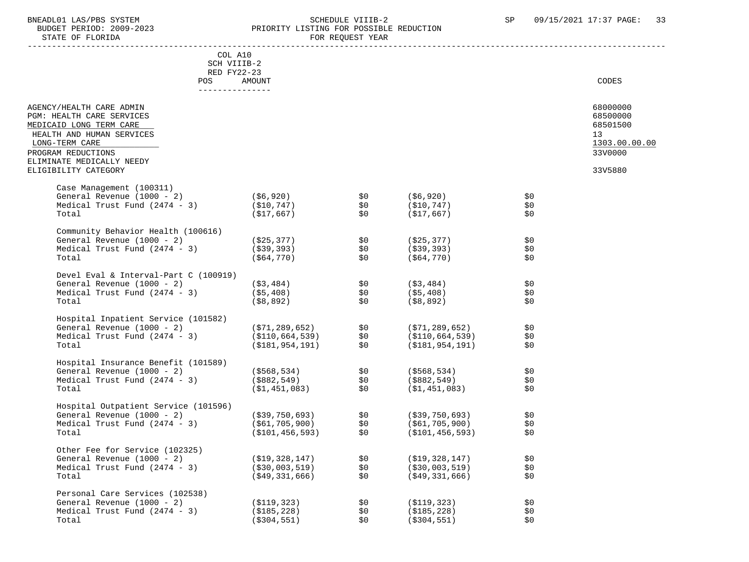STATE OF FLORIDA

# BNEADL01 LAS/PBS SYSTEM SCHEDULE VIIIB-2 SCHEDULE VIIIB-2 SP 09/15/2021 17:37 PAGE: 33 PRIORITY LISTING FOR POSSIBLE REDUCTION<br>FOR REQUEST YEAR

|                                                                                                                                                                                    | COL A10<br>SCH VIIIB-2                                    |                                                                                               |                                                           |                     |                                                                    |
|------------------------------------------------------------------------------------------------------------------------------------------------------------------------------------|-----------------------------------------------------------|-----------------------------------------------------------------------------------------------|-----------------------------------------------------------|---------------------|--------------------------------------------------------------------|
| POS                                                                                                                                                                                | RED FY22-23<br><b>AMOUNT</b><br>---------------           |                                                                                               |                                                           |                     | CODES                                                              |
| AGENCY/HEALTH CARE ADMIN<br>PGM: HEALTH CARE SERVICES<br>MEDICAID LONG TERM CARE<br>HEALTH AND HUMAN SERVICES<br>LONG-TERM CARE<br>PROGRAM REDUCTIONS<br>ELIMINATE MEDICALLY NEEDY |                                                           |                                                                                               |                                                           |                     | 68000000<br>68500000<br>68501500<br>13<br>1303.00.00.00<br>33V0000 |
| ELIGIBILITY CATEGORY                                                                                                                                                               |                                                           |                                                                                               |                                                           |                     | 33V5880                                                            |
| Case Management (100311)<br>General Revenue (1000 - 2)<br>Medical Trust Fund $(2474 - 3)$ $( $10, 747)$<br>Total                                                                   | ( \$6, 920)<br>(\$17,667)                                 | $\begin{array}{c} \text{\LARGE $\varsigma$0}\\ \text{\LARGE $\varsigma$0} \end{array}$<br>\$0 | (\$6,920)<br>(\$10,747)<br>(\$17,667)                     | \$0<br>\$0<br>\$0   |                                                                    |
| Community Behavior Health (100616)<br>General Revenue (1000 - 2)<br>Medical Trust Fund (2474 - 3)<br>Total                                                                         | ( \$25, 377)<br>( \$39, 393)<br>(\$64,770)                | \$0<br>\$0<br>\$0                                                                             | (\$25,377)<br>(\$39,393)<br>(\$64,770)                    | \$0<br>\$0<br>\$0   |                                                                    |
| Devel Eval & Interval-Part C (100919)<br>General Revenue (1000 - 2)<br>Medical Trust Fund $(2474 - 3)$<br>Total                                                                    | (\$3,484)<br>( \$5,408)<br>(\$8,892)                      | \$0<br>\$0<br>\$0                                                                             | (\$3,484)<br>( \$5,408)<br>( \$8,892)                     | \$0<br>\$0<br>\$0   |                                                                    |
| Hospital Inpatient Service (101582)<br>General Revenue (1000 - 2)<br>Medical Trust Fund $(2474 - 3)$<br>Total                                                                      | (\$71,289,652)<br>(\$110,664,539)<br>(\$181,954,191)      | \$0<br>\$0<br>\$0                                                                             | (\$71,289,652)<br>(\$110,664,539)<br>(\$181,954,191)      | \$0<br>\$0<br>\$0   |                                                                    |
| Hospital Insurance Benefit (101589)<br>General Revenue (1000 - 2)<br>Medical Trust Fund $(2474 - 3)$<br>Total                                                                      | ( \$568, 534)<br>( \$882, 549)<br>(\$1,451,083)           | \$0<br>\$0<br>\$0                                                                             | (\$568,534)<br>(\$882,549)<br>(\$1,451,083)               | \$0<br>\$0<br>\$0   |                                                                    |
| Hospital Outpatient Service (101596)<br>General Revenue (1000 - 2)<br>Medical Trust Fund $(2474 - 3)$<br>Total                                                                     | (\$39,750,693) \$0<br>(\$61,705,900)<br>(\$101,456,593)   | \$0<br>\$0                                                                                    | (\$39,750,693)<br>(\$61,705,900)<br>(\$101,456,593)       | \$0<br>\$0\$<br>\$0 |                                                                    |
| Other Fee for Service (102325)<br>General Revenue (1000 - 2)<br>Medical Trust Fund $(2474 - 3)$<br>Total                                                                           | ( \$19, 328, 147)<br>( \$30,003,519)<br>$($ \$49,331,666) | \$0<br>\$0<br>\$0\$                                                                           | ( \$19, 328, 147)<br>( \$30,003,519)<br>$($ \$49,331,666) | \$0<br>\$0\$<br>\$0 |                                                                    |
| Personal Care Services (102538)<br>General Revenue (1000 - 2)<br>Medical Trust Fund $(2474 - 3)$<br>Total                                                                          | ( \$119, 323)<br>( \$185, 228)<br>( \$304, 551)           | \$0<br>\$0<br>\$0                                                                             | ( \$119, 323)<br>( \$185, 228)<br>( \$304, 551)           | \$0<br>\$0<br>\$0   |                                                                    |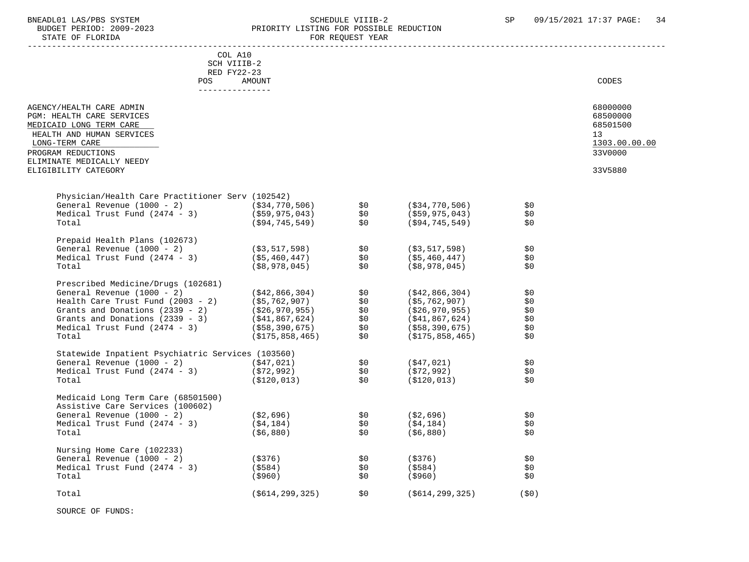## BNEADL01 LAS/PBS SYSTEM SCHEDULE VIIIB-2 SCHEDULE VIIIB-2 SP 09/15/2021 17:37 PAGE: 34 BUDGET PERIOD: 2009-2023 PRIORITY LISTING FOR POSSIBLE REDUCTION<br>FOR REQUEST YEAR FOR REQUEST YEAR

| COL A10                                                                                                                                                                                                                                      |                                |            |                    |            |               |
|----------------------------------------------------------------------------------------------------------------------------------------------------------------------------------------------------------------------------------------------|--------------------------------|------------|--------------------|------------|---------------|
| SCH VIIIB-2                                                                                                                                                                                                                                  |                                |            |                    |            |               |
| RED FY22-23                                                                                                                                                                                                                                  |                                |            |                    |            |               |
| POS                                                                                                                                                                                                                                          | <b>AMOUNT</b>                  |            |                    |            | CODES         |
| _______________                                                                                                                                                                                                                              |                                |            |                    |            |               |
| AGENCY/HEALTH CARE ADMIN                                                                                                                                                                                                                     |                                |            |                    |            | 68000000      |
| PGM: HEALTH CARE SERVICES                                                                                                                                                                                                                    |                                |            |                    |            | 68500000      |
| MEDICAID LONG TERM CARE                                                                                                                                                                                                                      |                                |            |                    |            | 68501500      |
| HEALTH AND HUMAN SERVICES                                                                                                                                                                                                                    |                                |            |                    |            | 13            |
| LONG-TERM CARE                                                                                                                                                                                                                               |                                |            |                    |            | 1303.00.00.00 |
| PROGRAM REDUCTIONS                                                                                                                                                                                                                           |                                |            |                    |            | 33V0000       |
| ELIMINATE MEDICALLY NEEDY                                                                                                                                                                                                                    |                                |            |                    |            |               |
| ELIGIBILITY CATEGORY                                                                                                                                                                                                                         |                                |            |                    |            | 33V5880       |
|                                                                                                                                                                                                                                              |                                |            |                    |            |               |
|                                                                                                                                                                                                                                              |                                |            |                    |            |               |
| Physician/Health Care Practitioner Serv (102542)                                                                                                                                                                                             |                                |            |                    | \$0        |               |
| General Revenue (1000 - 2) (\$34,770,506)                                                                                                                                                                                                    |                                | \$0        | (\$34,770,506)     | \$0        |               |
| Medical Trust Fund $(2474 - 3)$ $(559,975,043)$ \$0                                                                                                                                                                                          |                                |            | (\$59,975,043)     |            |               |
| Total                                                                                                                                                                                                                                        | (\$94,745,549)                 | \$0        | (\$94,745,549)     | \$0        |               |
| Prepaid Health Plans (102673)                                                                                                                                                                                                                |                                |            |                    |            |               |
| General Revenue (1000 - 2)                                                                                                                                                                                                                   | ( \$3, 517, 598)               | \$0        | (\$3,517,598)      | \$0        |               |
| Medical Trust Fund $(2474 - 3)$ $(55,460,447)$                                                                                                                                                                                               |                                | \$0        | (\$5,460,447)      | \$0        |               |
| Total                                                                                                                                                                                                                                        | (\$8,978,045)                  | \$0        | (\$8,978,045)      | \$0        |               |
|                                                                                                                                                                                                                                              |                                |            |                    |            |               |
| Prescribed Medicine/Drugs<br>General Revenue (1000 - 2) (\$42,866,307,<br>Health Care Trust Fund (2003 - 2) (\$5,762,907)<br>Grants and Donations (2339 - 2) (\$26,970,955)<br>Grants and Donations (2339 - 3) (\$41,867,624)<br>Medical Tru |                                |            |                    |            |               |
|                                                                                                                                                                                                                                              |                                | \$0        | ( \$42, 866, 304)  | \$0        |               |
|                                                                                                                                                                                                                                              |                                | \$0<br>\$0 | (\$5,762,907)      | \$0        |               |
|                                                                                                                                                                                                                                              |                                | \$0        | (\$26,970,955)     | \$0        |               |
|                                                                                                                                                                                                                                              |                                | \$0        | (\$41,867,624)     | \$0        |               |
|                                                                                                                                                                                                                                              |                                | \$0        | (\$58,390,675)     | \$0        |               |
|                                                                                                                                                                                                                                              |                                | \$0        | (\$175,858,465)    | \$0        |               |
|                                                                                                                                                                                                                                              |                                |            |                    |            |               |
|                                                                                                                                                                                                                                              |                                |            |                    |            |               |
|                                                                                                                                                                                                                                              |                                |            | (\$47,021)         | \$0        |               |
|                                                                                                                                                                                                                                              |                                |            | (\$72,992)         | \$0        |               |
| Statewide Inpatient Psychiatric Services (103560)<br>General Revenue (1000 - 2) (\$47,021) \$0<br>Medical Trust Fund (2474 - 3) (\$72,992) \$0<br>(\$120,013) \$0                                                                            |                                |            | (\$120,013)        | \$0        |               |
|                                                                                                                                                                                                                                              |                                |            |                    |            |               |
| Medicaid Long Term Care (68501500)                                                                                                                                                                                                           |                                |            |                    |            |               |
| Assistive Care Services (100602)                                                                                                                                                                                                             |                                |            |                    |            |               |
| General Revenue (1000 - 2)                                                                                                                                                                                                                   | (\$2,696) \$0<br>(\$4,184) \$0 |            | ( \$2,696)         | \$0        |               |
| Medical Trust Fund $(2474 - 3)$                                                                                                                                                                                                              |                                |            | (\$4,184)          | \$0        |               |
| Total                                                                                                                                                                                                                                        | (\$6,880)                      | \$0        | ( \$6, 880)        | \$0        |               |
|                                                                                                                                                                                                                                              |                                |            |                    |            |               |
| Nursing Home Care (102233)                                                                                                                                                                                                                   |                                |            |                    |            |               |
| ( \$376)<br>General Revenue (1000 - 2)                                                                                                                                                                                                       |                                | \$0        | (\$376)            | \$0<br>\$0 |               |
| Medical Trust Fund (2474 - 3)                                                                                                                                                                                                                | ( \$584)                       | \$0<br>\$0 | (\$584)            | \$0        |               |
| Total                                                                                                                                                                                                                                        | (\$960)                        |            | (\$960)            |            |               |
| Total                                                                                                                                                                                                                                        | ( \$614, 299, 325)             | \$0        | ( \$614, 299, 325) | (50)       |               |
|                                                                                                                                                                                                                                              |                                |            |                    |            |               |

SOURCE OF FUNDS: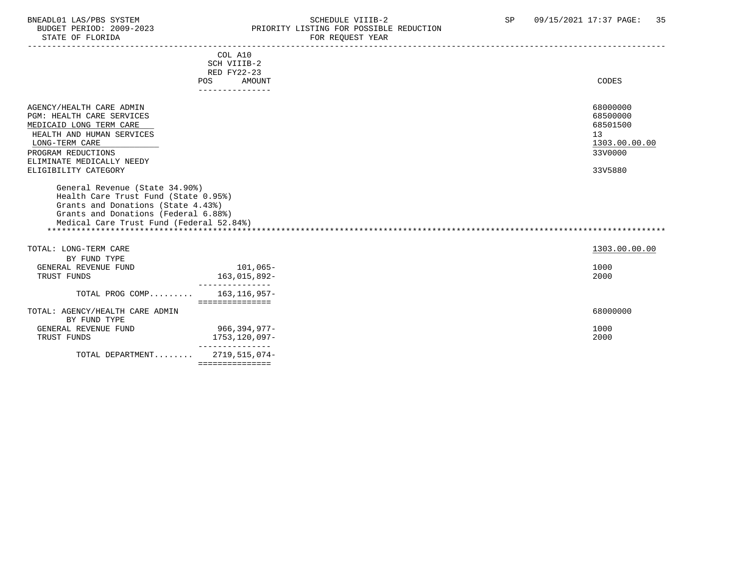## BNEADL01 LAS/PBS SYSTEM SOME SOME SOME SCHEDULE VIIIB-2 SP 09/15/2021 17:37 PAGE: 35<br>BUDGET PERIOD: 2009-2023 REIORITY LISTING FOR POSSIBLE REDUCTION BUDGET PERIOD: 2009-2023 PRIORITY LISTING FOR POSSIBLE REDUCTION FOR REQUEST YEAR

|                                                                                                                                                                                                                                                                                                                            | COL A10<br>SCH VIIIB-2<br><b>RED FY22-23</b> |                                                                               |
|----------------------------------------------------------------------------------------------------------------------------------------------------------------------------------------------------------------------------------------------------------------------------------------------------------------------------|----------------------------------------------|-------------------------------------------------------------------------------|
|                                                                                                                                                                                                                                                                                                                            | <b>AMOUNT</b><br>POS                         | CODES                                                                         |
| AGENCY/HEALTH CARE ADMIN<br>PGM: HEALTH CARE SERVICES<br>MEDICAID LONG TERM CARE<br>HEALTH AND HUMAN SERVICES<br>LONG-TERM CARE<br>PROGRAM REDUCTIONS<br>ELIMINATE MEDICALLY NEEDY<br>ELIGIBILITY CATEGORY<br>General Revenue (State 34.90%)<br>Health Care Trust Fund (State 0.95%)<br>Grants and Donations (State 4.43%) |                                              | 68000000<br>68500000<br>68501500<br>13<br>1303.00.00.00<br>33V0000<br>33V5880 |
| Grants and Donations (Federal 6.88%)<br>Medical Care Trust Fund (Federal 52.84%)                                                                                                                                                                                                                                           |                                              |                                                                               |
| TOTAL: LONG-TERM CARE                                                                                                                                                                                                                                                                                                      |                                              | 1303.00.00.00                                                                 |
| BY FUND TYPE                                                                                                                                                                                                                                                                                                               |                                              |                                                                               |
| GENERAL REVENUE FUND                                                                                                                                                                                                                                                                                                       | 101,065-                                     | 1000                                                                          |
| TRUST FUNDS                                                                                                                                                                                                                                                                                                                | 163,015,892-                                 | 2000                                                                          |
| TOTAL PROG COMP                                                                                                                                                                                                                                                                                                            | 163, 116, 957-<br>===============            |                                                                               |
| TOTAL: AGENCY/HEALTH CARE ADMIN<br>BY FUND TYPE                                                                                                                                                                                                                                                                            |                                              | 68000000                                                                      |
| GENERAL REVENUE FUND                                                                                                                                                                                                                                                                                                       | 966,394,977–                                 | 1000                                                                          |
| TRUST FUNDS                                                                                                                                                                                                                                                                                                                | 1753,120,097-                                | 2000                                                                          |
| TOTAL DEPARTMENT                                                                                                                                                                                                                                                                                                           | .<br>2719,515,074-<br>===============        |                                                                               |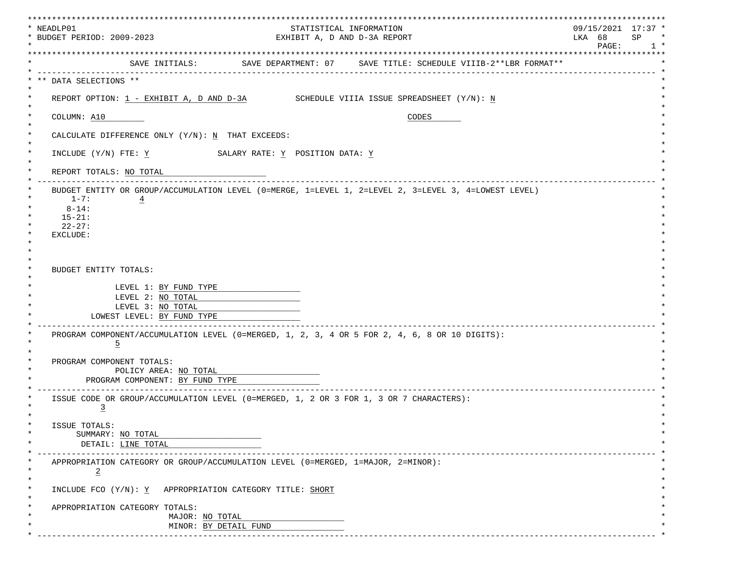| * NEADLP01<br>* BUDGET PERIOD: 2009-2023                                                                        | EXHIBIT A, D AND D-3A REPORT                                                  | STATISTICAL INFORMATION |       | $09/15/2021$ 17:37 *<br>LKA 68<br>SP |
|-----------------------------------------------------------------------------------------------------------------|-------------------------------------------------------------------------------|-------------------------|-------|--------------------------------------|
|                                                                                                                 |                                                                               |                         |       | PAGE:<br>********************        |
|                                                                                                                 | SAVE INITIALS: SAVE DEPARTMENT: 07 SAVE TITLE: SCHEDULE VIIIB-2**LBR FORMAT** |                         |       |                                      |
| ** DATA SELECTIONS **                                                                                           |                                                                               |                         |       |                                      |
| REPORT OPTION: $1$ - EXHIBIT A, D AND D-3A SCHEDULE VIIIA ISSUE SPREADSHEET $(Y/N)$ : N                         |                                                                               |                         |       |                                      |
| COLUMN: A10                                                                                                     |                                                                               |                         | CODES |                                      |
| CALCULATE DIFFERENCE ONLY (Y/N): N THAT EXCEEDS:                                                                |                                                                               |                         |       |                                      |
| INCLUDE $(Y/N)$ FTE: $\underline{Y}$ SALARY RATE: $\underline{Y}$ POSITION DATA: $\underline{Y}$                |                                                                               |                         |       |                                      |
| REPORT TOTALS: NO TOTAL                                                                                         |                                                                               |                         |       |                                      |
| BUDGET ENTITY OR GROUP/ACCUMULATION LEVEL (0=MERGE, 1=LEVEL 1, 2=LEVEL 2, 3=LEVEL 3, 4=LOWEST LEVEL)            |                                                                               |                         |       |                                      |
| $1 - 7:$<br>$\overline{4}$<br>$8 - 14:$                                                                         |                                                                               |                         |       |                                      |
| $15 - 21:$                                                                                                      |                                                                               |                         |       |                                      |
| $22 - 27:$                                                                                                      |                                                                               |                         |       |                                      |
| EXCLUDE:                                                                                                        |                                                                               |                         |       |                                      |
|                                                                                                                 |                                                                               |                         |       |                                      |
| BUDGET ENTITY TOTALS:                                                                                           |                                                                               |                         |       |                                      |
| LEVEL 1: BY FUND TYPE                                                                                           |                                                                               |                         |       |                                      |
| LEVEL 2: NO TOTAL                                                                                               |                                                                               |                         |       |                                      |
| LEVEL 3: NO TOTAL                                                                                               |                                                                               |                         |       |                                      |
| LOWEST LEVEL: BY FUND TYPE                                                                                      |                                                                               |                         |       |                                      |
| PROGRAM COMPONENT/ACCUMULATION LEVEL (0=MERGED, 1, 2, 3, 4 OR 5 FOR 2, 4, 6, 8 OR 10 DIGITS):<br>$\overline{5}$ |                                                                               |                         |       |                                      |
|                                                                                                                 |                                                                               |                         |       |                                      |
| PROGRAM COMPONENT TOTALS:                                                                                       |                                                                               |                         |       |                                      |
| POLICY AREA: NO TOTAL                                                                                           |                                                                               |                         |       |                                      |
| PROGRAM COMPONENT: BY FUND TYPE                                                                                 |                                                                               |                         |       |                                      |
| ISSUE CODE OR GROUP/ACCUMULATION LEVEL (0=MERGED, 1, 2 OR 3 FOR 1, 3 OR 7 CHARACTERS):<br>$\overline{3}$        |                                                                               |                         |       |                                      |
| ISSUE TOTALS:                                                                                                   |                                                                               |                         |       |                                      |
| SUMMARY: NO TOTAL                                                                                               |                                                                               |                         |       |                                      |
| DETAIL: LINE TOTAL                                                                                              |                                                                               |                         |       |                                      |
| APPROPRIATION CATEGORY OR GROUP/ACCUMULATION LEVEL (0=MERGED, 1=MAJOR, 2=MINOR):<br>$\overline{2}$              |                                                                               |                         |       |                                      |
|                                                                                                                 |                                                                               |                         |       |                                      |
|                                                                                                                 |                                                                               |                         |       |                                      |
| INCLUDE FCO $(Y/N): Y$ APPROPRIATION CATEGORY TITLE: SHORT                                                      |                                                                               |                         |       |                                      |
| APPROPRIATION CATEGORY TOTALS:<br>MAJOR: NO TOTAL                                                               |                                                                               |                         |       |                                      |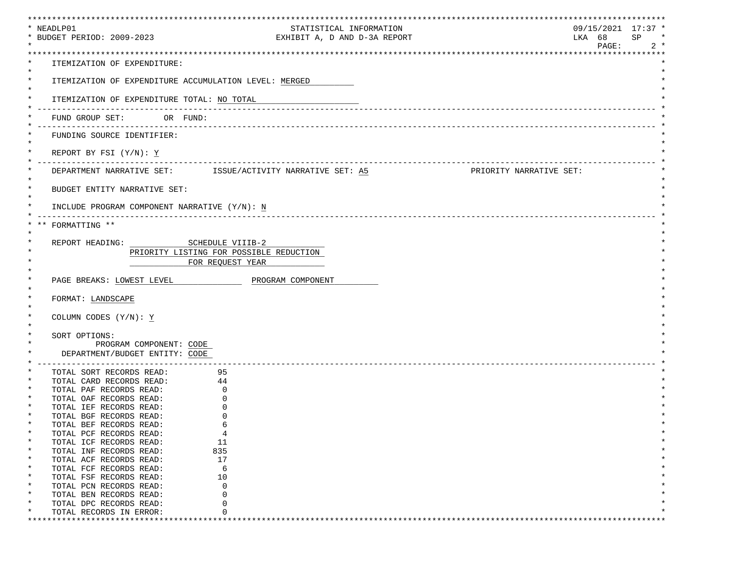| * NEADLP01                                                   |                                                              | *****************************<br>$09/15/2021$ 17:37 * |
|--------------------------------------------------------------|--------------------------------------------------------------|-------------------------------------------------------|
| * BUDGET PERIOD: 2009-2023                                   | STATISTICAL INFORMATION<br>EXHIBIT A, D AND D-3A REPORT      | LKA 68<br>SP<br>$\ast$                                |
|                                                              |                                                              | PAGE:<br>$2 *$                                        |
|                                                              |                                                              |                                                       |
| ITEMIZATION OF EXPENDITURE:                                  |                                                              |                                                       |
| $^\star$                                                     |                                                              |                                                       |
| $\ast$                                                       | ITEMIZATION OF EXPENDITURE ACCUMULATION LEVEL: MERGED        |                                                       |
| ITEMIZATION OF EXPENDITURE TOTAL: NO TOTAL                   |                                                              |                                                       |
|                                                              |                                                              |                                                       |
| FUND GROUP SET: OR FUND:                                     |                                                              |                                                       |
|                                                              |                                                              |                                                       |
| FUNDING SOURCE IDENTIFIER:                                   |                                                              |                                                       |
|                                                              |                                                              |                                                       |
| REPORT BY FSI $(Y/N): Y$                                     |                                                              |                                                       |
|                                                              |                                                              |                                                       |
|                                                              | DEPARTMENT NARRATIVE SET: ISSUE/ACTIVITY NARRATIVE SET: A5   | PRIORITY NARRATIVE SET:                               |
| $^\star$<br>BUDGET ENTITY NARRATIVE SET:                     |                                                              |                                                       |
|                                                              |                                                              |                                                       |
| INCLUDE PROGRAM COMPONENT NARRATIVE (Y/N): N                 |                                                              |                                                       |
|                                                              |                                                              |                                                       |
| FORMATTING **                                                |                                                              |                                                       |
|                                                              |                                                              |                                                       |
| REPORT HEADING: SCHEDULE VIIIB-2                             |                                                              |                                                       |
|                                                              | PRIORITY LISTING FOR POSSIBLE REDUCTION                      |                                                       |
|                                                              | FOR REQUEST YEAR                                             |                                                       |
|                                                              | PAGE BREAKS: LOWEST LEVEL <b>ACCEPT OF PROGRAM COMPONENT</b> |                                                       |
|                                                              |                                                              |                                                       |
| FORMAT: LANDSCAPE                                            |                                                              |                                                       |
|                                                              |                                                              |                                                       |
| COLUMN CODES (Y/N): Y                                        |                                                              |                                                       |
|                                                              |                                                              |                                                       |
| SORT OPTIONS:                                                |                                                              |                                                       |
| PROGRAM COMPONENT: CODE                                      |                                                              |                                                       |
| DEPARTMENT/BUDGET ENTITY: CODE                               |                                                              |                                                       |
| __________________________________                           |                                                              |                                                       |
| TOTAL SORT RECORDS READ:                                     | 95                                                           |                                                       |
| TOTAL CARD RECORDS READ: 44<br>TOTAL PAF RECORDS READ:       | $\mathbf 0$                                                  |                                                       |
| TOTAL OAF RECORDS READ:                                      | $\Omega$                                                     |                                                       |
| TOTAL IEF RECORDS READ:                                      | 0                                                            |                                                       |
| TOTAL BGF RECORDS READ:                                      | $\Omega$                                                     |                                                       |
| TOTAL BEF RECORDS READ:                                      | 6                                                            |                                                       |
| $^\star$<br>TOTAL PCF RECORDS READ:                          | 4                                                            |                                                       |
| $\ast$<br>TOTAL ICF RECORDS READ:                            | 11                                                           |                                                       |
| $^\star$<br>TOTAL INF RECORDS READ:                          | 835                                                          |                                                       |
| TOTAL ACF RECORDS READ:<br>$\ast$                            | 17                                                           |                                                       |
| $\ast$<br>TOTAL FCF RECORDS READ:<br>$\ast$                  | 6<br>10                                                      |                                                       |
| TOTAL FSF RECORDS READ:<br>$\ast$<br>TOTAL PCN RECORDS READ: | $\Omega$                                                     |                                                       |
| $\ast$<br>TOTAL BEN RECORDS READ:                            | $\Omega$                                                     |                                                       |
| $^\star$<br>TOTAL DPC RECORDS READ:                          | 0                                                            |                                                       |
| TOTAL RECORDS IN ERROR:                                      | 0                                                            |                                                       |
|                                                              |                                                              |                                                       |